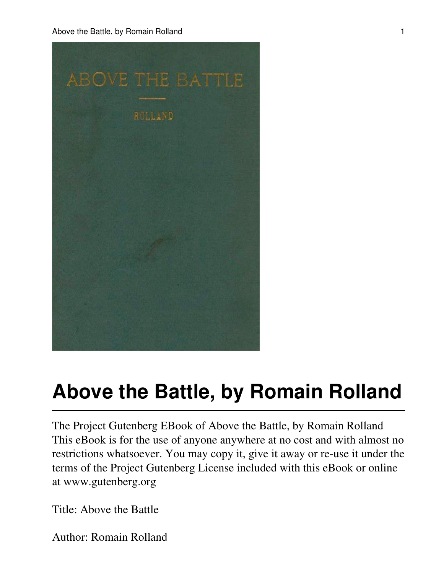Above the Battle, by Romain Rolland 1 and 1 and 2 and 2 and 2 and 2 and 2 and 2 and 2 and 2 and 2 and 2 and 2 and 2 and 2 and 2 and 2 and 2 and 2 and 2 and 2 and 2 and 2 and 2 and 2 and 2 and 2 and 2 and 2 and 2 and 2 and



# **Above the Battle, by Romain Rolland**

The Project Gutenberg EBook of Above the Battle, by Romain Rolland This eBook is for the use of anyone anywhere at no cost and with almost no restrictions whatsoever. You may copy it, give it away or re-use it under the terms of the Project Gutenberg License included with this eBook or online at www.gutenberg.org

Title: Above the Battle

Author: Romain Rolland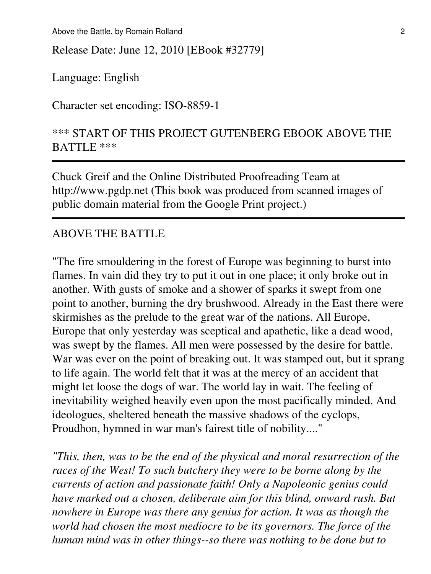Above the Battle, by Romain Rolland 2

Release Date: June 12, 2010 [EBook #32779]

Language: English

Character set encoding: ISO-8859-1

## \*\*\* START OF THIS PROJECT GUTENBERG EBOOK ABOVE THE BATTLE \*\*\*

Chuck Greif and the Online Distributed Proofreading Team at http://www.pgdp.net (This book was produced from scanned images of public domain material from the Google Print project.)

### ABOVE THE BATTLE

"The fire smouldering in the forest of Europe was beginning to burst into flames. In vain did they try to put it out in one place; it only broke out in another. With gusts of smoke and a shower of sparks it swept from one point to another, burning the dry brushwood. Already in the East there were skirmishes as the prelude to the great war of the nations. All Europe, Europe that only yesterday was sceptical and apathetic, like a dead wood, was swept by the flames. All men were possessed by the desire for battle. War was ever on the point of breaking out. It was stamped out, but it sprang to life again. The world felt that it was at the mercy of an accident that might let loose the dogs of war. The world lay in wait. The feeling of inevitability weighed heavily even upon the most pacifically minded. And ideologues, sheltered beneath the massive shadows of the cyclops, Proudhon, hymned in war man's fairest title of nobility...."

*"This, then, was to be the end of the physical and moral resurrection of the races of the West! To such butchery they were to be borne along by the currents of action and passionate faith! Only a Napoleonic genius could have marked out a chosen, deliberate aim for this blind, onward rush. But nowhere in Europe was there any genius for action. It was as though the world had chosen the most mediocre to be its governors. The force of the human mind was in other things--so there was nothing to be done but to*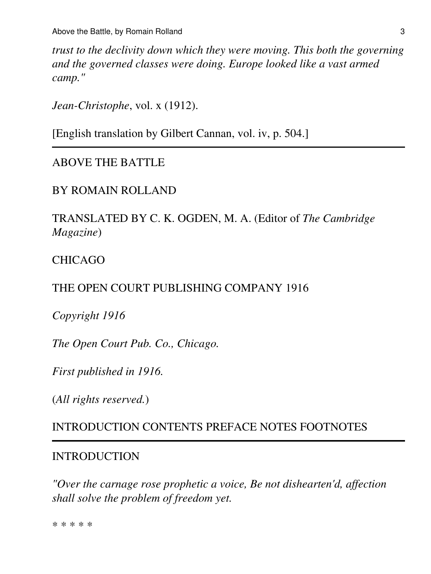*trust to the declivity down which they were moving. This both the governing and the governed classes were doing. Europe looked like a vast armed camp."*

*Jean-Christophe*, vol. x (1912).

[English translation by Gilbert Cannan, vol. iv, p. 504.]

## ABOVE THE BATTLE

## BY ROMAIN ROLLAND

TRANSLATED BY C. K. OGDEN, M. A. (Editor of *The Cambridge Magazine*)

## CHICAGO

## THE OPEN COURT PUBLISHING COMPANY 1916

*Copyright 1916*

*The Open Court Pub. Co., Chicago.*

*First published in 1916.*

(*All rights reserved.*)

## INTRODUCTION CONTENTS PREFACE NOTES FOOTNOTES

#### INTRODUCTION

*"Over the carnage rose prophetic a voice, Be not dishearten'd, affection shall solve the problem of freedom yet.*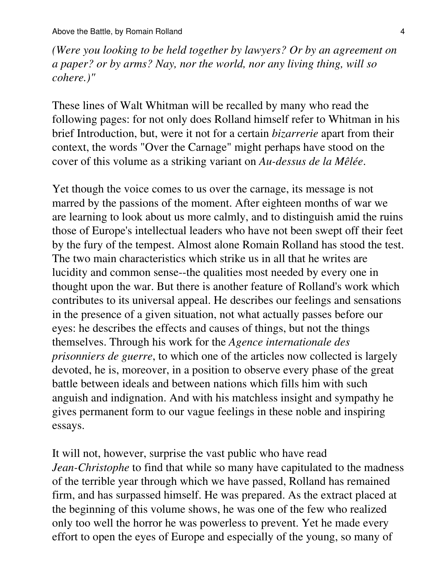*(Were you looking to be held together by lawyers? Or by an agreement on a paper? or by arms? Nay, nor the world, nor any living thing, will so cohere.)"*

These lines of Walt Whitman will be recalled by many who read the following pages: for not only does Rolland himself refer to Whitman in his brief Introduction, but, were it not for a certain *bizarrerie* apart from their context, the words "Over the Carnage" might perhaps have stood on the cover of this volume as a striking variant on *Au-dessus de la Mêlée*.

Yet though the voice comes to us over the carnage, its message is not marred by the passions of the moment. After eighteen months of war we are learning to look about us more calmly, and to distinguish amid the ruins those of Europe's intellectual leaders who have not been swept off their feet by the fury of the tempest. Almost alone Romain Rolland has stood the test. The two main characteristics which strike us in all that he writes are lucidity and common sense--the qualities most needed by every one in thought upon the war. But there is another feature of Rolland's work which contributes to its universal appeal. He describes our feelings and sensations in the presence of a given situation, not what actually passes before our eyes: he describes the effects and causes of things, but not the things themselves. Through his work for the *Agence internationale des prisonniers de guerre*, to which one of the articles now collected is largely devoted, he is, moreover, in a position to observe every phase of the great battle between ideals and between nations which fills him with such anguish and indignation. And with his matchless insight and sympathy he gives permanent form to our vague feelings in these noble and inspiring essays.

It will not, however, surprise the vast public who have read *Jean-Christophe* to find that while so many have capitulated to the madness of the terrible year through which we have passed, Rolland has remained firm, and has surpassed himself. He was prepared. As the extract placed at the beginning of this volume shows, he was one of the few who realized only too well the horror he was powerless to prevent. Yet he made every effort to open the eyes of Europe and especially of the young, so many of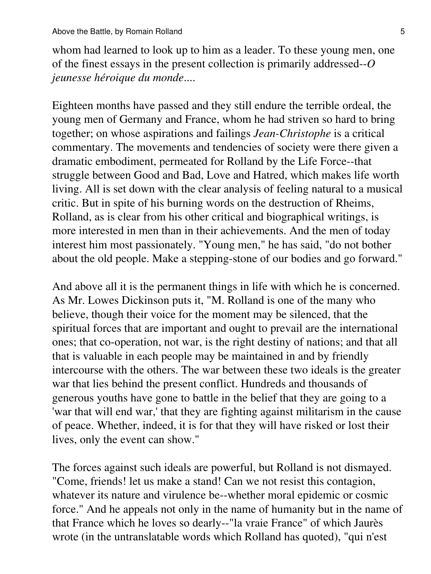whom had learned to look up to him as a leader. To these young men, one of the finest essays in the present collection is primarily addressed--*O jeunesse héroique du monde*....

Eighteen months have passed and they still endure the terrible ordeal, the young men of Germany and France, whom he had striven so hard to bring together; on whose aspirations and failings *Jean-Christophe* is a critical commentary. The movements and tendencies of society were there given a dramatic embodiment, permeated for Rolland by the Life Force--that struggle between Good and Bad, Love and Hatred, which makes life worth living. All is set down with the clear analysis of feeling natural to a musical critic. But in spite of his burning words on the destruction of Rheims, Rolland, as is clear from his other critical and biographical writings, is more interested in men than in their achievements. And the men of today interest him most passionately. "Young men," he has said, "do not bother about the old people. Make a stepping-stone of our bodies and go forward."

And above all it is the permanent things in life with which he is concerned. As Mr. Lowes Dickinson puts it, "M. Rolland is one of the many who believe, though their voice for the moment may be silenced, that the spiritual forces that are important and ought to prevail are the international ones; that co-operation, not war, is the right destiny of nations; and that all that is valuable in each people may be maintained in and by friendly intercourse with the others. The war between these two ideals is the greater war that lies behind the present conflict. Hundreds and thousands of generous youths have gone to battle in the belief that they are going to a 'war that will end war,' that they are fighting against militarism in the cause of peace. Whether, indeed, it is for that they will have risked or lost their lives, only the event can show."

The forces against such ideals are powerful, but Rolland is not dismayed. "Come, friends! let us make a stand! Can we not resist this contagion, whatever its nature and virulence be--whether moral epidemic or cosmic force." And he appeals not only in the name of humanity but in the name of that France which he loves so dearly--"la vraie France" of which Jaurès wrote (in the untranslatable words which Rolland has quoted), "qui n'est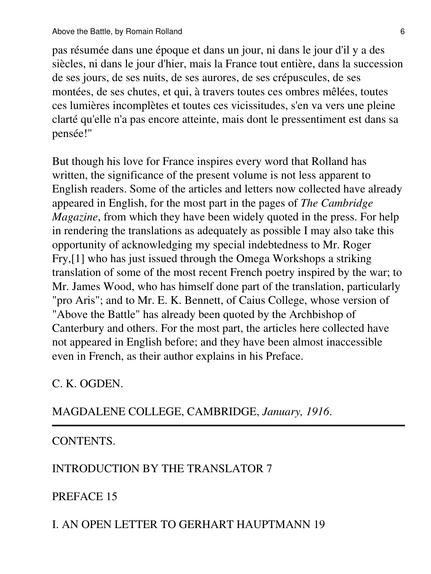pas résumée dans une époque et dans un jour, ni dans le jour d'il y a des siècles, ni dans le jour d'hier, mais la France tout entière, dans la succession de ses jours, de ses nuits, de ses aurores, de ses crépuscules, de ses montées, de ses chutes, et qui, à travers toutes ces ombres mêlées, toutes ces lumières incomplètes et toutes ces vicissitudes, s'en va vers une pleine clarté qu'elle n'a pas encore atteinte, mais dont le pressentiment est dans sa pensée!"

But though his love for France inspires every word that Rolland has written, the significance of the present volume is not less apparent to English readers. Some of the articles and letters now collected have already appeared in English, for the most part in the pages of *The Cambridge Magazine*, from which they have been widely quoted in the press. For help in rendering the translations as adequately as possible I may also take this opportunity of acknowledging my special indebtedness to Mr. Roger Fry,[1] who has just issued through the Omega Workshops a striking translation of some of the most recent French poetry inspired by the war; to Mr. James Wood, who has himself done part of the translation, particularly "pro Aris"; and to Mr. E. K. Bennett, of Caius College, whose version of "Above the Battle" has already been quoted by the Archbishop of Canterbury and others. For the most part, the articles here collected have not appeared in English before; and they have been almost inaccessible even in French, as their author explains in his Preface.

## C. K. OGDEN.

MAGDALENE COLLEGE, CAMBRIDGE, *January, 1916*.

## CONTENTS.

## INTRODUCTION BY THE TRANSLATOR 7

# PREFACE 15

## I. AN OPEN LETTER TO GERHART HAUPTMANN 19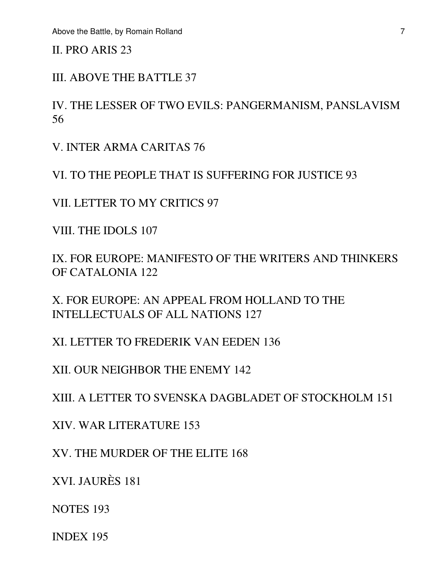II. PRO ARIS 23

III. ABOVE THE BATTLE 37

IV. THE LESSER OF TWO EVILS: PANGERMANISM, PANSLAVISM 56

V. INTER ARMA CARITAS 76

VI. TO THE PEOPLE THAT IS SUFFERING FOR JUSTICE 93

VII. LETTER TO MY CRITICS 97

VIII. THE IDOLS 107

IX. FOR EUROPE: MANIFESTO OF THE WRITERS AND THINKERS OF CATALONIA 122

X. FOR EUROPE: AN APPEAL FROM HOLLAND TO THE INTELLECTUALS OF ALL NATIONS 127

XI. LETTER TO FREDERIK VAN EEDEN 136

XII. OUR NEIGHBOR THE ENEMY 142

XIII. A LETTER TO SVENSKA DAGBLADET OF STOCKHOLM 151

XIV. WAR LITERATURE 153

XV. THE MURDER OF THE ELITE 168

XVI. JAURÈS 181

NOTES 193

INDEX 195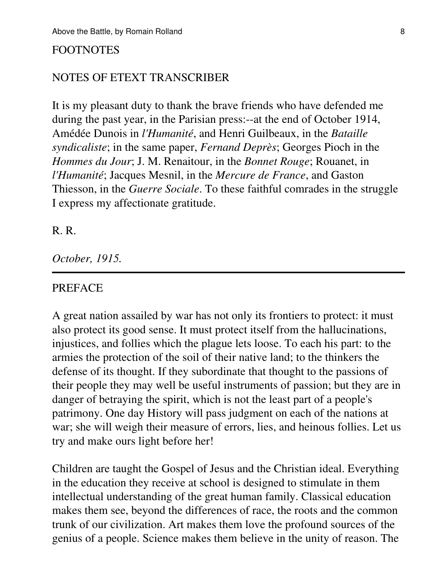#### FOOTNOTES

#### NOTES OF ETEXT TRANSCRIBER

It is my pleasant duty to thank the brave friends who have defended me during the past year, in the Parisian press:--at the end of October 1914, Amédée Dunois in *l'Humanité*, and Henri Guilbeaux, in the *Bataille syndicaliste*; in the same paper, *Fernand Deprès*; Georges Pioch in the *Hommes du Jour*; J. M. Renaitour, in the *Bonnet Rouge*; Rouanet, in *l'Humanité*; Jacques Mesnil, in the *Mercure de France*, and Gaston Thiesson, in the *Guerre Sociale*. To these faithful comrades in the struggle I express my affectionate gratitude.

#### R. R.

*October, 1915.*

#### PREFACE

A great nation assailed by war has not only its frontiers to protect: it must also protect its good sense. It must protect itself from the hallucinations, injustices, and follies which the plague lets loose. To each his part: to the armies the protection of the soil of their native land; to the thinkers the defense of its thought. If they subordinate that thought to the passions of their people they may well be useful instruments of passion; but they are in danger of betraying the spirit, which is not the least part of a people's patrimony. One day History will pass judgment on each of the nations at war; she will weigh their measure of errors, lies, and heinous follies. Let us try and make ours light before her!

Children are taught the Gospel of Jesus and the Christian ideal. Everything in the education they receive at school is designed to stimulate in them intellectual understanding of the great human family. Classical education makes them see, beyond the differences of race, the roots and the common trunk of our civilization. Art makes them love the profound sources of the genius of a people. Science makes them believe in the unity of reason. The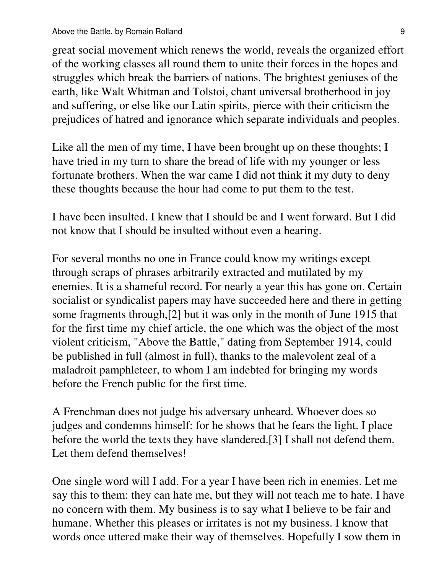great social movement which renews the world, reveals the organized effort of the working classes all round them to unite their forces in the hopes and struggles which break the barriers of nations. The brightest geniuses of the earth, like Walt Whitman and Tolstoi, chant universal brotherhood in joy and suffering, or else like our Latin spirits, pierce with their criticism the prejudices of hatred and ignorance which separate individuals and peoples.

Like all the men of my time, I have been brought up on these thoughts; I have tried in my turn to share the bread of life with my younger or less fortunate brothers. When the war came I did not think it my duty to deny these thoughts because the hour had come to put them to the test.

I have been insulted. I knew that I should be and I went forward. But I did not know that I should be insulted without even a hearing.

For several months no one in France could know my writings except through scraps of phrases arbitrarily extracted and mutilated by my enemies. It is a shameful record. For nearly a year this has gone on. Certain socialist or syndicalist papers may have succeeded here and there in getting some fragments through,[2] but it was only in the month of June 1915 that for the first time my chief article, the one which was the object of the most violent criticism, "Above the Battle," dating from September 1914, could be published in full (almost in full), thanks to the malevolent zeal of a maladroit pamphleteer, to whom I am indebted for bringing my words before the French public for the first time.

A Frenchman does not judge his adversary unheard. Whoever does so judges and condemns himself: for he shows that he fears the light. I place before the world the texts they have slandered.[3] I shall not defend them. Let them defend themselves!

One single word will I add. For a year I have been rich in enemies. Let me say this to them: they can hate me, but they will not teach me to hate. I have no concern with them. My business is to say what I believe to be fair and humane. Whether this pleases or irritates is not my business. I know that words once uttered make their way of themselves. Hopefully I sow them in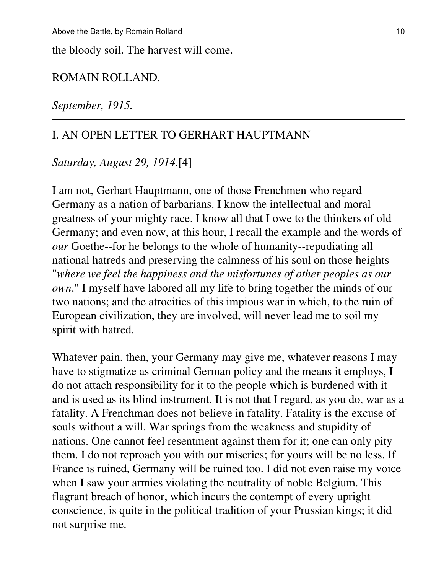the bloody soil. The harvest will come.

#### ROMAIN ROLLAND.

*September, 1915.*

## I. AN OPEN LETTER TO GERHART HAUPTMANN

*Saturday, August 29, 1914.*[4]

I am not, Gerhart Hauptmann, one of those Frenchmen who regard Germany as a nation of barbarians. I know the intellectual and moral greatness of your mighty race. I know all that I owe to the thinkers of old Germany; and even now, at this hour, I recall the example and the words of *our* Goethe--for he belongs to the whole of humanity--repudiating all national hatreds and preserving the calmness of his soul on those heights "*where we feel the happiness and the misfortunes of other peoples as our own*." I myself have labored all my life to bring together the minds of our two nations; and the atrocities of this impious war in which, to the ruin of European civilization, they are involved, will never lead me to soil my spirit with hatred.

Whatever pain, then, your Germany may give me, whatever reasons I may have to stigmatize as criminal German policy and the means it employs, I do not attach responsibility for it to the people which is burdened with it and is used as its blind instrument. It is not that I regard, as you do, war as a fatality. A Frenchman does not believe in fatality. Fatality is the excuse of souls without a will. War springs from the weakness and stupidity of nations. One cannot feel resentment against them for it; one can only pity them. I do not reproach you with our miseries; for yours will be no less. If France is ruined, Germany will be ruined too. I did not even raise my voice when I saw your armies violating the neutrality of noble Belgium. This flagrant breach of honor, which incurs the contempt of every upright conscience, is quite in the political tradition of your Prussian kings; it did not surprise me.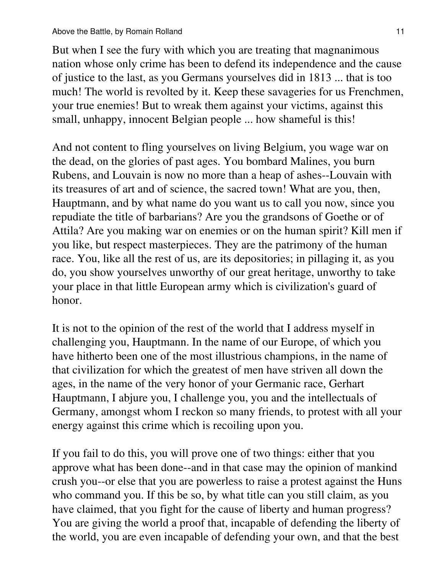But when I see the fury with which you are treating that magnanimous nation whose only crime has been to defend its independence and the cause of justice to the last, as you Germans yourselves did in 1813 ... that is too much! The world is revolted by it. Keep these savageries for us Frenchmen, your true enemies! But to wreak them against your victims, against this small, unhappy, innocent Belgian people ... how shameful is this!

And not content to fling yourselves on living Belgium, you wage war on the dead, on the glories of past ages. You bombard Malines, you burn Rubens, and Louvain is now no more than a heap of ashes--Louvain with its treasures of art and of science, the sacred town! What are you, then, Hauptmann, and by what name do you want us to call you now, since you repudiate the title of barbarians? Are you the grandsons of Goethe or of Attila? Are you making war on enemies or on the human spirit? Kill men if you like, but respect masterpieces. They are the patrimony of the human race. You, like all the rest of us, are its depositories; in pillaging it, as you do, you show yourselves unworthy of our great heritage, unworthy to take your place in that little European army which is civilization's guard of honor.

It is not to the opinion of the rest of the world that I address myself in challenging you, Hauptmann. In the name of our Europe, of which you have hitherto been one of the most illustrious champions, in the name of that civilization for which the greatest of men have striven all down the ages, in the name of the very honor of your Germanic race, Gerhart Hauptmann, I abjure you, I challenge you, you and the intellectuals of Germany, amongst whom I reckon so many friends, to protest with all your energy against this crime which is recoiling upon you.

If you fail to do this, you will prove one of two things: either that you approve what has been done--and in that case may the opinion of mankind crush you--or else that you are powerless to raise a protest against the Huns who command you. If this be so, by what title can you still claim, as you have claimed, that you fight for the cause of liberty and human progress? You are giving the world a proof that, incapable of defending the liberty of the world, you are even incapable of defending your own, and that the best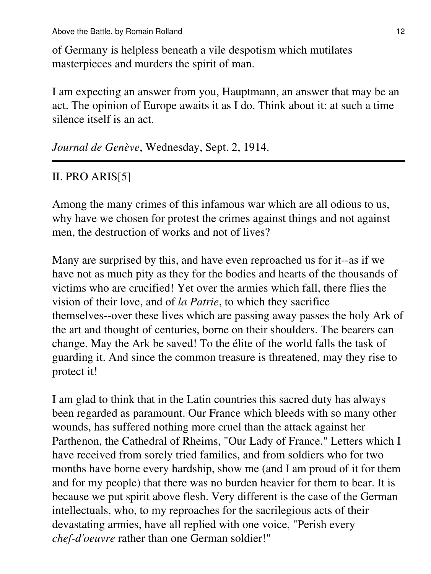Above the Battle, by Romain Rolland 12

of Germany is helpless beneath a vile despotism which mutilates masterpieces and murders the spirit of man.

I am expecting an answer from you, Hauptmann, an answer that may be an act. The opinion of Europe awaits it as I do. Think about it: at such a time silence itself is an act.

*Journal de Genève*, Wednesday, Sept. 2, 1914.

## II. PRO ARIS[5]

Among the many crimes of this infamous war which are all odious to us, why have we chosen for protest the crimes against things and not against men, the destruction of works and not of lives?

Many are surprised by this, and have even reproached us for it--as if we have not as much pity as they for the bodies and hearts of the thousands of victims who are crucified! Yet over the armies which fall, there flies the vision of their love, and of *la Patrie*, to which they sacrifice themselves--over these lives which are passing away passes the holy Ark of the art and thought of centuries, borne on their shoulders. The bearers can change. May the Ark be saved! To the élite of the world falls the task of guarding it. And since the common treasure is threatened, may they rise to protect it!

I am glad to think that in the Latin countries this sacred duty has always been regarded as paramount. Our France which bleeds with so many other wounds, has suffered nothing more cruel than the attack against her Parthenon, the Cathedral of Rheims, "Our Lady of France." Letters which I have received from sorely tried families, and from soldiers who for two months have borne every hardship, show me (and I am proud of it for them and for my people) that there was no burden heavier for them to bear. It is because we put spirit above flesh. Very different is the case of the German intellectuals, who, to my reproaches for the sacrilegious acts of their devastating armies, have all replied with one voice, "Perish every *chef-d'oeuvre* rather than one German soldier!"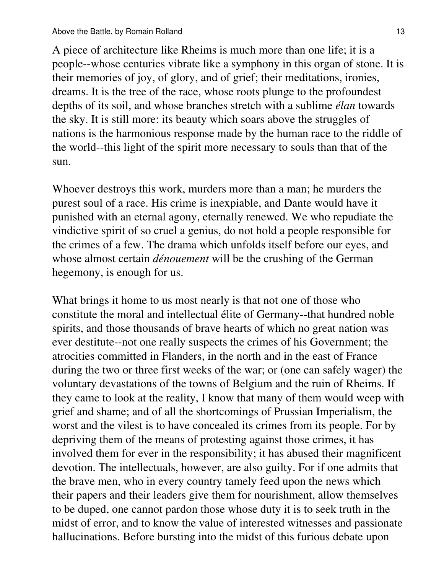A piece of architecture like Rheims is much more than one life; it is a people--whose centuries vibrate like a symphony in this organ of stone. It is their memories of joy, of glory, and of grief; their meditations, ironies, dreams. It is the tree of the race, whose roots plunge to the profoundest depths of its soil, and whose branches stretch with a sublime *élan* towards the sky. It is still more: its beauty which soars above the struggles of nations is the harmonious response made by the human race to the riddle of the world--this light of the spirit more necessary to souls than that of the sun.

Whoever destroys this work, murders more than a man; he murders the purest soul of a race. His crime is inexpiable, and Dante would have it punished with an eternal agony, eternally renewed. We who repudiate the vindictive spirit of so cruel a genius, do not hold a people responsible for the crimes of a few. The drama which unfolds itself before our eyes, and whose almost certain *dénouement* will be the crushing of the German hegemony, is enough for us.

What brings it home to us most nearly is that not one of those who constitute the moral and intellectual élite of Germany--that hundred noble spirits, and those thousands of brave hearts of which no great nation was ever destitute--not one really suspects the crimes of his Government; the atrocities committed in Flanders, in the north and in the east of France during the two or three first weeks of the war; or (one can safely wager) the voluntary devastations of the towns of Belgium and the ruin of Rheims. If they came to look at the reality, I know that many of them would weep with grief and shame; and of all the shortcomings of Prussian Imperialism, the worst and the vilest is to have concealed its crimes from its people. For by depriving them of the means of protesting against those crimes, it has involved them for ever in the responsibility; it has abused their magnificent devotion. The intellectuals, however, are also guilty. For if one admits that the brave men, who in every country tamely feed upon the news which their papers and their leaders give them for nourishment, allow themselves to be duped, one cannot pardon those whose duty it is to seek truth in the midst of error, and to know the value of interested witnesses and passionate hallucinations. Before bursting into the midst of this furious debate upon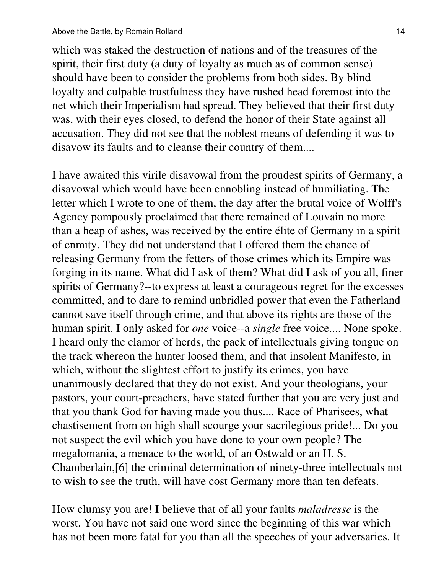which was staked the destruction of nations and of the treasures of the spirit, their first duty (a duty of loyalty as much as of common sense) should have been to consider the problems from both sides. By blind loyalty and culpable trustfulness they have rushed head foremost into the net which their Imperialism had spread. They believed that their first duty was, with their eyes closed, to defend the honor of their State against all accusation. They did not see that the noblest means of defending it was to disavow its faults and to cleanse their country of them....

I have awaited this virile disavowal from the proudest spirits of Germany, a disavowal which would have been ennobling instead of humiliating. The letter which I wrote to one of them, the day after the brutal voice of Wolff's Agency pompously proclaimed that there remained of Louvain no more than a heap of ashes, was received by the entire élite of Germany in a spirit of enmity. They did not understand that I offered them the chance of releasing Germany from the fetters of those crimes which its Empire was forging in its name. What did I ask of them? What did I ask of you all, finer spirits of Germany?--to express at least a courageous regret for the excesses committed, and to dare to remind unbridled power that even the Fatherland cannot save itself through crime, and that above its rights are those of the human spirit. I only asked for *one* voice--a *single* free voice.... None spoke. I heard only the clamor of herds, the pack of intellectuals giving tongue on the track whereon the hunter loosed them, and that insolent Manifesto, in which, without the slightest effort to justify its crimes, you have unanimously declared that they do not exist. And your theologians, your pastors, your court-preachers, have stated further that you are very just and that you thank God for having made you thus.... Race of Pharisees, what chastisement from on high shall scourge your sacrilegious pride!... Do you not suspect the evil which you have done to your own people? The megalomania, a menace to the world, of an Ostwald or an H. S. Chamberlain,[6] the criminal determination of ninety-three intellectuals not to wish to see the truth, will have cost Germany more than ten defeats.

How clumsy you are! I believe that of all your faults *maladresse* is the worst. You have not said one word since the beginning of this war which has not been more fatal for you than all the speeches of your adversaries. It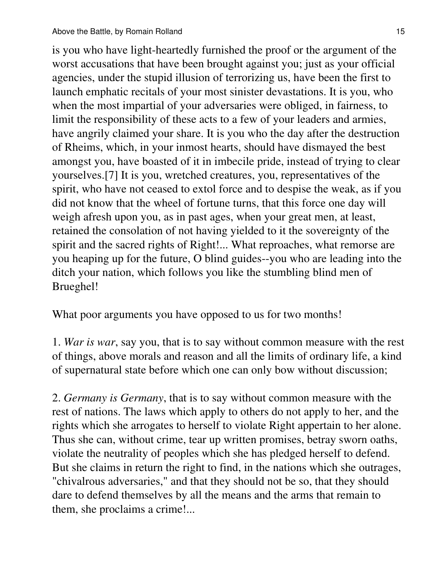is you who have light-heartedly furnished the proof or the argument of the worst accusations that have been brought against you; just as your official agencies, under the stupid illusion of terrorizing us, have been the first to launch emphatic recitals of your most sinister devastations. It is you, who when the most impartial of your adversaries were obliged, in fairness, to limit the responsibility of these acts to a few of your leaders and armies, have angrily claimed your share. It is you who the day after the destruction of Rheims, which, in your inmost hearts, should have dismayed the best amongst you, have boasted of it in imbecile pride, instead of trying to clear yourselves.[7] It is you, wretched creatures, you, representatives of the spirit, who have not ceased to extol force and to despise the weak, as if you did not know that the wheel of fortune turns, that this force one day will weigh afresh upon you, as in past ages, when your great men, at least, retained the consolation of not having yielded to it the sovereignty of the spirit and the sacred rights of Right!... What reproaches, what remorse are you heaping up for the future, O blind guides--you who are leading into the ditch your nation, which follows you like the stumbling blind men of Brueghel!

What poor arguments you have opposed to us for two months!

1. *War is war*, say you, that is to say without common measure with the rest of things, above morals and reason and all the limits of ordinary life, a kind of supernatural state before which one can only bow without discussion;

2. *Germany is Germany*, that is to say without common measure with the rest of nations. The laws which apply to others do not apply to her, and the rights which she arrogates to herself to violate Right appertain to her alone. Thus she can, without crime, tear up written promises, betray sworn oaths, violate the neutrality of peoples which she has pledged herself to defend. But she claims in return the right to find, in the nations which she outrages, "chivalrous adversaries," and that they should not be so, that they should dare to defend themselves by all the means and the arms that remain to them, she proclaims a crime!...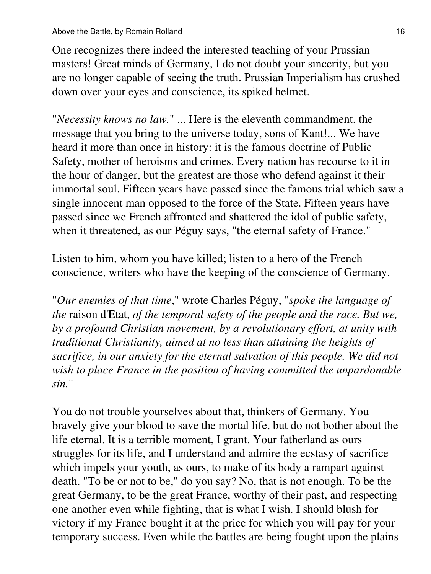One recognizes there indeed the interested teaching of your Prussian masters! Great minds of Germany, I do not doubt your sincerity, but you are no longer capable of seeing the truth. Prussian Imperialism has crushed down over your eyes and conscience, its spiked helmet.

"*Necessity knows no law.*" ... Here is the eleventh commandment, the message that you bring to the universe today, sons of Kant!... We have heard it more than once in history: it is the famous doctrine of Public Safety, mother of heroisms and crimes. Every nation has recourse to it in the hour of danger, but the greatest are those who defend against it their immortal soul. Fifteen years have passed since the famous trial which saw a single innocent man opposed to the force of the State. Fifteen years have passed since we French affronted and shattered the idol of public safety, when it threatened, as our Péguy says, "the eternal safety of France."

Listen to him, whom you have killed; listen to a hero of the French conscience, writers who have the keeping of the conscience of Germany.

"*Our enemies of that time*," wrote Charles Péguy, "*spoke the language of the* raison d'Etat, *of the temporal safety of the people and the race. But we, by a profound Christian movement, by a revolutionary effort, at unity with traditional Christianity, aimed at no less than attaining the heights of sacrifice, in our anxiety for the eternal salvation of this people. We did not wish to place France in the position of having committed the unpardonable sin.*"

You do not trouble yourselves about that, thinkers of Germany. You bravely give your blood to save the mortal life, but do not bother about the life eternal. It is a terrible moment, I grant. Your fatherland as ours struggles for its life, and I understand and admire the ecstasy of sacrifice which impels your youth, as ours, to make of its body a rampart against death. "To be or not to be," do you say? No, that is not enough. To be the great Germany, to be the great France, worthy of their past, and respecting one another even while fighting, that is what I wish. I should blush for victory if my France bought it at the price for which you will pay for your temporary success. Even while the battles are being fought upon the plains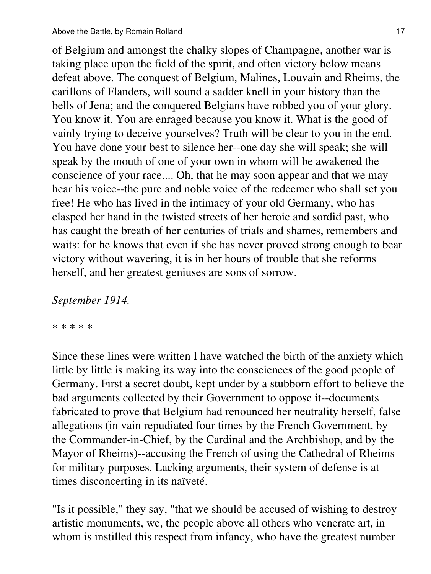of Belgium and amongst the chalky slopes of Champagne, another war is taking place upon the field of the spirit, and often victory below means defeat above. The conquest of Belgium, Malines, Louvain and Rheims, the carillons of Flanders, will sound a sadder knell in your history than the bells of Jena; and the conquered Belgians have robbed you of your glory. You know it. You are enraged because you know it. What is the good of vainly trying to deceive yourselves? Truth will be clear to you in the end. You have done your best to silence her--one day she will speak; she will speak by the mouth of one of your own in whom will be awakened the conscience of your race.... Oh, that he may soon appear and that we may hear his voice--the pure and noble voice of the redeemer who shall set you free! He who has lived in the intimacy of your old Germany, who has clasped her hand in the twisted streets of her heroic and sordid past, who has caught the breath of her centuries of trials and shames, remembers and waits: for he knows that even if she has never proved strong enough to bear victory without wavering, it is in her hours of trouble that she reforms herself, and her greatest geniuses are sons of sorrow.

## *September 1914.*

\* \* \* \* \*

Since these lines were written I have watched the birth of the anxiety which little by little is making its way into the consciences of the good people of Germany. First a secret doubt, kept under by a stubborn effort to believe the bad arguments collected by their Government to oppose it--documents fabricated to prove that Belgium had renounced her neutrality herself, false allegations (in vain repudiated four times by the French Government, by the Commander-in-Chief, by the Cardinal and the Archbishop, and by the Mayor of Rheims)--accusing the French of using the Cathedral of Rheims for military purposes. Lacking arguments, their system of defense is at times disconcerting in its naïveté.

"Is it possible," they say, "that we should be accused of wishing to destroy artistic monuments, we, the people above all others who venerate art, in whom is instilled this respect from infancy, who have the greatest number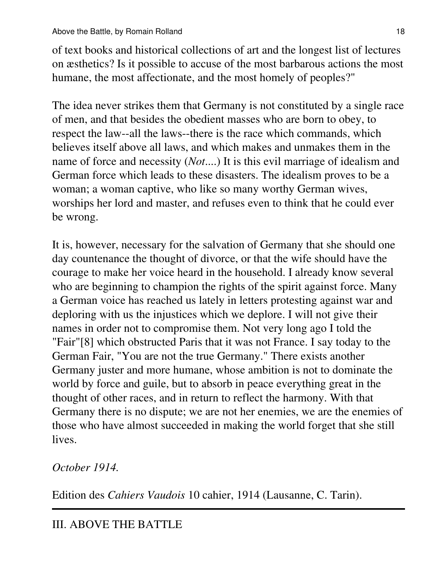of text books and historical collections of art and the longest list of lectures on æsthetics? Is it possible to accuse of the most barbarous actions the most humane, the most affectionate, and the most homely of peoples?"

The idea never strikes them that Germany is not constituted by a single race of men, and that besides the obedient masses who are born to obey, to respect the law--all the laws--there is the race which commands, which believes itself above all laws, and which makes and unmakes them in the name of force and necessity (*Not*....) It is this evil marriage of idealism and German force which leads to these disasters. The idealism proves to be a woman; a woman captive, who like so many worthy German wives, worships her lord and master, and refuses even to think that he could ever be wrong.

It is, however, necessary for the salvation of Germany that she should one day countenance the thought of divorce, or that the wife should have the courage to make her voice heard in the household. I already know several who are beginning to champion the rights of the spirit against force. Many a German voice has reached us lately in letters protesting against war and deploring with us the injustices which we deplore. I will not give their names in order not to compromise them. Not very long ago I told the "Fair"[8] which obstructed Paris that it was not France. I say today to the German Fair, "You are not the true Germany." There exists another Germany juster and more humane, whose ambition is not to dominate the world by force and guile, but to absorb in peace everything great in the thought of other races, and in return to reflect the harmony. With that Germany there is no dispute; we are not her enemies, we are the enemies of those who have almost succeeded in making the world forget that she still lives.

# *October 1914.*

Edition des *Cahiers Vaudois* 10 cahier, 1914 (Lausanne, C. Tarin).

# III. ABOVE THE BATTLE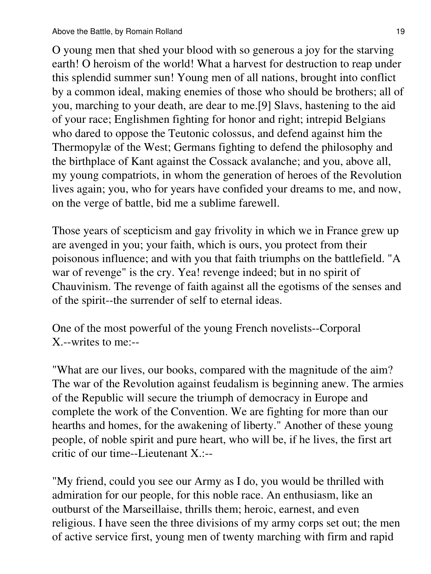O young men that shed your blood with so generous a joy for the starving earth! O heroism of the world! What a harvest for destruction to reap under this splendid summer sun! Young men of all nations, brought into conflict by a common ideal, making enemies of those who should be brothers; all of you, marching to your death, are dear to me.[9] Slavs, hastening to the aid of your race; Englishmen fighting for honor and right; intrepid Belgians who dared to oppose the Teutonic colossus, and defend against him the Thermopylæ of the West; Germans fighting to defend the philosophy and the birthplace of Kant against the Cossack avalanche; and you, above all, my young compatriots, in whom the generation of heroes of the Revolution lives again; you, who for years have confided your dreams to me, and now, on the verge of battle, bid me a sublime farewell.

Those years of scepticism and gay frivolity in which we in France grew up are avenged in you; your faith, which is ours, you protect from their poisonous influence; and with you that faith triumphs on the battlefield. "A war of revenge" is the cry. Yea! revenge indeed; but in no spirit of Chauvinism. The revenge of faith against all the egotisms of the senses and of the spirit--the surrender of self to eternal ideas.

One of the most powerful of the young French novelists--Corporal X.--writes to me:--

"What are our lives, our books, compared with the magnitude of the aim? The war of the Revolution against feudalism is beginning anew. The armies of the Republic will secure the triumph of democracy in Europe and complete the work of the Convention. We are fighting for more than our hearths and homes, for the awakening of liberty." Another of these young people, of noble spirit and pure heart, who will be, if he lives, the first art critic of our time--Lieutenant X.:--

"My friend, could you see our Army as I do, you would be thrilled with admiration for our people, for this noble race. An enthusiasm, like an outburst of the Marseillaise, thrills them; heroic, earnest, and even religious. I have seen the three divisions of my army corps set out; the men of active service first, young men of twenty marching with firm and rapid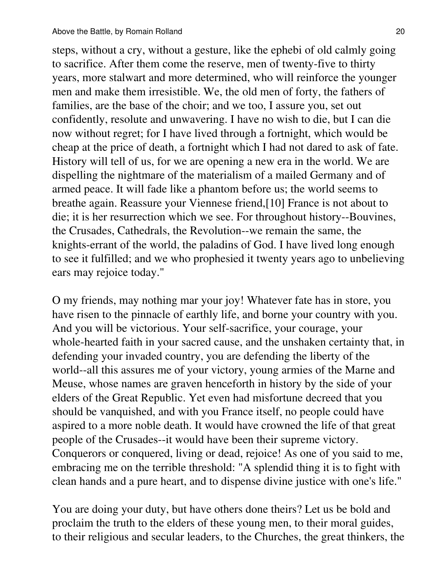steps, without a cry, without a gesture, like the ephebi of old calmly going to sacrifice. After them come the reserve, men of twenty-five to thirty years, more stalwart and more determined, who will reinforce the younger men and make them irresistible. We, the old men of forty, the fathers of families, are the base of the choir; and we too, I assure you, set out confidently, resolute and unwavering. I have no wish to die, but I can die now without regret; for I have lived through a fortnight, which would be cheap at the price of death, a fortnight which I had not dared to ask of fate. History will tell of us, for we are opening a new era in the world. We are dispelling the nightmare of the materialism of a mailed Germany and of armed peace. It will fade like a phantom before us; the world seems to breathe again. Reassure your Viennese friend,[10] France is not about to die; it is her resurrection which we see. For throughout history--Bouvines, the Crusades, Cathedrals, the Revolution--we remain the same, the knights-errant of the world, the paladins of God. I have lived long enough to see it fulfilled; and we who prophesied it twenty years ago to unbelieving ears may rejoice today."

O my friends, may nothing mar your joy! Whatever fate has in store, you have risen to the pinnacle of earthly life, and borne your country with you. And you will be victorious. Your self-sacrifice, your courage, your whole-hearted faith in your sacred cause, and the unshaken certainty that, in defending your invaded country, you are defending the liberty of the world--all this assures me of your victory, young armies of the Marne and Meuse, whose names are graven henceforth in history by the side of your elders of the Great Republic. Yet even had misfortune decreed that you should be vanquished, and with you France itself, no people could have aspired to a more noble death. It would have crowned the life of that great people of the Crusades--it would have been their supreme victory. Conquerors or conquered, living or dead, rejoice! As one of you said to me, embracing me on the terrible threshold: "A splendid thing it is to fight with clean hands and a pure heart, and to dispense divine justice with one's life."

You are doing your duty, but have others done theirs? Let us be bold and proclaim the truth to the elders of these young men, to their moral guides, to their religious and secular leaders, to the Churches, the great thinkers, the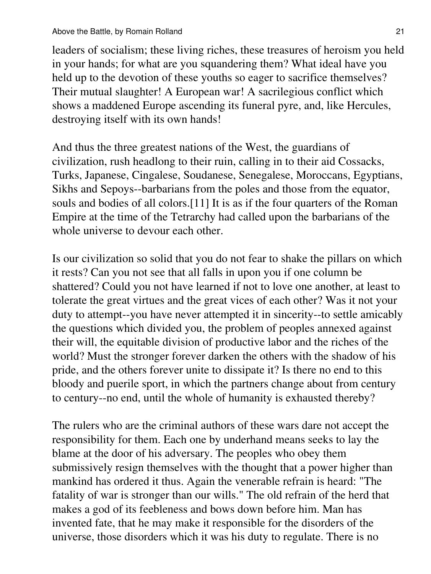leaders of socialism; these living riches, these treasures of heroism you held in your hands; for what are you squandering them? What ideal have you held up to the devotion of these youths so eager to sacrifice themselves? Their mutual slaughter! A European war! A sacrilegious conflict which shows a maddened Europe ascending its funeral pyre, and, like Hercules, destroying itself with its own hands!

And thus the three greatest nations of the West, the guardians of civilization, rush headlong to their ruin, calling in to their aid Cossacks, Turks, Japanese, Cingalese, Soudanese, Senegalese, Moroccans, Egyptians, Sikhs and Sepoys--barbarians from the poles and those from the equator, souls and bodies of all colors.[11] It is as if the four quarters of the Roman Empire at the time of the Tetrarchy had called upon the barbarians of the whole universe to devour each other.

Is our civilization so solid that you do not fear to shake the pillars on which it rests? Can you not see that all falls in upon you if one column be shattered? Could you not have learned if not to love one another, at least to tolerate the great virtues and the great vices of each other? Was it not your duty to attempt--you have never attempted it in sincerity--to settle amicably the questions which divided you, the problem of peoples annexed against their will, the equitable division of productive labor and the riches of the world? Must the stronger forever darken the others with the shadow of his pride, and the others forever unite to dissipate it? Is there no end to this bloody and puerile sport, in which the partners change about from century to century--no end, until the whole of humanity is exhausted thereby?

The rulers who are the criminal authors of these wars dare not accept the responsibility for them. Each one by underhand means seeks to lay the blame at the door of his adversary. The peoples who obey them submissively resign themselves with the thought that a power higher than mankind has ordered it thus. Again the venerable refrain is heard: "The fatality of war is stronger than our wills." The old refrain of the herd that makes a god of its feebleness and bows down before him. Man has invented fate, that he may make it responsible for the disorders of the universe, those disorders which it was his duty to regulate. There is no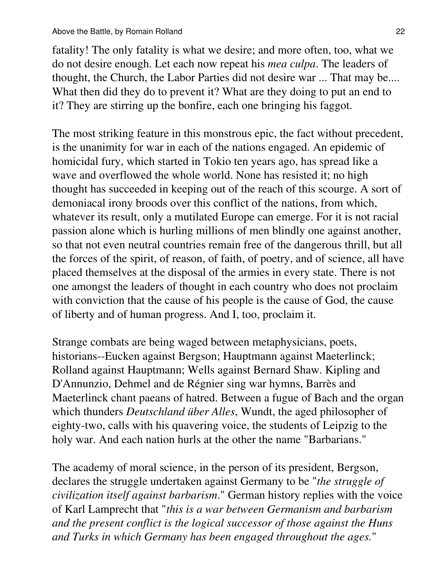fatality! The only fatality is what we desire; and more often, too, what we do not desire enough. Let each now repeat his *mea culpa*. The leaders of thought, the Church, the Labor Parties did not desire war ... That may be.... What then did they do to prevent it? What are they doing to put an end to it? They are stirring up the bonfire, each one bringing his faggot.

The most striking feature in this monstrous epic, the fact without precedent, is the unanimity for war in each of the nations engaged. An epidemic of homicidal fury, which started in Tokio ten years ago, has spread like a wave and overflowed the whole world. None has resisted it; no high thought has succeeded in keeping out of the reach of this scourge. A sort of demoniacal irony broods over this conflict of the nations, from which, whatever its result, only a mutilated Europe can emerge. For it is not racial passion alone which is hurling millions of men blindly one against another, so that not even neutral countries remain free of the dangerous thrill, but all the forces of the spirit, of reason, of faith, of poetry, and of science, all have placed themselves at the disposal of the armies in every state. There is not one amongst the leaders of thought in each country who does not proclaim with conviction that the cause of his people is the cause of God, the cause of liberty and of human progress. And I, too, proclaim it.

Strange combats are being waged between metaphysicians, poets, historians--Eucken against Bergson; Hauptmann against Maeterlinck; Rolland against Hauptmann; Wells against Bernard Shaw. Kipling and D'Annunzio, Dehmel and de Régnier sing war hymns, Barrès and Maeterlinck chant paeans of hatred. Between a fugue of Bach and the organ which thunders *Deutschland über Alles*, Wundt, the aged philosopher of eighty-two, calls with his quavering voice, the students of Leipzig to the holy war. And each nation hurls at the other the name "Barbarians."

The academy of moral science, in the person of its president, Bergson, declares the struggle undertaken against Germany to be "*the struggle of civilization itself against barbarism*." German history replies with the voice of Karl Lamprecht that "*this is a war between Germanism and barbarism and the present conflict is the logical successor of those against the Huns and Turks in which Germany has been engaged throughout the ages.*"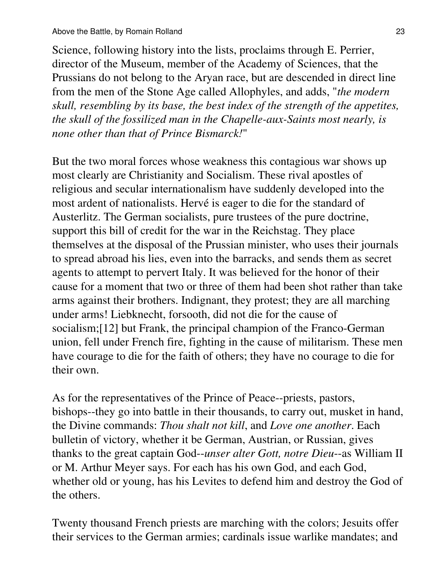#### Above the Battle, by Romain Rolland 23

Science, following history into the lists, proclaims through E. Perrier, director of the Museum, member of the Academy of Sciences, that the Prussians do not belong to the Aryan race, but are descended in direct line from the men of the Stone Age called Allophyles, and adds, "*the modern skull, resembling by its base, the best index of the strength of the appetites, the skull of the fossilized man in the Chapelle-aux-Saints most nearly, is none other than that of Prince Bismarck!*"

But the two moral forces whose weakness this contagious war shows up most clearly are Christianity and Socialism. These rival apostles of religious and secular internationalism have suddenly developed into the most ardent of nationalists. Hervé is eager to die for the standard of Austerlitz. The German socialists, pure trustees of the pure doctrine, support this bill of credit for the war in the Reichstag. They place themselves at the disposal of the Prussian minister, who uses their journals to spread abroad his lies, even into the barracks, and sends them as secret agents to attempt to pervert Italy. It was believed for the honor of their cause for a moment that two or three of them had been shot rather than take arms against their brothers. Indignant, they protest; they are all marching under arms! Liebknecht, forsooth, did not die for the cause of socialism;[12] but Frank, the principal champion of the Franco-German union, fell under French fire, fighting in the cause of militarism. These men have courage to die for the faith of others; they have no courage to die for their own.

As for the representatives of the Prince of Peace--priests, pastors, bishops--they go into battle in their thousands, to carry out, musket in hand, the Divine commands: *Thou shalt not kill*, and *Love one another*. Each bulletin of victory, whether it be German, Austrian, or Russian, gives thanks to the great captain God--*unser alter Gott, notre Dieu*--as William II or M. Arthur Meyer says. For each has his own God, and each God, whether old or young, has his Levites to defend him and destroy the God of the others.

Twenty thousand French priests are marching with the colors; Jesuits offer their services to the German armies; cardinals issue warlike mandates; and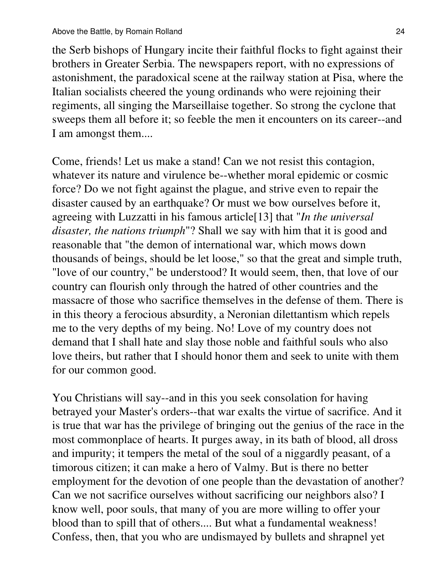the Serb bishops of Hungary incite their faithful flocks to fight against their brothers in Greater Serbia. The newspapers report, with no expressions of astonishment, the paradoxical scene at the railway station at Pisa, where the Italian socialists cheered the young ordinands who were rejoining their regiments, all singing the Marseillaise together. So strong the cyclone that sweeps them all before it; so feeble the men it encounters on its career--and I am amongst them....

Come, friends! Let us make a stand! Can we not resist this contagion, whatever its nature and virulence be--whether moral epidemic or cosmic force? Do we not fight against the plague, and strive even to repair the disaster caused by an earthquake? Or must we bow ourselves before it, agreeing with Luzzatti in his famous article[13] that "*In the universal disaster, the nations triumph*"? Shall we say with him that it is good and reasonable that "the demon of international war, which mows down thousands of beings, should be let loose," so that the great and simple truth, "love of our country," be understood? It would seem, then, that love of our country can flourish only through the hatred of other countries and the massacre of those who sacrifice themselves in the defense of them. There is in this theory a ferocious absurdity, a Neronian dilettantism which repels me to the very depths of my being. No! Love of my country does not demand that I shall hate and slay those noble and faithful souls who also love theirs, but rather that I should honor them and seek to unite with them for our common good.

You Christians will say--and in this you seek consolation for having betrayed your Master's orders--that war exalts the virtue of sacrifice. And it is true that war has the privilege of bringing out the genius of the race in the most commonplace of hearts. It purges away, in its bath of blood, all dross and impurity; it tempers the metal of the soul of a niggardly peasant, of a timorous citizen; it can make a hero of Valmy. But is there no better employment for the devotion of one people than the devastation of another? Can we not sacrifice ourselves without sacrificing our neighbors also? I know well, poor souls, that many of you are more willing to offer your blood than to spill that of others.... But what a fundamental weakness! Confess, then, that you who are undismayed by bullets and shrapnel yet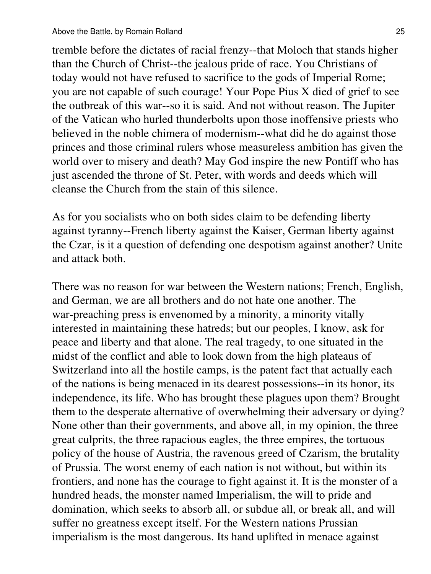tremble before the dictates of racial frenzy--that Moloch that stands higher than the Church of Christ--the jealous pride of race. You Christians of today would not have refused to sacrifice to the gods of Imperial Rome; you are not capable of such courage! Your Pope Pius X died of grief to see the outbreak of this war--so it is said. And not without reason. The Jupiter of the Vatican who hurled thunderbolts upon those inoffensive priests who believed in the noble chimera of modernism--what did he do against those princes and those criminal rulers whose measureless ambition has given the world over to misery and death? May God inspire the new Pontiff who has just ascended the throne of St. Peter, with words and deeds which will cleanse the Church from the stain of this silence.

As for you socialists who on both sides claim to be defending liberty against tyranny--French liberty against the Kaiser, German liberty against the Czar, is it a question of defending one despotism against another? Unite and attack both.

There was no reason for war between the Western nations; French, English, and German, we are all brothers and do not hate one another. The war-preaching press is envenomed by a minority, a minority vitally interested in maintaining these hatreds; but our peoples, I know, ask for peace and liberty and that alone. The real tragedy, to one situated in the midst of the conflict and able to look down from the high plateaus of Switzerland into all the hostile camps, is the patent fact that actually each of the nations is being menaced in its dearest possessions--in its honor, its independence, its life. Who has brought these plagues upon them? Brought them to the desperate alternative of overwhelming their adversary or dying? None other than their governments, and above all, in my opinion, the three great culprits, the three rapacious eagles, the three empires, the tortuous policy of the house of Austria, the ravenous greed of Czarism, the brutality of Prussia. The worst enemy of each nation is not without, but within its frontiers, and none has the courage to fight against it. It is the monster of a hundred heads, the monster named Imperialism, the will to pride and domination, which seeks to absorb all, or subdue all, or break all, and will suffer no greatness except itself. For the Western nations Prussian imperialism is the most dangerous. Its hand uplifted in menace against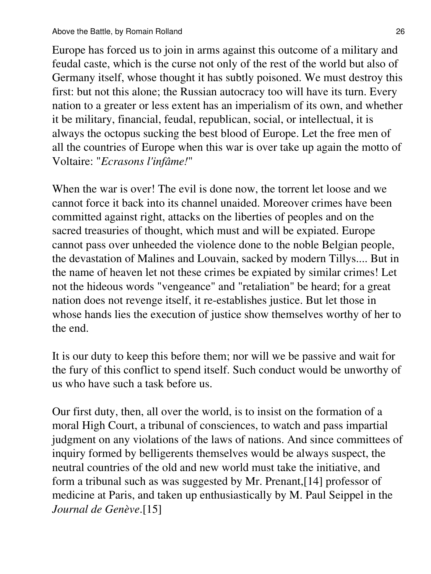Europe has forced us to join in arms against this outcome of a military and feudal caste, which is the curse not only of the rest of the world but also of Germany itself, whose thought it has subtly poisoned. We must destroy this first: but not this alone; the Russian autocracy too will have its turn. Every nation to a greater or less extent has an imperialism of its own, and whether it be military, financial, feudal, republican, social, or intellectual, it is always the octopus sucking the best blood of Europe. Let the free men of all the countries of Europe when this war is over take up again the motto of Voltaire: "*Ecrasons l'infâme!*"

When the war is over! The evil is done now, the torrent let loose and we cannot force it back into its channel unaided. Moreover crimes have been committed against right, attacks on the liberties of peoples and on the sacred treasuries of thought, which must and will be expiated. Europe cannot pass over unheeded the violence done to the noble Belgian people, the devastation of Malines and Louvain, sacked by modern Tillys.... But in the name of heaven let not these crimes be expiated by similar crimes! Let not the hideous words "vengeance" and "retaliation" be heard; for a great nation does not revenge itself, it re-establishes justice. But let those in whose hands lies the execution of justice show themselves worthy of her to the end.

It is our duty to keep this before them; nor will we be passive and wait for the fury of this conflict to spend itself. Such conduct would be unworthy of us who have such a task before us.

Our first duty, then, all over the world, is to insist on the formation of a moral High Court, a tribunal of consciences, to watch and pass impartial judgment on any violations of the laws of nations. And since committees of inquiry formed by belligerents themselves would be always suspect, the neutral countries of the old and new world must take the initiative, and form a tribunal such as was suggested by Mr. Prenant,[14] professor of medicine at Paris, and taken up enthusiastically by M. Paul Seippel in the *Journal de Genève*.[15]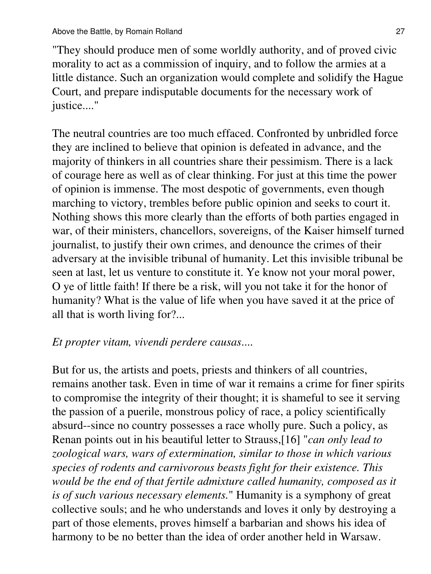"They should produce men of some worldly authority, and of proved civic morality to act as a commission of inquiry, and to follow the armies at a little distance. Such an organization would complete and solidify the Hague Court, and prepare indisputable documents for the necessary work of justice...."

The neutral countries are too much effaced. Confronted by unbridled force they are inclined to believe that opinion is defeated in advance, and the majority of thinkers in all countries share their pessimism. There is a lack of courage here as well as of clear thinking. For just at this time the power of opinion is immense. The most despotic of governments, even though marching to victory, trembles before public opinion and seeks to court it. Nothing shows this more clearly than the efforts of both parties engaged in war, of their ministers, chancellors, sovereigns, of the Kaiser himself turned journalist, to justify their own crimes, and denounce the crimes of their adversary at the invisible tribunal of humanity. Let this invisible tribunal be seen at last, let us venture to constitute it. Ye know not your moral power, O ye of little faith! If there be a risk, will you not take it for the honor of humanity? What is the value of life when you have saved it at the price of all that is worth living for?...

# *Et propter vitam, vivendi perdere causas*....

But for us, the artists and poets, priests and thinkers of all countries, remains another task. Even in time of war it remains a crime for finer spirits to compromise the integrity of their thought; it is shameful to see it serving the passion of a puerile, monstrous policy of race, a policy scientifically absurd--since no country possesses a race wholly pure. Such a policy, as Renan points out in his beautiful letter to Strauss,[16] "*can only lead to zoological wars, wars of extermination, similar to those in which various species of rodents and carnivorous beasts fight for their existence. This would be the end of that fertile admixture called humanity, composed as it is of such various necessary elements.*" Humanity is a symphony of great collective souls; and he who understands and loves it only by destroying a part of those elements, proves himself a barbarian and shows his idea of harmony to be no better than the idea of order another held in Warsaw.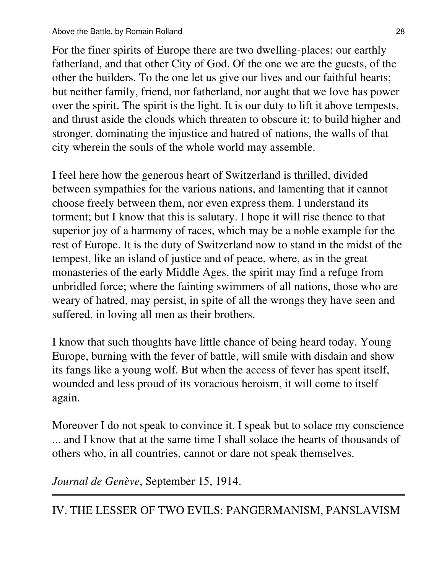For the finer spirits of Europe there are two dwelling-places: our earthly fatherland, and that other City of God. Of the one we are the guests, of the other the builders. To the one let us give our lives and our faithful hearts; but neither family, friend, nor fatherland, nor aught that we love has power over the spirit. The spirit is the light. It is our duty to lift it above tempests, and thrust aside the clouds which threaten to obscure it; to build higher and stronger, dominating the injustice and hatred of nations, the walls of that city wherein the souls of the whole world may assemble.

I feel here how the generous heart of Switzerland is thrilled, divided between sympathies for the various nations, and lamenting that it cannot choose freely between them, nor even express them. I understand its torment; but I know that this is salutary. I hope it will rise thence to that superior joy of a harmony of races, which may be a noble example for the rest of Europe. It is the duty of Switzerland now to stand in the midst of the tempest, like an island of justice and of peace, where, as in the great monasteries of the early Middle Ages, the spirit may find a refuge from unbridled force; where the fainting swimmers of all nations, those who are weary of hatred, may persist, in spite of all the wrongs they have seen and suffered, in loving all men as their brothers.

I know that such thoughts have little chance of being heard today. Young Europe, burning with the fever of battle, will smile with disdain and show its fangs like a young wolf. But when the access of fever has spent itself, wounded and less proud of its voracious heroism, it will come to itself again.

Moreover I do not speak to convince it. I speak but to solace my conscience ... and I know that at the same time I shall solace the hearts of thousands of others who, in all countries, cannot or dare not speak themselves.

*Journal de Genève*, September 15, 1914.

IV. THE LESSER OF TWO EVILS: PANGERMANISM, PANSLAVISM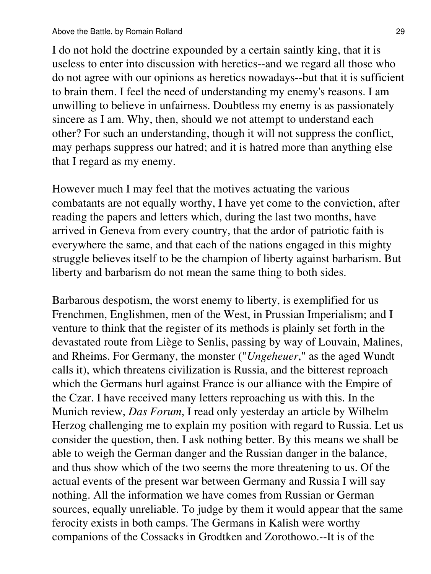I do not hold the doctrine expounded by a certain saintly king, that it is useless to enter into discussion with heretics--and we regard all those who do not agree with our opinions as heretics nowadays--but that it is sufficient to brain them. I feel the need of understanding my enemy's reasons. I am unwilling to believe in unfairness. Doubtless my enemy is as passionately sincere as I am. Why, then, should we not attempt to understand each other? For such an understanding, though it will not suppress the conflict, may perhaps suppress our hatred; and it is hatred more than anything else that I regard as my enemy.

However much I may feel that the motives actuating the various combatants are not equally worthy, I have yet come to the conviction, after reading the papers and letters which, during the last two months, have arrived in Geneva from every country, that the ardor of patriotic faith is everywhere the same, and that each of the nations engaged in this mighty struggle believes itself to be the champion of liberty against barbarism. But liberty and barbarism do not mean the same thing to both sides.

Barbarous despotism, the worst enemy to liberty, is exemplified for us Frenchmen, Englishmen, men of the West, in Prussian Imperialism; and I venture to think that the register of its methods is plainly set forth in the devastated route from Liège to Senlis, passing by way of Louvain, Malines, and Rheims. For Germany, the monster ("*Ungeheuer*," as the aged Wundt calls it), which threatens civilization is Russia, and the bitterest reproach which the Germans hurl against France is our alliance with the Empire of the Czar. I have received many letters reproaching us with this. In the Munich review, *Das Forum*, I read only yesterday an article by Wilhelm Herzog challenging me to explain my position with regard to Russia. Let us consider the question, then. I ask nothing better. By this means we shall be able to weigh the German danger and the Russian danger in the balance, and thus show which of the two seems the more threatening to us. Of the actual events of the present war between Germany and Russia I will say nothing. All the information we have comes from Russian or German sources, equally unreliable. To judge by them it would appear that the same ferocity exists in both camps. The Germans in Kalish were worthy companions of the Cossacks in Grodtken and Zorothowo.--It is of the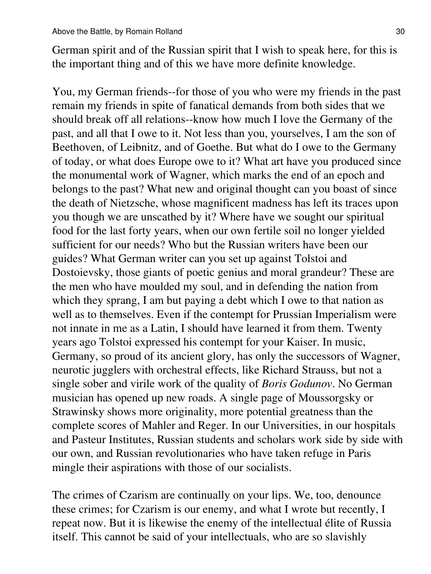German spirit and of the Russian spirit that I wish to speak here, for this is the important thing and of this we have more definite knowledge.

You, my German friends--for those of you who were my friends in the past remain my friends in spite of fanatical demands from both sides that we should break off all relations--know how much I love the Germany of the past, and all that I owe to it. Not less than you, yourselves, I am the son of Beethoven, of Leibnitz, and of Goethe. But what do I owe to the Germany of today, or what does Europe owe to it? What art have you produced since the monumental work of Wagner, which marks the end of an epoch and belongs to the past? What new and original thought can you boast of since the death of Nietzsche, whose magnificent madness has left its traces upon you though we are unscathed by it? Where have we sought our spiritual food for the last forty years, when our own fertile soil no longer yielded sufficient for our needs? Who but the Russian writers have been our guides? What German writer can you set up against Tolstoi and Dostoievsky, those giants of poetic genius and moral grandeur? These are the men who have moulded my soul, and in defending the nation from which they sprang, I am but paying a debt which I owe to that nation as well as to themselves. Even if the contempt for Prussian Imperialism were not innate in me as a Latin, I should have learned it from them. Twenty years ago Tolstoi expressed his contempt for your Kaiser. In music, Germany, so proud of its ancient glory, has only the successors of Wagner, neurotic jugglers with orchestral effects, like Richard Strauss, but not a single sober and virile work of the quality of *Boris Godunov*. No German musician has opened up new roads. A single page of Moussorgsky or Strawinsky shows more originality, more potential greatness than the complete scores of Mahler and Reger. In our Universities, in our hospitals and Pasteur Institutes, Russian students and scholars work side by side with our own, and Russian revolutionaries who have taken refuge in Paris mingle their aspirations with those of our socialists.

The crimes of Czarism are continually on your lips. We, too, denounce these crimes; for Czarism is our enemy, and what I wrote but recently, I repeat now. But it is likewise the enemy of the intellectual élite of Russia itself. This cannot be said of your intellectuals, who are so slavishly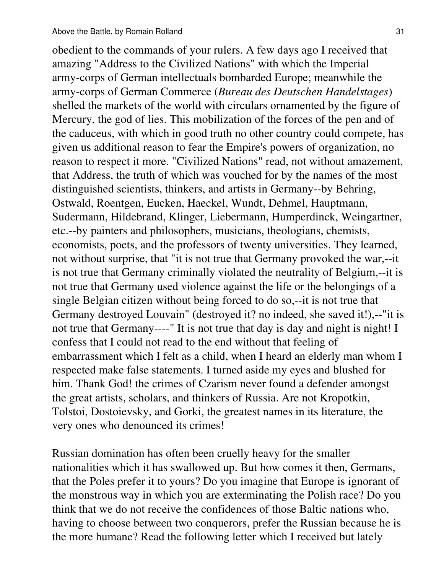obedient to the commands of your rulers. A few days ago I received that amazing "Address to the Civilized Nations" with which the Imperial army-corps of German intellectuals bombarded Europe; meanwhile the army-corps of German Commerce (*Bureau des Deutschen Handelstages*) shelled the markets of the world with circulars ornamented by the figure of Mercury, the god of lies. This mobilization of the forces of the pen and of the caduceus, with which in good truth no other country could compete, has given us additional reason to fear the Empire's powers of organization, no reason to respect it more. "Civilized Nations" read, not without amazement, that Address, the truth of which was vouched for by the names of the most distinguished scientists, thinkers, and artists in Germany--by Behring, Ostwald, Roentgen, Eucken, Haeckel, Wundt, Dehmel, Hauptmann, Sudermann, Hildebrand, Klinger, Liebermann, Humperdinck, Weingartner, etc.--by painters and philosophers, musicians, theologians, chemists, economists, poets, and the professors of twenty universities. They learned, not without surprise, that "it is not true that Germany provoked the war,--it is not true that Germany criminally violated the neutrality of Belgium,--it is not true that Germany used violence against the life or the belongings of a single Belgian citizen without being forced to do so,--it is not true that Germany destroyed Louvain" (destroyed it? no indeed, she saved it!),--"it is not true that Germany----" It is not true that day is day and night is night! I confess that I could not read to the end without that feeling of embarrassment which I felt as a child, when I heard an elderly man whom I respected make false statements. I turned aside my eyes and blushed for him. Thank God! the crimes of Czarism never found a defender amongst the great artists, scholars, and thinkers of Russia. Are not Kropotkin, Tolstoi, Dostoievsky, and Gorki, the greatest names in its literature, the very ones who denounced its crimes!

Russian domination has often been cruelly heavy for the smaller nationalities which it has swallowed up. But how comes it then, Germans, that the Poles prefer it to yours? Do you imagine that Europe is ignorant of the monstrous way in which you are exterminating the Polish race? Do you think that we do not receive the confidences of those Baltic nations who, having to choose between two conquerors, prefer the Russian because he is the more humane? Read the following letter which I received but lately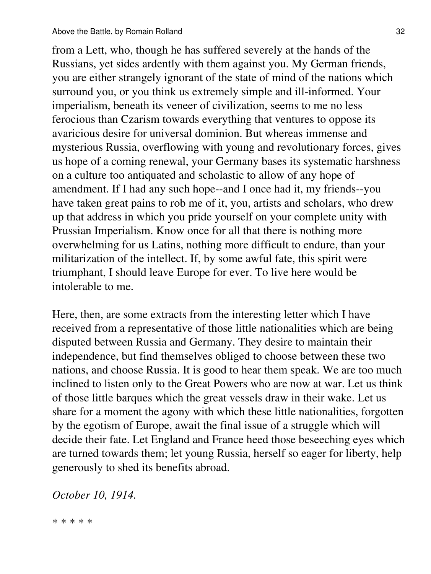from a Lett, who, though he has suffered severely at the hands of the Russians, yet sides ardently with them against you. My German friends, you are either strangely ignorant of the state of mind of the nations which surround you, or you think us extremely simple and ill-informed. Your imperialism, beneath its veneer of civilization, seems to me no less ferocious than Czarism towards everything that ventures to oppose its avaricious desire for universal dominion. But whereas immense and mysterious Russia, overflowing with young and revolutionary forces, gives us hope of a coming renewal, your Germany bases its systematic harshness on a culture too antiquated and scholastic to allow of any hope of amendment. If I had any such hope--and I once had it, my friends--you have taken great pains to rob me of it, you, artists and scholars, who drew up that address in which you pride yourself on your complete unity with Prussian Imperialism. Know once for all that there is nothing more overwhelming for us Latins, nothing more difficult to endure, than your militarization of the intellect. If, by some awful fate, this spirit were triumphant, I should leave Europe for ever. To live here would be intolerable to me.

Here, then, are some extracts from the interesting letter which I have received from a representative of those little nationalities which are being disputed between Russia and Germany. They desire to maintain their independence, but find themselves obliged to choose between these two nations, and choose Russia. It is good to hear them speak. We are too much inclined to listen only to the Great Powers who are now at war. Let us think of those little barques which the great vessels draw in their wake. Let us share for a moment the agony with which these little nationalities, forgotten by the egotism of Europe, await the final issue of a struggle which will decide their fate. Let England and France heed those beseeching eyes which are turned towards them; let young Russia, herself so eager for liberty, help generously to shed its benefits abroad.

# *October 10, 1914.*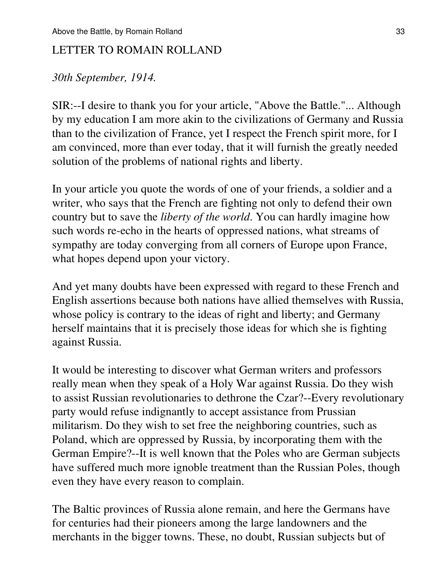#### LETTER TO ROMAIN ROLLAND

#### *30th September, 1914.*

SIR:--I desire to thank you for your article, "Above the Battle."... Although by my education I am more akin to the civilizations of Germany and Russia than to the civilization of France, yet I respect the French spirit more, for I am convinced, more than ever today, that it will furnish the greatly needed solution of the problems of national rights and liberty.

In your article you quote the words of one of your friends, a soldier and a writer, who says that the French are fighting not only to defend their own country but to save the *liberty of the world*. You can hardly imagine how such words re-echo in the hearts of oppressed nations, what streams of sympathy are today converging from all corners of Europe upon France, what hopes depend upon your victory.

And yet many doubts have been expressed with regard to these French and English assertions because both nations have allied themselves with Russia, whose policy is contrary to the ideas of right and liberty; and Germany herself maintains that it is precisely those ideas for which she is fighting against Russia.

It would be interesting to discover what German writers and professors really mean when they speak of a Holy War against Russia. Do they wish to assist Russian revolutionaries to dethrone the Czar?--Every revolutionary party would refuse indignantly to accept assistance from Prussian militarism. Do they wish to set free the neighboring countries, such as Poland, which are oppressed by Russia, by incorporating them with the German Empire?--It is well known that the Poles who are German subjects have suffered much more ignoble treatment than the Russian Poles, though even they have every reason to complain.

The Baltic provinces of Russia alone remain, and here the Germans have for centuries had their pioneers among the large landowners and the merchants in the bigger towns. These, no doubt, Russian subjects but of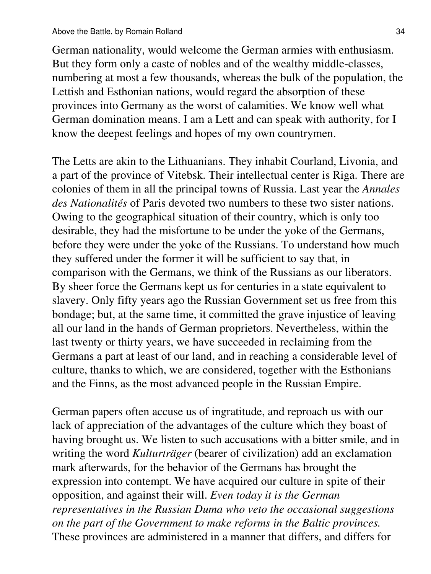German nationality, would welcome the German armies with enthusiasm. But they form only a caste of nobles and of the wealthy middle-classes, numbering at most a few thousands, whereas the bulk of the population, the Lettish and Esthonian nations, would regard the absorption of these provinces into Germany as the worst of calamities. We know well what German domination means. I am a Lett and can speak with authority, for I know the deepest feelings and hopes of my own countrymen.

The Letts are akin to the Lithuanians. They inhabit Courland, Livonia, and a part of the province of Vitebsk. Their intellectual center is Riga. There are colonies of them in all the principal towns of Russia. Last year the *Annales des Nationalités* of Paris devoted two numbers to these two sister nations. Owing to the geographical situation of their country, which is only too desirable, they had the misfortune to be under the yoke of the Germans, before they were under the yoke of the Russians. To understand how much they suffered under the former it will be sufficient to say that, in comparison with the Germans, we think of the Russians as our liberators. By sheer force the Germans kept us for centuries in a state equivalent to slavery. Only fifty years ago the Russian Government set us free from this bondage; but, at the same time, it committed the grave injustice of leaving all our land in the hands of German proprietors. Nevertheless, within the last twenty or thirty years, we have succeeded in reclaiming from the Germans a part at least of our land, and in reaching a considerable level of culture, thanks to which, we are considered, together with the Esthonians and the Finns, as the most advanced people in the Russian Empire.

German papers often accuse us of ingratitude, and reproach us with our lack of appreciation of the advantages of the culture which they boast of having brought us. We listen to such accusations with a bitter smile, and in writing the word *Kulturträger* (bearer of civilization) add an exclamation mark afterwards, for the behavior of the Germans has brought the expression into contempt. We have acquired our culture in spite of their opposition, and against their will. *Even today it is the German representatives in the Russian Duma who veto the occasional suggestions on the part of the Government to make reforms in the Baltic provinces.* These provinces are administered in a manner that differs, and differs for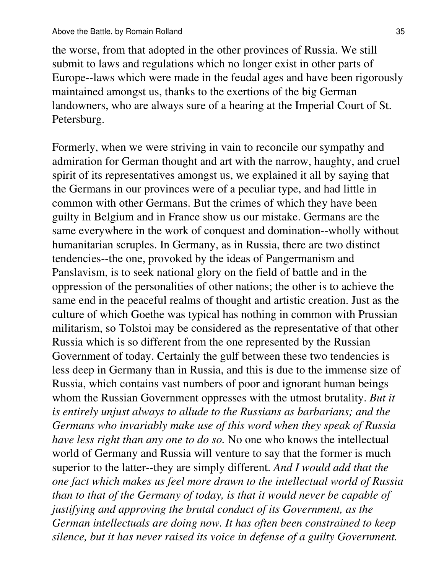the worse, from that adopted in the other provinces of Russia. We still submit to laws and regulations which no longer exist in other parts of Europe--laws which were made in the feudal ages and have been rigorously maintained amongst us, thanks to the exertions of the big German landowners, who are always sure of a hearing at the Imperial Court of St. Petersburg.

Formerly, when we were striving in vain to reconcile our sympathy and admiration for German thought and art with the narrow, haughty, and cruel spirit of its representatives amongst us, we explained it all by saying that the Germans in our provinces were of a peculiar type, and had little in common with other Germans. But the crimes of which they have been guilty in Belgium and in France show us our mistake. Germans are the same everywhere in the work of conquest and domination--wholly without humanitarian scruples. In Germany, as in Russia, there are two distinct tendencies--the one, provoked by the ideas of Pangermanism and Panslavism, is to seek national glory on the field of battle and in the oppression of the personalities of other nations; the other is to achieve the same end in the peaceful realms of thought and artistic creation. Just as the culture of which Goethe was typical has nothing in common with Prussian militarism, so Tolstoi may be considered as the representative of that other Russia which is so different from the one represented by the Russian Government of today. Certainly the gulf between these two tendencies is less deep in Germany than in Russia, and this is due to the immense size of Russia, which contains vast numbers of poor and ignorant human beings whom the Russian Government oppresses with the utmost brutality. *But it is entirely unjust always to allude to the Russians as barbarians; and the Germans who invariably make use of this word when they speak of Russia have less right than any one to do so.* No one who knows the intellectual world of Germany and Russia will venture to say that the former is much superior to the latter--they are simply different. *And I would add that the one fact which makes us feel more drawn to the intellectual world of Russia than to that of the Germany of today, is that it would never be capable of justifying and approving the brutal conduct of its Government, as the German intellectuals are doing now. It has often been constrained to keep silence, but it has never raised its voice in defense of a guilty Government.*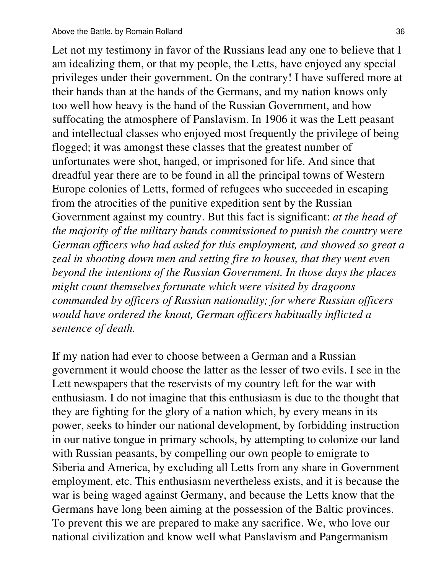Let not my testimony in favor of the Russians lead any one to believe that I am idealizing them, or that my people, the Letts, have enjoyed any special privileges under their government. On the contrary! I have suffered more at their hands than at the hands of the Germans, and my nation knows only too well how heavy is the hand of the Russian Government, and how suffocating the atmosphere of Panslavism. In 1906 it was the Lett peasant and intellectual classes who enjoyed most frequently the privilege of being flogged; it was amongst these classes that the greatest number of unfortunates were shot, hanged, or imprisoned for life. And since that dreadful year there are to be found in all the principal towns of Western Europe colonies of Letts, formed of refugees who succeeded in escaping from the atrocities of the punitive expedition sent by the Russian Government against my country. But this fact is significant: *at the head of the majority of the military bands commissioned to punish the country were German officers who had asked for this employment, and showed so great a zeal in shooting down men and setting fire to houses, that they went even beyond the intentions of the Russian Government. In those days the places might count themselves fortunate which were visited by dragoons commanded by officers of Russian nationality; for where Russian officers would have ordered the knout, German officers habitually inflicted a sentence of death.*

If my nation had ever to choose between a German and a Russian government it would choose the latter as the lesser of two evils. I see in the Lett newspapers that the reservists of my country left for the war with enthusiasm. I do not imagine that this enthusiasm is due to the thought that they are fighting for the glory of a nation which, by every means in its power, seeks to hinder our national development, by forbidding instruction in our native tongue in primary schools, by attempting to colonize our land with Russian peasants, by compelling our own people to emigrate to Siberia and America, by excluding all Letts from any share in Government employment, etc. This enthusiasm nevertheless exists, and it is because the war is being waged against Germany, and because the Letts know that the Germans have long been aiming at the possession of the Baltic provinces. To prevent this we are prepared to make any sacrifice. We, who love our national civilization and know well what Panslavism and Pangermanism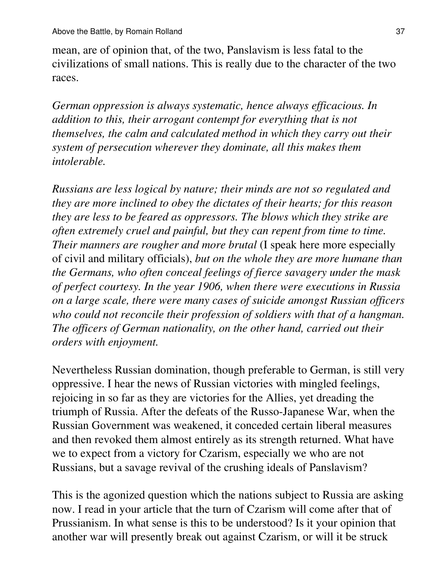mean, are of opinion that, of the two, Panslavism is less fatal to the civilizations of small nations. This is really due to the character of the two races.

*German oppression is always systematic, hence always efficacious. In addition to this, their arrogant contempt for everything that is not themselves, the calm and calculated method in which they carry out their system of persecution wherever they dominate, all this makes them intolerable.*

*Russians are less logical by nature; their minds are not so regulated and they are more inclined to obey the dictates of their hearts; for this reason they are less to be feared as oppressors. The blows which they strike are often extremely cruel and painful, but they can repent from time to time. Their manners are rougher and more brutal* (I speak here more especially of civil and military officials), *but on the whole they are more humane than the Germans, who often conceal feelings of fierce savagery under the mask of perfect courtesy. In the year 1906, when there were executions in Russia on a large scale, there were many cases of suicide amongst Russian officers who could not reconcile their profession of soldiers with that of a hangman. The officers of German nationality, on the other hand, carried out their orders with enjoyment.*

Nevertheless Russian domination, though preferable to German, is still very oppressive. I hear the news of Russian victories with mingled feelings, rejoicing in so far as they are victories for the Allies, yet dreading the triumph of Russia. After the defeats of the Russo-Japanese War, when the Russian Government was weakened, it conceded certain liberal measures and then revoked them almost entirely as its strength returned. What have we to expect from a victory for Czarism, especially we who are not Russians, but a savage revival of the crushing ideals of Panslavism?

This is the agonized question which the nations subject to Russia are asking now. I read in your article that the turn of Czarism will come after that of Prussianism. In what sense is this to be understood? Is it your opinion that another war will presently break out against Czarism, or will it be struck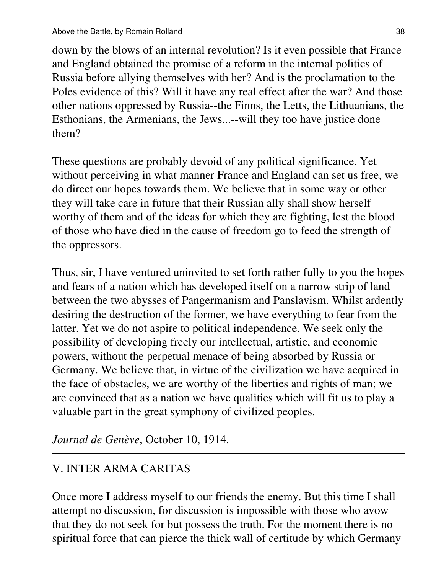down by the blows of an internal revolution? Is it even possible that France and England obtained the promise of a reform in the internal politics of Russia before allying themselves with her? And is the proclamation to the Poles evidence of this? Will it have any real effect after the war? And those other nations oppressed by Russia--the Finns, the Letts, the Lithuanians, the Esthonians, the Armenians, the Jews...--will they too have justice done them?

These questions are probably devoid of any political significance. Yet without perceiving in what manner France and England can set us free, we do direct our hopes towards them. We believe that in some way or other they will take care in future that their Russian ally shall show herself worthy of them and of the ideas for which they are fighting, lest the blood of those who have died in the cause of freedom go to feed the strength of the oppressors.

Thus, sir, I have ventured uninvited to set forth rather fully to you the hopes and fears of a nation which has developed itself on a narrow strip of land between the two abysses of Pangermanism and Panslavism. Whilst ardently desiring the destruction of the former, we have everything to fear from the latter. Yet we do not aspire to political independence. We seek only the possibility of developing freely our intellectual, artistic, and economic powers, without the perpetual menace of being absorbed by Russia or Germany. We believe that, in virtue of the civilization we have acquired in the face of obstacles, we are worthy of the liberties and rights of man; we are convinced that as a nation we have qualities which will fit us to play a valuable part in the great symphony of civilized peoples.

*Journal de Genève*, October 10, 1914.

# V. INTER ARMA CARITAS

Once more I address myself to our friends the enemy. But this time I shall attempt no discussion, for discussion is impossible with those who avow that they do not seek for but possess the truth. For the moment there is no spiritual force that can pierce the thick wall of certitude by which Germany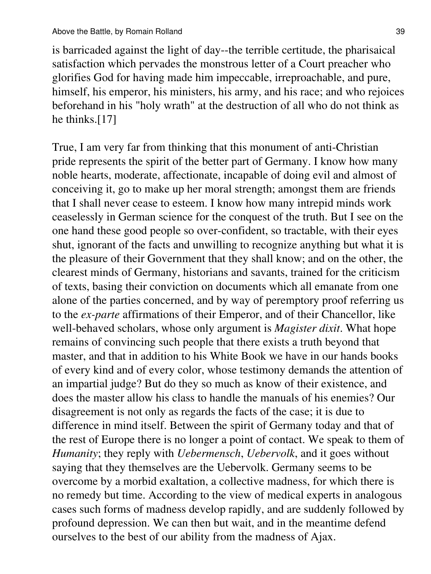is barricaded against the light of day--the terrible certitude, the pharisaical satisfaction which pervades the monstrous letter of a Court preacher who glorifies God for having made him impeccable, irreproachable, and pure, himself, his emperor, his ministers, his army, and his race; and who rejoices beforehand in his "holy wrath" at the destruction of all who do not think as he thinks.[17]

True, I am very far from thinking that this monument of anti-Christian pride represents the spirit of the better part of Germany. I know how many noble hearts, moderate, affectionate, incapable of doing evil and almost of conceiving it, go to make up her moral strength; amongst them are friends that I shall never cease to esteem. I know how many intrepid minds work ceaselessly in German science for the conquest of the truth. But I see on the one hand these good people so over-confident, so tractable, with their eyes shut, ignorant of the facts and unwilling to recognize anything but what it is the pleasure of their Government that they shall know; and on the other, the clearest minds of Germany, historians and savants, trained for the criticism of texts, basing their conviction on documents which all emanate from one alone of the parties concerned, and by way of peremptory proof referring us to the *ex-parte* affirmations of their Emperor, and of their Chancellor, like well-behaved scholars, whose only argument is *Magister dixit*. What hope remains of convincing such people that there exists a truth beyond that master, and that in addition to his White Book we have in our hands books of every kind and of every color, whose testimony demands the attention of an impartial judge? But do they so much as know of their existence, and does the master allow his class to handle the manuals of his enemies? Our disagreement is not only as regards the facts of the case; it is due to difference in mind itself. Between the spirit of Germany today and that of the rest of Europe there is no longer a point of contact. We speak to them of *Humanity*; they reply with *Uebermensch*, *Uebervolk*, and it goes without saying that they themselves are the Uebervolk. Germany seems to be overcome by a morbid exaltation, a collective madness, for which there is no remedy but time. According to the view of medical experts in analogous cases such forms of madness develop rapidly, and are suddenly followed by profound depression. We can then but wait, and in the meantime defend ourselves to the best of our ability from the madness of Ajax.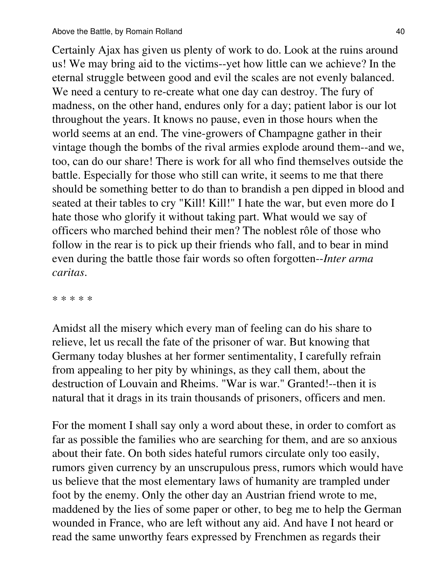Certainly Ajax has given us plenty of work to do. Look at the ruins around us! We may bring aid to the victims--yet how little can we achieve? In the eternal struggle between good and evil the scales are not evenly balanced. We need a century to re-create what one day can destroy. The fury of madness, on the other hand, endures only for a day; patient labor is our lot throughout the years. It knows no pause, even in those hours when the world seems at an end. The vine-growers of Champagne gather in their vintage though the bombs of the rival armies explode around them--and we, too, can do our share! There is work for all who find themselves outside the battle. Especially for those who still can write, it seems to me that there should be something better to do than to brandish a pen dipped in blood and seated at their tables to cry "Kill! Kill!" I hate the war, but even more do I hate those who glorify it without taking part. What would we say of officers who marched behind their men? The noblest rôle of those who follow in the rear is to pick up their friends who fall, and to bear in mind even during the battle those fair words so often forgotten--*Inter arma caritas*.

\* \* \* \* \*

Amidst all the misery which every man of feeling can do his share to relieve, let us recall the fate of the prisoner of war. But knowing that Germany today blushes at her former sentimentality, I carefully refrain from appealing to her pity by whinings, as they call them, about the destruction of Louvain and Rheims. "War is war." Granted!--then it is natural that it drags in its train thousands of prisoners, officers and men.

For the moment I shall say only a word about these, in order to comfort as far as possible the families who are searching for them, and are so anxious about their fate. On both sides hateful rumors circulate only too easily, rumors given currency by an unscrupulous press, rumors which would have us believe that the most elementary laws of humanity are trampled under foot by the enemy. Only the other day an Austrian friend wrote to me, maddened by the lies of some paper or other, to beg me to help the German wounded in France, who are left without any aid. And have I not heard or read the same unworthy fears expressed by Frenchmen as regards their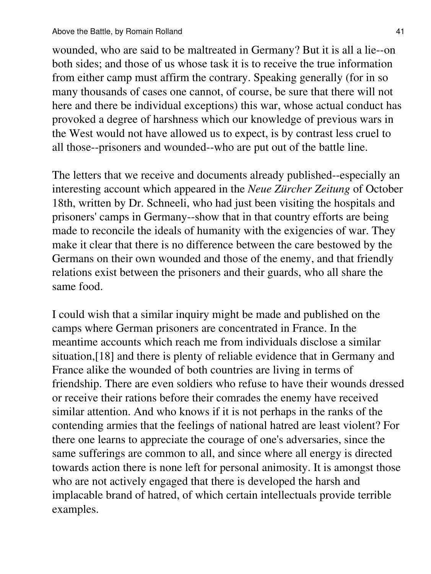wounded, who are said to be maltreated in Germany? But it is all a lie--on both sides; and those of us whose task it is to receive the true information from either camp must affirm the contrary. Speaking generally (for in so many thousands of cases one cannot, of course, be sure that there will not here and there be individual exceptions) this war, whose actual conduct has provoked a degree of harshness which our knowledge of previous wars in the West would not have allowed us to expect, is by contrast less cruel to all those--prisoners and wounded--who are put out of the battle line.

The letters that we receive and documents already published--especially an interesting account which appeared in the *Neue Zürcher Zeitung* of October 18th, written by Dr. Schneeli, who had just been visiting the hospitals and prisoners' camps in Germany--show that in that country efforts are being made to reconcile the ideals of humanity with the exigencies of war. They make it clear that there is no difference between the care bestowed by the Germans on their own wounded and those of the enemy, and that friendly relations exist between the prisoners and their guards, who all share the same food.

I could wish that a similar inquiry might be made and published on the camps where German prisoners are concentrated in France. In the meantime accounts which reach me from individuals disclose a similar situation,[18] and there is plenty of reliable evidence that in Germany and France alike the wounded of both countries are living in terms of friendship. There are even soldiers who refuse to have their wounds dressed or receive their rations before their comrades the enemy have received similar attention. And who knows if it is not perhaps in the ranks of the contending armies that the feelings of national hatred are least violent? For there one learns to appreciate the courage of one's adversaries, since the same sufferings are common to all, and since where all energy is directed towards action there is none left for personal animosity. It is amongst those who are not actively engaged that there is developed the harsh and implacable brand of hatred, of which certain intellectuals provide terrible examples.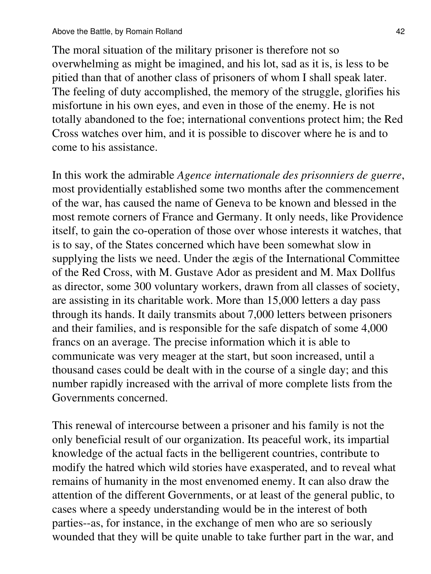The moral situation of the military prisoner is therefore not so overwhelming as might be imagined, and his lot, sad as it is, is less to be pitied than that of another class of prisoners of whom I shall speak later. The feeling of duty accomplished, the memory of the struggle, glorifies his misfortune in his own eyes, and even in those of the enemy. He is not totally abandoned to the foe; international conventions protect him; the Red Cross watches over him, and it is possible to discover where he is and to come to his assistance.

In this work the admirable *Agence internationale des prisonniers de guerre*, most providentially established some two months after the commencement of the war, has caused the name of Geneva to be known and blessed in the most remote corners of France and Germany. It only needs, like Providence itself, to gain the co-operation of those over whose interests it watches, that is to say, of the States concerned which have been somewhat slow in supplying the lists we need. Under the ægis of the International Committee of the Red Cross, with M. Gustave Ador as president and M. Max Dollfus as director, some 300 voluntary workers, drawn from all classes of society, are assisting in its charitable work. More than 15,000 letters a day pass through its hands. It daily transmits about 7,000 letters between prisoners and their families, and is responsible for the safe dispatch of some 4,000 francs on an average. The precise information which it is able to communicate was very meager at the start, but soon increased, until a thousand cases could be dealt with in the course of a single day; and this number rapidly increased with the arrival of more complete lists from the Governments concerned.

This renewal of intercourse between a prisoner and his family is not the only beneficial result of our organization. Its peaceful work, its impartial knowledge of the actual facts in the belligerent countries, contribute to modify the hatred which wild stories have exasperated, and to reveal what remains of humanity in the most envenomed enemy. It can also draw the attention of the different Governments, or at least of the general public, to cases where a speedy understanding would be in the interest of both parties--as, for instance, in the exchange of men who are so seriously wounded that they will be quite unable to take further part in the war, and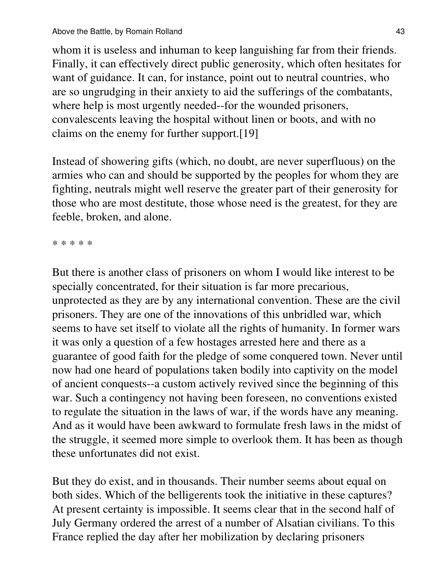whom it is useless and inhuman to keep languishing far from their friends. Finally, it can effectively direct public generosity, which often hesitates for want of guidance. It can, for instance, point out to neutral countries, who are so ungrudging in their anxiety to aid the sufferings of the combatants, where help is most urgently needed--for the wounded prisoners, convalescents leaving the hospital without linen or boots, and with no claims on the enemy for further support.[19]

Instead of showering gifts (which, no doubt, are never superfluous) on the armies who can and should be supported by the peoples for whom they are fighting, neutrals might well reserve the greater part of their generosity for those who are most destitute, those whose need is the greatest, for they are feeble, broken, and alone.

\* \* \* \* \*

But there is another class of prisoners on whom I would like interest to be specially concentrated, for their situation is far more precarious, unprotected as they are by any international convention. These are the civil prisoners. They are one of the innovations of this unbridled war, which seems to have set itself to violate all the rights of humanity. In former wars it was only a question of a few hostages arrested here and there as a guarantee of good faith for the pledge of some conquered town. Never until now had one heard of populations taken bodily into captivity on the model of ancient conquests--a custom actively revived since the beginning of this war. Such a contingency not having been foreseen, no conventions existed to regulate the situation in the laws of war, if the words have any meaning. And as it would have been awkward to formulate fresh laws in the midst of the struggle, it seemed more simple to overlook them. It has been as though these unfortunates did not exist.

But they do exist, and in thousands. Their number seems about equal on both sides. Which of the belligerents took the initiative in these captures? At present certainty is impossible. It seems clear that in the second half of July Germany ordered the arrest of a number of Alsatian civilians. To this France replied the day after her mobilization by declaring prisoners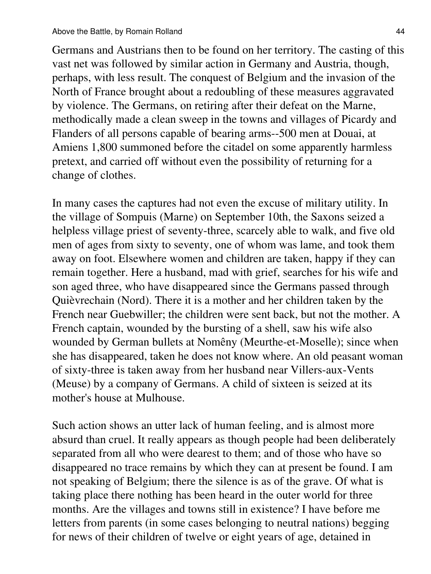Germans and Austrians then to be found on her territory. The casting of this vast net was followed by similar action in Germany and Austria, though, perhaps, with less result. The conquest of Belgium and the invasion of the North of France brought about a redoubling of these measures aggravated by violence. The Germans, on retiring after their defeat on the Marne, methodically made a clean sweep in the towns and villages of Picardy and Flanders of all persons capable of bearing arms--500 men at Douai, at Amiens 1,800 summoned before the citadel on some apparently harmless pretext, and carried off without even the possibility of returning for a change of clothes.

In many cases the captures had not even the excuse of military utility. In the village of Sompuis (Marne) on September 10th, the Saxons seized a helpless village priest of seventy-three, scarcely able to walk, and five old men of ages from sixty to seventy, one of whom was lame, and took them away on foot. Elsewhere women and children are taken, happy if they can remain together. Here a husband, mad with grief, searches for his wife and son aged three, who have disappeared since the Germans passed through Quièvrechain (Nord). There it is a mother and her children taken by the French near Guebwiller; the children were sent back, but not the mother. A French captain, wounded by the bursting of a shell, saw his wife also wounded by German bullets at Nomêny (Meurthe-et-Moselle); since when she has disappeared, taken he does not know where. An old peasant woman of sixty-three is taken away from her husband near Villers-aux-Vents (Meuse) by a company of Germans. A child of sixteen is seized at its mother's house at Mulhouse.

Such action shows an utter lack of human feeling, and is almost more absurd than cruel. It really appears as though people had been deliberately separated from all who were dearest to them; and of those who have so disappeared no trace remains by which they can at present be found. I am not speaking of Belgium; there the silence is as of the grave. Of what is taking place there nothing has been heard in the outer world for three months. Are the villages and towns still in existence? I have before me letters from parents (in some cases belonging to neutral nations) begging for news of their children of twelve or eight years of age, detained in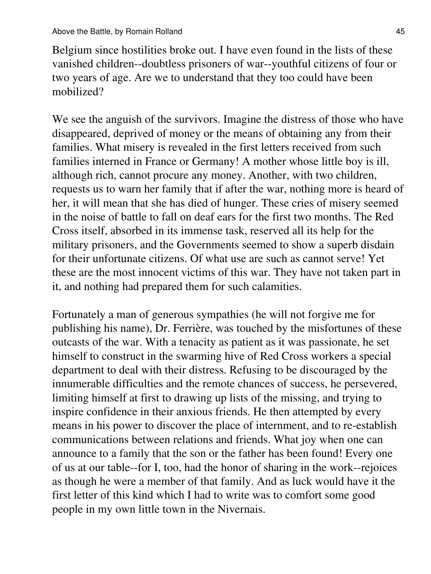Belgium since hostilities broke out. I have even found in the lists of these vanished children--doubtless prisoners of war--youthful citizens of four or two years of age. Are we to understand that they too could have been mobilized?

We see the anguish of the survivors. Imagine the distress of those who have disappeared, deprived of money or the means of obtaining any from their families. What misery is revealed in the first letters received from such families interned in France or Germany! A mother whose little boy is ill, although rich, cannot procure any money. Another, with two children, requests us to warn her family that if after the war, nothing more is heard of her, it will mean that she has died of hunger. These cries of misery seemed in the noise of battle to fall on deaf ears for the first two months. The Red Cross itself, absorbed in its immense task, reserved all its help for the military prisoners, and the Governments seemed to show a superb disdain for their unfortunate citizens. Of what use are such as cannot serve! Yet these are the most innocent victims of this war. They have not taken part in it, and nothing had prepared them for such calamities.

Fortunately a man of generous sympathies (he will not forgive me for publishing his name), Dr. Ferrière, was touched by the misfortunes of these outcasts of the war. With a tenacity as patient as it was passionate, he set himself to construct in the swarming hive of Red Cross workers a special department to deal with their distress. Refusing to be discouraged by the innumerable difficulties and the remote chances of success, he persevered, limiting himself at first to drawing up lists of the missing, and trying to inspire confidence in their anxious friends. He then attempted by every means in his power to discover the place of internment, and to re-establish communications between relations and friends. What joy when one can announce to a family that the son or the father has been found! Every one of us at our table--for I, too, had the honor of sharing in the work--rejoices as though he were a member of that family. And as luck would have it the first letter of this kind which I had to write was to comfort some good people in my own little town in the Nivernais.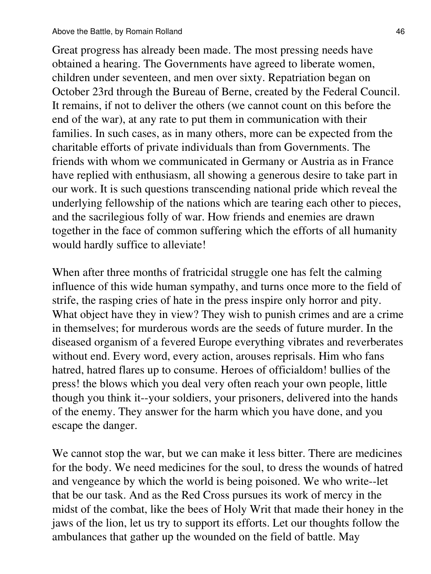Great progress has already been made. The most pressing needs have obtained a hearing. The Governments have agreed to liberate women, children under seventeen, and men over sixty. Repatriation began on October 23rd through the Bureau of Berne, created by the Federal Council. It remains, if not to deliver the others (we cannot count on this before the end of the war), at any rate to put them in communication with their families. In such cases, as in many others, more can be expected from the charitable efforts of private individuals than from Governments. The friends with whom we communicated in Germany or Austria as in France have replied with enthusiasm, all showing a generous desire to take part in our work. It is such questions transcending national pride which reveal the underlying fellowship of the nations which are tearing each other to pieces, and the sacrilegious folly of war. How friends and enemies are drawn together in the face of common suffering which the efforts of all humanity would hardly suffice to alleviate!

When after three months of fratricidal struggle one has felt the calming influence of this wide human sympathy, and turns once more to the field of strife, the rasping cries of hate in the press inspire only horror and pity. What object have they in view? They wish to punish crimes and are a crime in themselves; for murderous words are the seeds of future murder. In the diseased organism of a fevered Europe everything vibrates and reverberates without end. Every word, every action, arouses reprisals. Him who fans hatred, hatred flares up to consume. Heroes of officialdom! bullies of the press! the blows which you deal very often reach your own people, little though you think it--your soldiers, your prisoners, delivered into the hands of the enemy. They answer for the harm which you have done, and you escape the danger.

We cannot stop the war, but we can make it less bitter. There are medicines for the body. We need medicines for the soul, to dress the wounds of hatred and vengeance by which the world is being poisoned. We who write--let that be our task. And as the Red Cross pursues its work of mercy in the midst of the combat, like the bees of Holy Writ that made their honey in the jaws of the lion, let us try to support its efforts. Let our thoughts follow the ambulances that gather up the wounded on the field of battle. May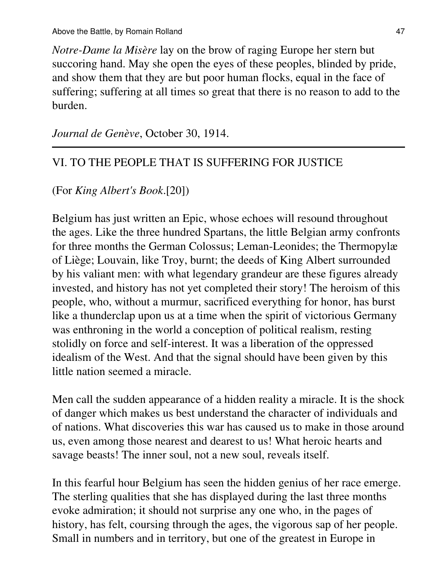*Notre-Dame la Misère* lay on the brow of raging Europe her stern but succoring hand. May she open the eyes of these peoples, blinded by pride, and show them that they are but poor human flocks, equal in the face of suffering; suffering at all times so great that there is no reason to add to the burden.

*Journal de Genève*, October 30, 1914.

# VI. TO THE PEOPLE THAT IS SUFFERING FOR JUSTICE

(For *King Albert's Book*.[20])

Belgium has just written an Epic, whose echoes will resound throughout the ages. Like the three hundred Spartans, the little Belgian army confronts for three months the German Colossus; Leman-Leonides; the Thermopylæ of Liège; Louvain, like Troy, burnt; the deeds of King Albert surrounded by his valiant men: with what legendary grandeur are these figures already invested, and history has not yet completed their story! The heroism of this people, who, without a murmur, sacrificed everything for honor, has burst like a thunderclap upon us at a time when the spirit of victorious Germany was enthroning in the world a conception of political realism, resting stolidly on force and self-interest. It was a liberation of the oppressed idealism of the West. And that the signal should have been given by this little nation seemed a miracle.

Men call the sudden appearance of a hidden reality a miracle. It is the shock of danger which makes us best understand the character of individuals and of nations. What discoveries this war has caused us to make in those around us, even among those nearest and dearest to us! What heroic hearts and savage beasts! The inner soul, not a new soul, reveals itself.

In this fearful hour Belgium has seen the hidden genius of her race emerge. The sterling qualities that she has displayed during the last three months evoke admiration; it should not surprise any one who, in the pages of history, has felt, coursing through the ages, the vigorous sap of her people. Small in numbers and in territory, but one of the greatest in Europe in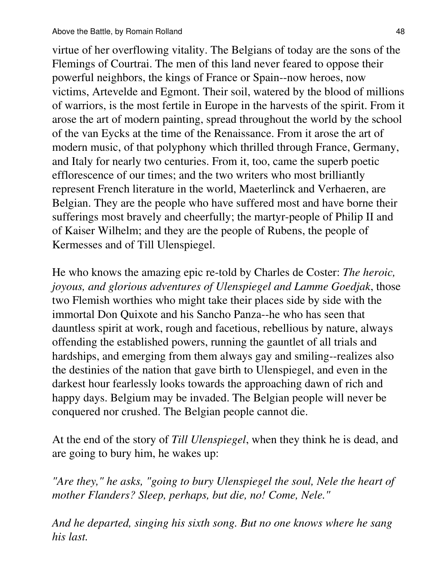virtue of her overflowing vitality. The Belgians of today are the sons of the Flemings of Courtrai. The men of this land never feared to oppose their powerful neighbors, the kings of France or Spain--now heroes, now victims, Artevelde and Egmont. Their soil, watered by the blood of millions of warriors, is the most fertile in Europe in the harvests of the spirit. From it arose the art of modern painting, spread throughout the world by the school of the van Eycks at the time of the Renaissance. From it arose the art of modern music, of that polyphony which thrilled through France, Germany, and Italy for nearly two centuries. From it, too, came the superb poetic efflorescence of our times; and the two writers who most brilliantly represent French literature in the world, Maeterlinck and Verhaeren, are Belgian. They are the people who have suffered most and have borne their sufferings most bravely and cheerfully; the martyr-people of Philip II and of Kaiser Wilhelm; and they are the people of Rubens, the people of Kermesses and of Till Ulenspiegel.

He who knows the amazing epic re-told by Charles de Coster: *The heroic, joyous, and glorious adventures of Ulenspiegel and Lamme Goedjak*, those two Flemish worthies who might take their places side by side with the immortal Don Quixote and his Sancho Panza--he who has seen that dauntless spirit at work, rough and facetious, rebellious by nature, always offending the established powers, running the gauntlet of all trials and hardships, and emerging from them always gay and smiling--realizes also the destinies of the nation that gave birth to Ulenspiegel, and even in the darkest hour fearlessly looks towards the approaching dawn of rich and happy days. Belgium may be invaded. The Belgian people will never be conquered nor crushed. The Belgian people cannot die.

At the end of the story of *Till Ulenspiegel*, when they think he is dead, and are going to bury him, he wakes up:

*"Are they," he asks, "going to bury Ulenspiegel the soul, Nele the heart of mother Flanders? Sleep, perhaps, but die, no! Come, Nele."*

*And he departed, singing his sixth song. But no one knows where he sang his last.*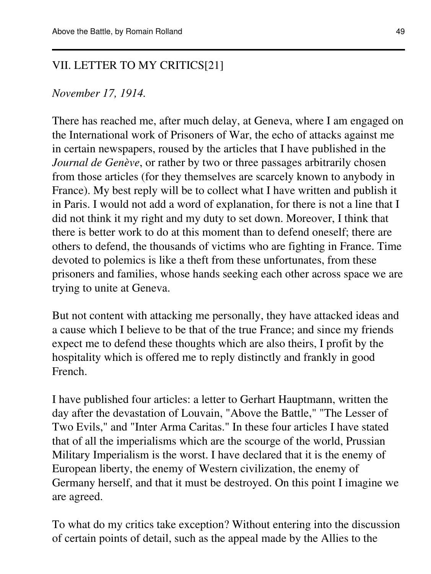#### VII. LETTER TO MY CRITICS[21]

#### *November 17, 1914.*

There has reached me, after much delay, at Geneva, where I am engaged on the International work of Prisoners of War, the echo of attacks against me in certain newspapers, roused by the articles that I have published in the *Journal de Genève*, or rather by two or three passages arbitrarily chosen from those articles (for they themselves are scarcely known to anybody in France). My best reply will be to collect what I have written and publish it in Paris. I would not add a word of explanation, for there is not a line that I did not think it my right and my duty to set down. Moreover, I think that there is better work to do at this moment than to defend oneself; there are others to defend, the thousands of victims who are fighting in France. Time devoted to polemics is like a theft from these unfortunates, from these prisoners and families, whose hands seeking each other across space we are trying to unite at Geneva.

But not content with attacking me personally, they have attacked ideas and a cause which I believe to be that of the true France; and since my friends expect me to defend these thoughts which are also theirs, I profit by the hospitality which is offered me to reply distinctly and frankly in good French.

I have published four articles: a letter to Gerhart Hauptmann, written the day after the devastation of Louvain, "Above the Battle," "The Lesser of Two Evils," and "Inter Arma Caritas." In these four articles I have stated that of all the imperialisms which are the scourge of the world, Prussian Military Imperialism is the worst. I have declared that it is the enemy of European liberty, the enemy of Western civilization, the enemy of Germany herself, and that it must be destroyed. On this point I imagine we are agreed.

To what do my critics take exception? Without entering into the discussion of certain points of detail, such as the appeal made by the Allies to the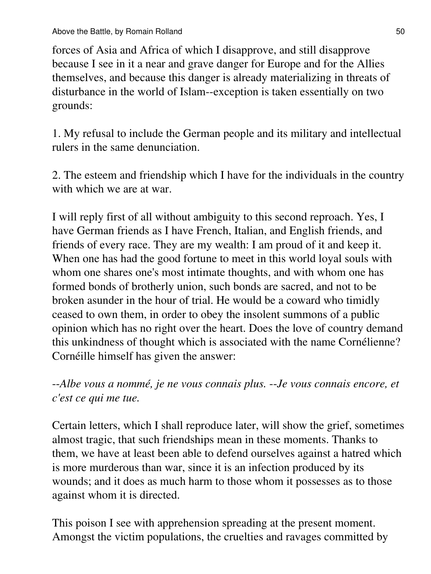forces of Asia and Africa of which I disapprove, and still disapprove because I see in it a near and grave danger for Europe and for the Allies themselves, and because this danger is already materializing in threats of disturbance in the world of Islam--exception is taken essentially on two grounds:

1. My refusal to include the German people and its military and intellectual rulers in the same denunciation.

2. The esteem and friendship which I have for the individuals in the country with which we are at war.

I will reply first of all without ambiguity to this second reproach. Yes, I have German friends as I have French, Italian, and English friends, and friends of every race. They are my wealth: I am proud of it and keep it. When one has had the good fortune to meet in this world loyal souls with whom one shares one's most intimate thoughts, and with whom one has formed bonds of brotherly union, such bonds are sacred, and not to be broken asunder in the hour of trial. He would be a coward who timidly ceased to own them, in order to obey the insolent summons of a public opinion which has no right over the heart. Does the love of country demand this unkindness of thought which is associated with the name Cornélienne? Cornéille himself has given the answer:

--*Albe vous a nommé, je ne vous connais plus.* --*Je vous connais encore, et c'est ce qui me tue.*

Certain letters, which I shall reproduce later, will show the grief, sometimes almost tragic, that such friendships mean in these moments. Thanks to them, we have at least been able to defend ourselves against a hatred which is more murderous than war, since it is an infection produced by its wounds; and it does as much harm to those whom it possesses as to those against whom it is directed.

This poison I see with apprehension spreading at the present moment. Amongst the victim populations, the cruelties and ravages committed by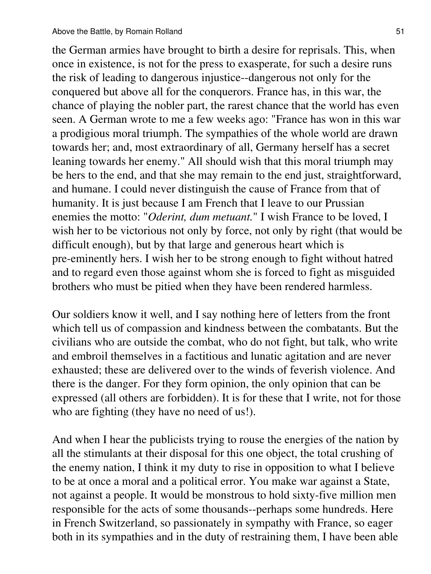the German armies have brought to birth a desire for reprisals. This, when once in existence, is not for the press to exasperate, for such a desire runs the risk of leading to dangerous injustice--dangerous not only for the conquered but above all for the conquerors. France has, in this war, the chance of playing the nobler part, the rarest chance that the world has even seen. A German wrote to me a few weeks ago: "France has won in this war a prodigious moral triumph. The sympathies of the whole world are drawn towards her; and, most extraordinary of all, Germany herself has a secret leaning towards her enemy." All should wish that this moral triumph may be hers to the end, and that she may remain to the end just, straightforward, and humane. I could never distinguish the cause of France from that of humanity. It is just because I am French that I leave to our Prussian enemies the motto: "*Oderint, dum metuant.*" I wish France to be loved, I wish her to be victorious not only by force, not only by right (that would be difficult enough), but by that large and generous heart which is pre-eminently hers. I wish her to be strong enough to fight without hatred and to regard even those against whom she is forced to fight as misguided brothers who must be pitied when they have been rendered harmless.

Our soldiers know it well, and I say nothing here of letters from the front which tell us of compassion and kindness between the combatants. But the civilians who are outside the combat, who do not fight, but talk, who write and embroil themselves in a factitious and lunatic agitation and are never exhausted; these are delivered over to the winds of feverish violence. And there is the danger. For they form opinion, the only opinion that can be expressed (all others are forbidden). It is for these that I write, not for those who are fighting (they have no need of us!).

And when I hear the publicists trying to rouse the energies of the nation by all the stimulants at their disposal for this one object, the total crushing of the enemy nation, I think it my duty to rise in opposition to what I believe to be at once a moral and a political error. You make war against a State, not against a people. It would be monstrous to hold sixty-five million men responsible for the acts of some thousands--perhaps some hundreds. Here in French Switzerland, so passionately in sympathy with France, so eager both in its sympathies and in the duty of restraining them, I have been able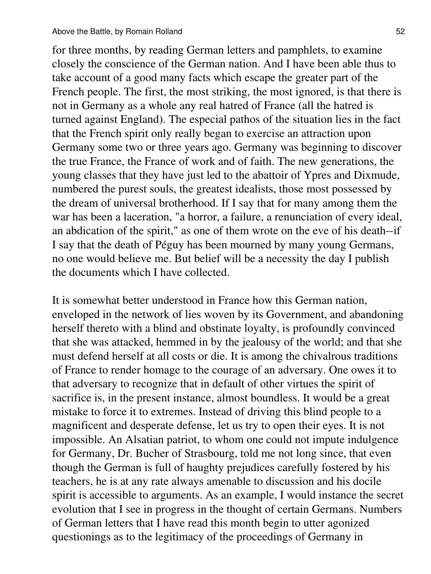for three months, by reading German letters and pamphlets, to examine closely the conscience of the German nation. And I have been able thus to take account of a good many facts which escape the greater part of the French people. The first, the most striking, the most ignored, is that there is not in Germany as a whole any real hatred of France (all the hatred is turned against England). The especial pathos of the situation lies in the fact that the French spirit only really began to exercise an attraction upon Germany some two or three years ago. Germany was beginning to discover the true France, the France of work and of faith. The new generations, the young classes that they have just led to the abattoir of Ypres and Dixmude, numbered the purest souls, the greatest idealists, those most possessed by the dream of universal brotherhood. If I say that for many among them the war has been a laceration, "a horror, a failure, a renunciation of every ideal, an abdication of the spirit," as one of them wrote on the eve of his death--if I say that the death of Péguy has been mourned by many young Germans, no one would believe me. But belief will be a necessity the day I publish the documents which I have collected.

It is somewhat better understood in France how this German nation, enveloped in the network of lies woven by its Government, and abandoning herself thereto with a blind and obstinate loyalty, is profoundly convinced that she was attacked, hemmed in by the jealousy of the world; and that she must defend herself at all costs or die. It is among the chivalrous traditions of France to render homage to the courage of an adversary. One owes it to that adversary to recognize that in default of other virtues the spirit of sacrifice is, in the present instance, almost boundless. It would be a great mistake to force it to extremes. Instead of driving this blind people to a magnificent and desperate defense, let us try to open their eyes. It is not impossible. An Alsatian patriot, to whom one could not impute indulgence for Germany, Dr. Bucher of Strasbourg, told me not long since, that even though the German is full of haughty prejudices carefully fostered by his teachers, he is at any rate always amenable to discussion and his docile spirit is accessible to arguments. As an example, I would instance the secret evolution that I see in progress in the thought of certain Germans. Numbers of German letters that I have read this month begin to utter agonized questionings as to the legitimacy of the proceedings of Germany in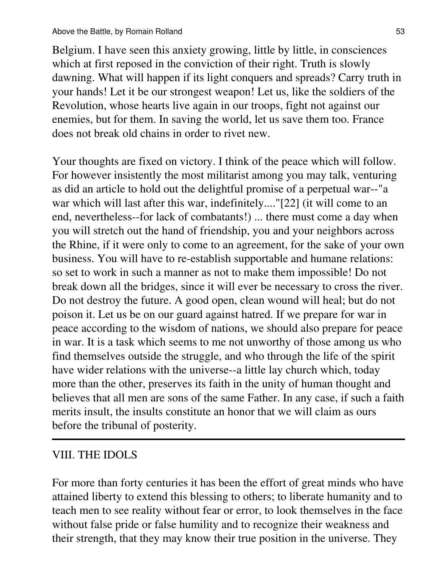Belgium. I have seen this anxiety growing, little by little, in consciences which at first reposed in the conviction of their right. Truth is slowly dawning. What will happen if its light conquers and spreads? Carry truth in your hands! Let it be our strongest weapon! Let us, like the soldiers of the Revolution, whose hearts live again in our troops, fight not against our enemies, but for them. In saving the world, let us save them too. France does not break old chains in order to rivet new.

Your thoughts are fixed on victory. I think of the peace which will follow. For however insistently the most militarist among you may talk, venturing as did an article to hold out the delightful promise of a perpetual war--"a war which will last after this war, indefinitely...."[22] (it will come to an end, nevertheless--for lack of combatants!) ... there must come a day when you will stretch out the hand of friendship, you and your neighbors across the Rhine, if it were only to come to an agreement, for the sake of your own business. You will have to re-establish supportable and humane relations: so set to work in such a manner as not to make them impossible! Do not break down all the bridges, since it will ever be necessary to cross the river. Do not destroy the future. A good open, clean wound will heal; but do not poison it. Let us be on our guard against hatred. If we prepare for war in peace according to the wisdom of nations, we should also prepare for peace in war. It is a task which seems to me not unworthy of those among us who find themselves outside the struggle, and who through the life of the spirit have wider relations with the universe--a little lay church which, today more than the other, preserves its faith in the unity of human thought and believes that all men are sons of the same Father. In any case, if such a faith merits insult, the insults constitute an honor that we will claim as ours before the tribunal of posterity.

#### VIII. THE IDOLS

For more than forty centuries it has been the effort of great minds who have attained liberty to extend this blessing to others; to liberate humanity and to teach men to see reality without fear or error, to look themselves in the face without false pride or false humility and to recognize their weakness and their strength, that they may know their true position in the universe. They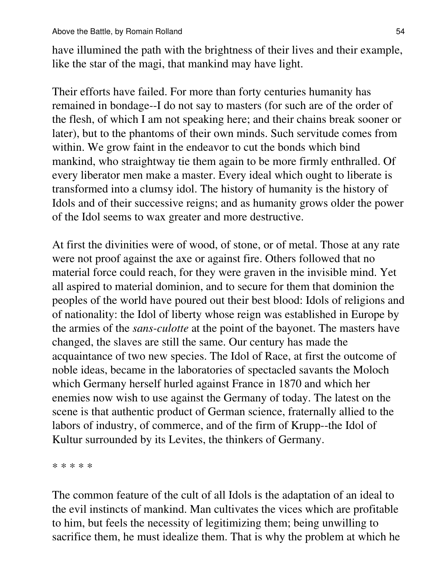have illumined the path with the brightness of their lives and their example, like the star of the magi, that mankind may have light.

Their efforts have failed. For more than forty centuries humanity has remained in bondage--I do not say to masters (for such are of the order of the flesh, of which I am not speaking here; and their chains break sooner or later), but to the phantoms of their own minds. Such servitude comes from within. We grow faint in the endeavor to cut the bonds which bind mankind, who straightway tie them again to be more firmly enthralled. Of every liberator men make a master. Every ideal which ought to liberate is transformed into a clumsy idol. The history of humanity is the history of Idols and of their successive reigns; and as humanity grows older the power of the Idol seems to wax greater and more destructive.

At first the divinities were of wood, of stone, or of metal. Those at any rate were not proof against the axe or against fire. Others followed that no material force could reach, for they were graven in the invisible mind. Yet all aspired to material dominion, and to secure for them that dominion the peoples of the world have poured out their best blood: Idols of religions and of nationality: the Idol of liberty whose reign was established in Europe by the armies of the *sans-culotte* at the point of the bayonet. The masters have changed, the slaves are still the same. Our century has made the acquaintance of two new species. The Idol of Race, at first the outcome of noble ideas, became in the laboratories of spectacled savants the Moloch which Germany herself hurled against France in 1870 and which her enemies now wish to use against the Germany of today. The latest on the scene is that authentic product of German science, fraternally allied to the labors of industry, of commerce, and of the firm of Krupp--the Idol of Kultur surrounded by its Levites, the thinkers of Germany.

\* \* \* \* \*

The common feature of the cult of all Idols is the adaptation of an ideal to the evil instincts of mankind. Man cultivates the vices which are profitable to him, but feels the necessity of legitimizing them; being unwilling to sacrifice them, he must idealize them. That is why the problem at which he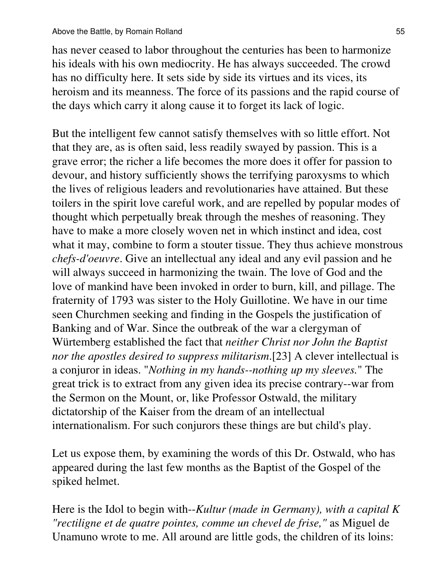has never ceased to labor throughout the centuries has been to harmonize his ideals with his own mediocrity. He has always succeeded. The crowd has no difficulty here. It sets side by side its virtues and its vices, its heroism and its meanness. The force of its passions and the rapid course of the days which carry it along cause it to forget its lack of logic.

But the intelligent few cannot satisfy themselves with so little effort. Not that they are, as is often said, less readily swayed by passion. This is a grave error; the richer a life becomes the more does it offer for passion to devour, and history sufficiently shows the terrifying paroxysms to which the lives of religious leaders and revolutionaries have attained. But these toilers in the spirit love careful work, and are repelled by popular modes of thought which perpetually break through the meshes of reasoning. They have to make a more closely woven net in which instinct and idea, cost what it may, combine to form a stouter tissue. They thus achieve monstrous *chefs-d'oeuvre*. Give an intellectual any ideal and any evil passion and he will always succeed in harmonizing the twain. The love of God and the love of mankind have been invoked in order to burn, kill, and pillage. The fraternity of 1793 was sister to the Holy Guillotine. We have in our time seen Churchmen seeking and finding in the Gospels the justification of Banking and of War. Since the outbreak of the war a clergyman of Würtemberg established the fact that *neither Christ nor John the Baptist nor the apostles desired to suppress militarism*.[23] A clever intellectual is a conjuror in ideas. "*Nothing in my hands--nothing up my sleeves.*" The great trick is to extract from any given idea its precise contrary--war from the Sermon on the Mount, or, like Professor Ostwald, the military dictatorship of the Kaiser from the dream of an intellectual internationalism. For such conjurors these things are but child's play.

Let us expose them, by examining the words of this Dr. Ostwald, who has appeared during the last few months as the Baptist of the Gospel of the spiked helmet.

Here is the Idol to begin with--*Kultur (made in Germany), with a capital K "rectiligne et de quatre pointes, comme un chevel de frise,"* as Miguel de Unamuno wrote to me. All around are little gods, the children of its loins: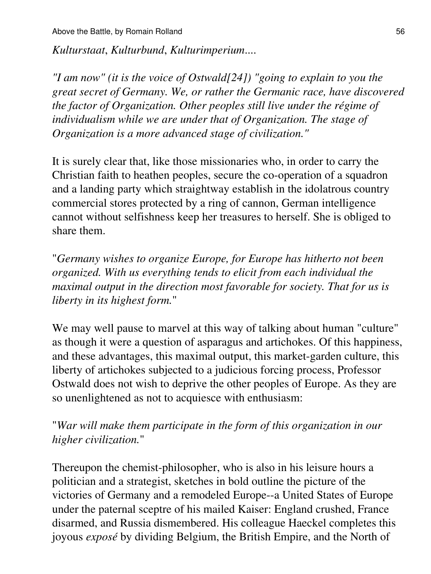*Kulturstaat*, *Kulturbund*, *Kulturimperium*....

*"I am now" (it is the voice of Ostwald[24]) "going to explain to you the great secret of Germany. We, or rather the Germanic race, have discovered the factor of Organization. Other peoples still live under the régime of individualism while we are under that of Organization. The stage of Organization is a more advanced stage of civilization."*

It is surely clear that, like those missionaries who, in order to carry the Christian faith to heathen peoples, secure the co-operation of a squadron and a landing party which straightway establish in the idolatrous country commercial stores protected by a ring of cannon, German intelligence cannot without selfishness keep her treasures to herself. She is obliged to share them.

"*Germany wishes to organize Europe, for Europe has hitherto not been organized. With us everything tends to elicit from each individual the maximal output in the direction most favorable for society. That for us is liberty in its highest form.*"

We may well pause to marvel at this way of talking about human "culture" as though it were a question of asparagus and artichokes. Of this happiness, and these advantages, this maximal output, this market-garden culture, this liberty of artichokes subjected to a judicious forcing process, Professor Ostwald does not wish to deprive the other peoples of Europe. As they are so unenlightened as not to acquiesce with enthusiasm:

"*War will make them participate in the form of this organization in our higher civilization.*"

Thereupon the chemist-philosopher, who is also in his leisure hours a politician and a strategist, sketches in bold outline the picture of the victories of Germany and a remodeled Europe--a United States of Europe under the paternal sceptre of his mailed Kaiser: England crushed, France disarmed, and Russia dismembered. His colleague Haeckel completes this joyous *exposé* by dividing Belgium, the British Empire, and the North of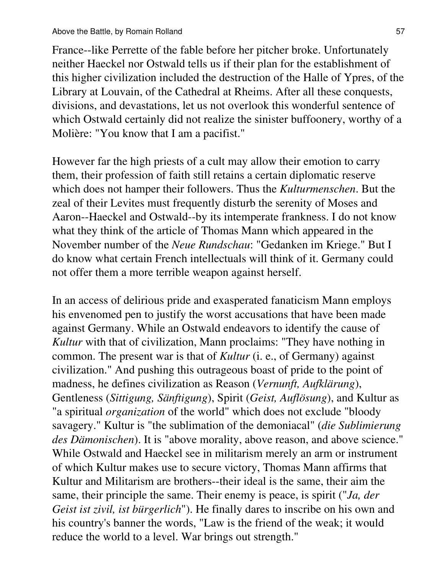France--like Perrette of the fable before her pitcher broke. Unfortunately neither Haeckel nor Ostwald tells us if their plan for the establishment of this higher civilization included the destruction of the Halle of Ypres, of the Library at Louvain, of the Cathedral at Rheims. After all these conquests, divisions, and devastations, let us not overlook this wonderful sentence of which Ostwald certainly did not realize the sinister buffoonery, worthy of a Molière: "You know that I am a pacifist."

However far the high priests of a cult may allow their emotion to carry them, their profession of faith still retains a certain diplomatic reserve which does not hamper their followers. Thus the *Kulturmenschen*. But the zeal of their Levites must frequently disturb the serenity of Moses and Aaron--Haeckel and Ostwald--by its intemperate frankness. I do not know what they think of the article of Thomas Mann which appeared in the November number of the *Neue Rundschau*: "Gedanken im Kriege." But I do know what certain French intellectuals will think of it. Germany could not offer them a more terrible weapon against herself.

In an access of delirious pride and exasperated fanaticism Mann employs his envenomed pen to justify the worst accusations that have been made against Germany. While an Ostwald endeavors to identify the cause of *Kultur* with that of civilization, Mann proclaims: "They have nothing in common. The present war is that of *Kultur* (i. e., of Germany) against civilization." And pushing this outrageous boast of pride to the point of madness, he defines civilization as Reason (*Vernunft, Aufklärung*), Gentleness (*Sittigung, Sänftigung*), Spirit (*Geist, Auflösung*), and Kultur as "a spiritual *organization* of the world" which does not exclude "bloody savagery." Kultur is "the sublimation of the demoniacal" (*die Sublimierung des Dämonischen*). It is "above morality, above reason, and above science." While Ostwald and Haeckel see in militarism merely an arm or instrument of which Kultur makes use to secure victory, Thomas Mann affirms that Kultur and Militarism are brothers--their ideal is the same, their aim the same, their principle the same. Their enemy is peace, is spirit ("*Ja, der Geist ist zivil, ist bürgerlich*"). He finally dares to inscribe on his own and his country's banner the words, "Law is the friend of the weak; it would reduce the world to a level. War brings out strength."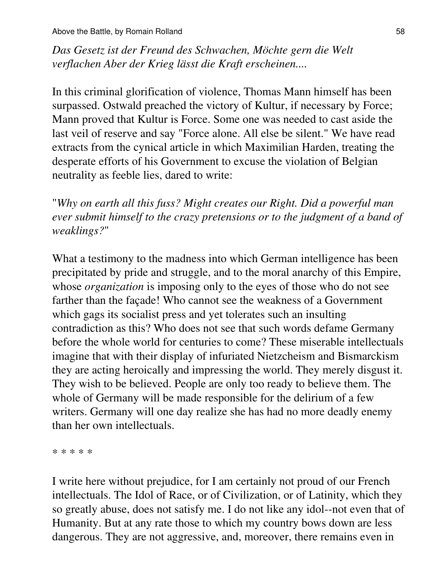Above the Battle, by Romain Rolland 58

*Das Gesetz ist der Freund des Schwachen, Möchte gern die Welt verflachen Aber der Krieg lässt die Kraft erscheinen....*

In this criminal glorification of violence, Thomas Mann himself has been surpassed. Ostwald preached the victory of Kultur, if necessary by Force; Mann proved that Kultur is Force. Some one was needed to cast aside the last veil of reserve and say "Force alone. All else be silent." We have read extracts from the cynical article in which Maximilian Harden, treating the desperate efforts of his Government to excuse the violation of Belgian neutrality as feeble lies, dared to write:

"*Why on earth all this fuss? Might creates our Right. Did a powerful man ever submit himself to the crazy pretensions or to the judgment of a band of weaklings?*"

What a testimony to the madness into which German intelligence has been precipitated by pride and struggle, and to the moral anarchy of this Empire, whose *organization* is imposing only to the eyes of those who do not see farther than the façade! Who cannot see the weakness of a Government which gags its socialist press and yet tolerates such an insulting contradiction as this? Who does not see that such words defame Germany before the whole world for centuries to come? These miserable intellectuals imagine that with their display of infuriated Nietzcheism and Bismarckism they are acting heroically and impressing the world. They merely disgust it. They wish to be believed. People are only too ready to believe them. The whole of Germany will be made responsible for the delirium of a few writers. Germany will one day realize she has had no more deadly enemy than her own intellectuals.

\* \* \* \* \*

I write here without prejudice, for I am certainly not proud of our French intellectuals. The Idol of Race, or of Civilization, or of Latinity, which they so greatly abuse, does not satisfy me. I do not like any idol--not even that of Humanity. But at any rate those to which my country bows down are less dangerous. They are not aggressive, and, moreover, there remains even in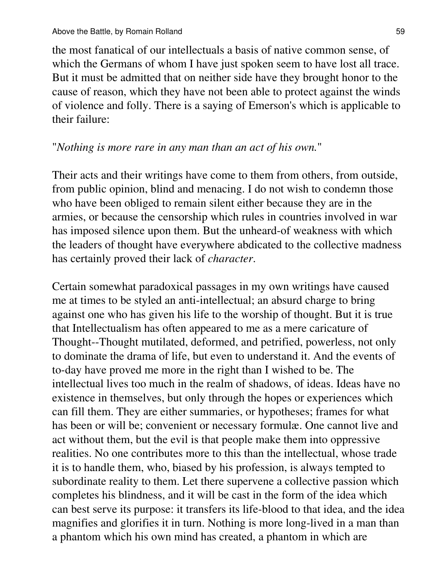the most fanatical of our intellectuals a basis of native common sense, of which the Germans of whom I have just spoken seem to have lost all trace. But it must be admitted that on neither side have they brought honor to the cause of reason, which they have not been able to protect against the winds of violence and folly. There is a saying of Emerson's which is applicable to their failure:

#### "*Nothing is more rare in any man than an act of his own.*"

Their acts and their writings have come to them from others, from outside, from public opinion, blind and menacing. I do not wish to condemn those who have been obliged to remain silent either because they are in the armies, or because the censorship which rules in countries involved in war has imposed silence upon them. But the unheard-of weakness with which the leaders of thought have everywhere abdicated to the collective madness has certainly proved their lack of *character*.

Certain somewhat paradoxical passages in my own writings have caused me at times to be styled an anti-intellectual; an absurd charge to bring against one who has given his life to the worship of thought. But it is true that Intellectualism has often appeared to me as a mere caricature of Thought--Thought mutilated, deformed, and petrified, powerless, not only to dominate the drama of life, but even to understand it. And the events of to-day have proved me more in the right than I wished to be. The intellectual lives too much in the realm of shadows, of ideas. Ideas have no existence in themselves, but only through the hopes or experiences which can fill them. They are either summaries, or hypotheses; frames for what has been or will be; convenient or necessary formulæ. One cannot live and act without them, but the evil is that people make them into oppressive realities. No one contributes more to this than the intellectual, whose trade it is to handle them, who, biased by his profession, is always tempted to subordinate reality to them. Let there supervene a collective passion which completes his blindness, and it will be cast in the form of the idea which can best serve its purpose: it transfers its life-blood to that idea, and the idea magnifies and glorifies it in turn. Nothing is more long-lived in a man than a phantom which his own mind has created, a phantom in which are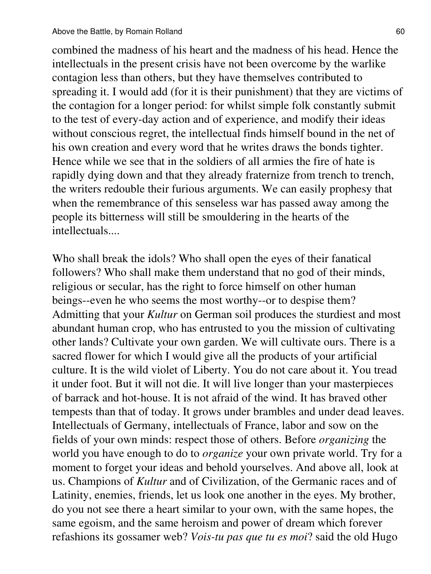combined the madness of his heart and the madness of his head. Hence the intellectuals in the present crisis have not been overcome by the warlike contagion less than others, but they have themselves contributed to spreading it. I would add (for it is their punishment) that they are victims of the contagion for a longer period: for whilst simple folk constantly submit to the test of every-day action and of experience, and modify their ideas without conscious regret, the intellectual finds himself bound in the net of his own creation and every word that he writes draws the bonds tighter. Hence while we see that in the soldiers of all armies the fire of hate is rapidly dying down and that they already fraternize from trench to trench, the writers redouble their furious arguments. We can easily prophesy that when the remembrance of this senseless war has passed away among the people its bitterness will still be smouldering in the hearts of the intellectuals....

Who shall break the idols? Who shall open the eyes of their fanatical followers? Who shall make them understand that no god of their minds, religious or secular, has the right to force himself on other human beings--even he who seems the most worthy--or to despise them? Admitting that your *Kultur* on German soil produces the sturdiest and most abundant human crop, who has entrusted to you the mission of cultivating other lands? Cultivate your own garden. We will cultivate ours. There is a sacred flower for which I would give all the products of your artificial culture. It is the wild violet of Liberty. You do not care about it. You tread it under foot. But it will not die. It will live longer than your masterpieces of barrack and hot-house. It is not afraid of the wind. It has braved other tempests than that of today. It grows under brambles and under dead leaves. Intellectuals of Germany, intellectuals of France, labor and sow on the fields of your own minds: respect those of others. Before *organizing* the world you have enough to do to *organize* your own private world. Try for a moment to forget your ideas and behold yourselves. And above all, look at us. Champions of *Kultur* and of Civilization, of the Germanic races and of Latinity, enemies, friends, let us look one another in the eyes. My brother, do you not see there a heart similar to your own, with the same hopes, the same egoism, and the same heroism and power of dream which forever refashions its gossamer web? *Vois-tu pas que tu es moi*? said the old Hugo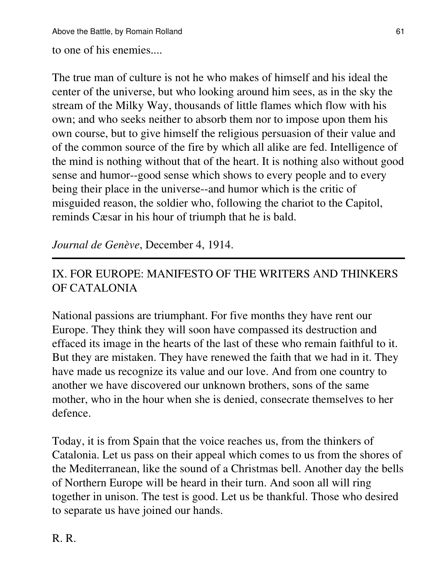to one of his enemies....

The true man of culture is not he who makes of himself and his ideal the center of the universe, but who looking around him sees, as in the sky the stream of the Milky Way, thousands of little flames which flow with his own; and who seeks neither to absorb them nor to impose upon them his own course, but to give himself the religious persuasion of their value and of the common source of the fire by which all alike are fed. Intelligence of the mind is nothing without that of the heart. It is nothing also without good sense and humor--good sense which shows to every people and to every being their place in the universe--and humor which is the critic of misguided reason, the soldier who, following the chariot to the Capitol, reminds Cæsar in his hour of triumph that he is bald.

*Journal de Genève*, December 4, 1914.

# IX. FOR EUROPE: MANIFESTO OF THE WRITERS AND THINKERS OF CATALONIA

National passions are triumphant. For five months they have rent our Europe. They think they will soon have compassed its destruction and effaced its image in the hearts of the last of these who remain faithful to it. But they are mistaken. They have renewed the faith that we had in it. They have made us recognize its value and our love. And from one country to another we have discovered our unknown brothers, sons of the same mother, who in the hour when she is denied, consecrate themselves to her defence.

Today, it is from Spain that the voice reaches us, from the thinkers of Catalonia. Let us pass on their appeal which comes to us from the shores of the Mediterranean, like the sound of a Christmas bell. Another day the bells of Northern Europe will be heard in their turn. And soon all will ring together in unison. The test is good. Let us be thankful. Those who desired to separate us have joined our hands.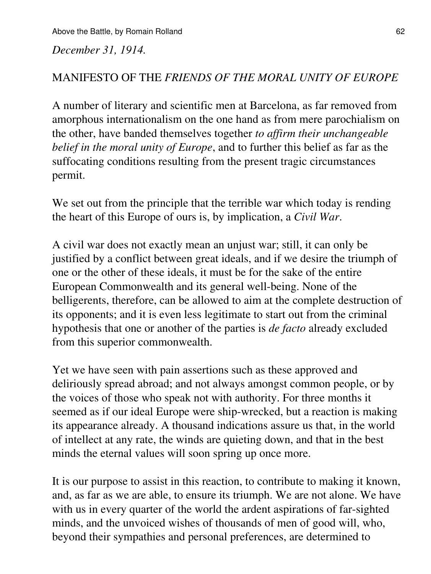*December 31, 1914.*

#### MANIFESTO OF THE *FRIENDS OF THE MORAL UNITY OF EUROPE*

A number of literary and scientific men at Barcelona, as far removed from amorphous internationalism on the one hand as from mere parochialism on the other, have banded themselves together *to affirm their unchangeable belief in the moral unity of Europe*, and to further this belief as far as the suffocating conditions resulting from the present tragic circumstances permit.

We set out from the principle that the terrible war which today is rending the heart of this Europe of ours is, by implication, a *Civil War*.

A civil war does not exactly mean an unjust war; still, it can only be justified by a conflict between great ideals, and if we desire the triumph of one or the other of these ideals, it must be for the sake of the entire European Commonwealth and its general well-being. None of the belligerents, therefore, can be allowed to aim at the complete destruction of its opponents; and it is even less legitimate to start out from the criminal hypothesis that one or another of the parties is *de facto* already excluded from this superior commonwealth.

Yet we have seen with pain assertions such as these approved and deliriously spread abroad; and not always amongst common people, or by the voices of those who speak not with authority. For three months it seemed as if our ideal Europe were ship-wrecked, but a reaction is making its appearance already. A thousand indications assure us that, in the world of intellect at any rate, the winds are quieting down, and that in the best minds the eternal values will soon spring up once more.

It is our purpose to assist in this reaction, to contribute to making it known, and, as far as we are able, to ensure its triumph. We are not alone. We have with us in every quarter of the world the ardent aspirations of far-sighted minds, and the unvoiced wishes of thousands of men of good will, who, beyond their sympathies and personal preferences, are determined to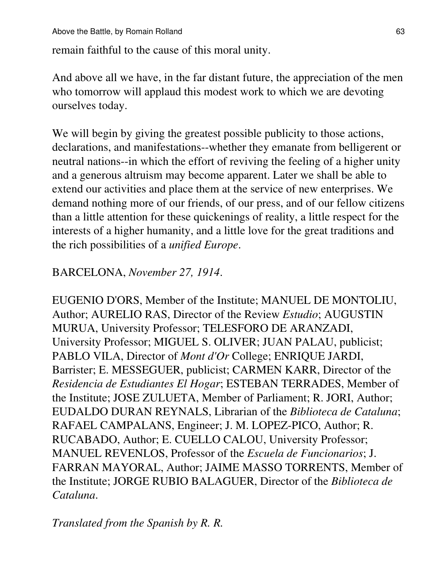remain faithful to the cause of this moral unity.

And above all we have, in the far distant future, the appreciation of the men who tomorrow will applaud this modest work to which we are devoting ourselves today.

We will begin by giving the greatest possible publicity to those actions, declarations, and manifestations--whether they emanate from belligerent or neutral nations--in which the effort of reviving the feeling of a higher unity and a generous altruism may become apparent. Later we shall be able to extend our activities and place them at the service of new enterprises. We demand nothing more of our friends, of our press, and of our fellow citizens than a little attention for these quickenings of reality, a little respect for the interests of a higher humanity, and a little love for the great traditions and the rich possibilities of a *unified Europe*.

### BARCELONA, *November 27, 1914*.

EUGENIO D'ORS, Member of the Institute; MANUEL DE MONTOLIU, Author; AURELIO RAS, Director of the Review *Estudio*; AUGUSTIN MURUA, University Professor; TELESFORO DE ARANZADI, University Professor; MIGUEL S. OLIVER; JUAN PALAU, publicist; PABLO VILA, Director of *Mont d'Or* College; ENRIQUE JARDI, Barrister; E. MESSEGUER, publicist; CARMEN KARR, Director of the *Residencia de Estudiantes El Hogar*; ESTEBAN TERRADES, Member of the Institute; JOSE ZULUETA, Member of Parliament; R. JORI, Author; EUDALDO DURAN REYNALS, Librarian of the *Biblioteca de Cataluna*; RAFAEL CAMPALANS, Engineer; J. M. LOPEZ-PICO, Author; R. RUCABADO, Author; E. CUELLO CALOU, University Professor; MANUEL REVENLOS, Professor of the *Escuela de Funcionarios*; J. FARRAN MAYORAL, Author; JAIME MASSO TORRENTS, Member of the Institute; JORGE RUBIO BALAGUER, Director of the *Biblioteca de Cataluna*.

*Translated from the Spanish by R. R.*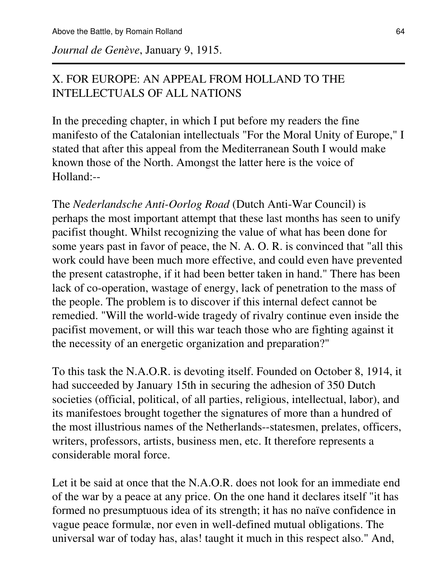*Journal de Genève*, January 9, 1915.

### X. FOR EUROPE: AN APPEAL FROM HOLLAND TO THE INTELLECTUALS OF ALL NATIONS

In the preceding chapter, in which I put before my readers the fine manifesto of the Catalonian intellectuals "For the Moral Unity of Europe," I stated that after this appeal from the Mediterranean South I would make known those of the North. Amongst the latter here is the voice of Holland:--

The *Nederlandsche Anti-Oorlog Road* (Dutch Anti-War Council) is perhaps the most important attempt that these last months has seen to unify pacifist thought. Whilst recognizing the value of what has been done for some years past in favor of peace, the N. A. O. R. is convinced that "all this work could have been much more effective, and could even have prevented the present catastrophe, if it had been better taken in hand." There has been lack of co-operation, wastage of energy, lack of penetration to the mass of the people. The problem is to discover if this internal defect cannot be remedied. "Will the world-wide tragedy of rivalry continue even inside the pacifist movement, or will this war teach those who are fighting against it the necessity of an energetic organization and preparation?"

To this task the N.A.O.R. is devoting itself. Founded on October 8, 1914, it had succeeded by January 15th in securing the adhesion of 350 Dutch societies (official, political, of all parties, religious, intellectual, labor), and its manifestoes brought together the signatures of more than a hundred of the most illustrious names of the Netherlands--statesmen, prelates, officers, writers, professors, artists, business men, etc. It therefore represents a considerable moral force.

Let it be said at once that the N.A.O.R. does not look for an immediate end of the war by a peace at any price. On the one hand it declares itself "it has formed no presumptuous idea of its strength; it has no naïve confidence in vague peace formulæ, nor even in well-defined mutual obligations. The universal war of today has, alas! taught it much in this respect also." And,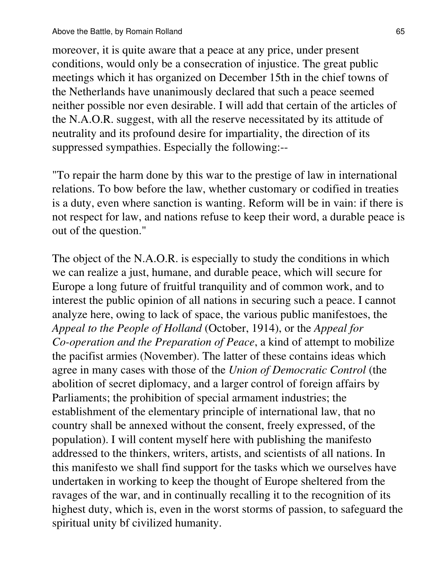moreover, it is quite aware that a peace at any price, under present conditions, would only be a consecration of injustice. The great public meetings which it has organized on December 15th in the chief towns of the Netherlands have unanimously declared that such a peace seemed neither possible nor even desirable. I will add that certain of the articles of the N.A.O.R. suggest, with all the reserve necessitated by its attitude of neutrality and its profound desire for impartiality, the direction of its suppressed sympathies. Especially the following:--

"To repair the harm done by this war to the prestige of law in international relations. To bow before the law, whether customary or codified in treaties is a duty, even where sanction is wanting. Reform will be in vain: if there is not respect for law, and nations refuse to keep their word, a durable peace is out of the question."

The object of the N.A.O.R. is especially to study the conditions in which we can realize a just, humane, and durable peace, which will secure for Europe a long future of fruitful tranquility and of common work, and to interest the public opinion of all nations in securing such a peace. I cannot analyze here, owing to lack of space, the various public manifestoes, the *Appeal to the People of Holland* (October, 1914), or the *Appeal for Co-operation and the Preparation of Peace*, a kind of attempt to mobilize the pacifist armies (November). The latter of these contains ideas which agree in many cases with those of the *Union of Democratic Control* (the abolition of secret diplomacy, and a larger control of foreign affairs by Parliaments; the prohibition of special armament industries; the establishment of the elementary principle of international law, that no country shall be annexed without the consent, freely expressed, of the population). I will content myself here with publishing the manifesto addressed to the thinkers, writers, artists, and scientists of all nations. In this manifesto we shall find support for the tasks which we ourselves have undertaken in working to keep the thought of Europe sheltered from the ravages of the war, and in continually recalling it to the recognition of its highest duty, which is, even in the worst storms of passion, to safeguard the spiritual unity bf civilized humanity.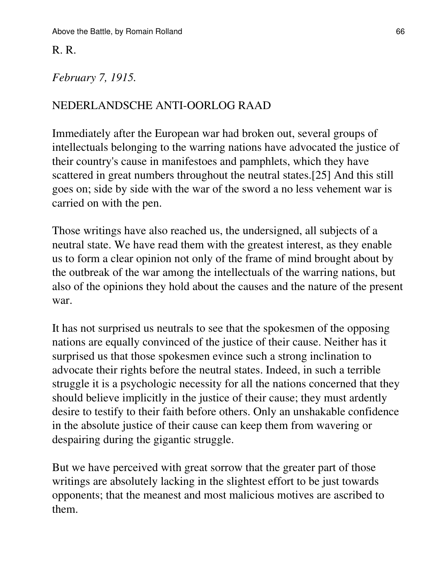#### R. R.

#### *February 7, 1915.*

#### NEDERLANDSCHE ANTI-OORLOG RAAD

Immediately after the European war had broken out, several groups of intellectuals belonging to the warring nations have advocated the justice of their country's cause in manifestoes and pamphlets, which they have scattered in great numbers throughout the neutral states.[25] And this still goes on; side by side with the war of the sword a no less vehement war is carried on with the pen.

Those writings have also reached us, the undersigned, all subjects of a neutral state. We have read them with the greatest interest, as they enable us to form a clear opinion not only of the frame of mind brought about by the outbreak of the war among the intellectuals of the warring nations, but also of the opinions they hold about the causes and the nature of the present war.

It has not surprised us neutrals to see that the spokesmen of the opposing nations are equally convinced of the justice of their cause. Neither has it surprised us that those spokesmen evince such a strong inclination to advocate their rights before the neutral states. Indeed, in such a terrible struggle it is a psychologic necessity for all the nations concerned that they should believe implicitly in the justice of their cause; they must ardently desire to testify to their faith before others. Only an unshakable confidence in the absolute justice of their cause can keep them from wavering or despairing during the gigantic struggle.

But we have perceived with great sorrow that the greater part of those writings are absolutely lacking in the slightest effort to be just towards opponents; that the meanest and most malicious motives are ascribed to them.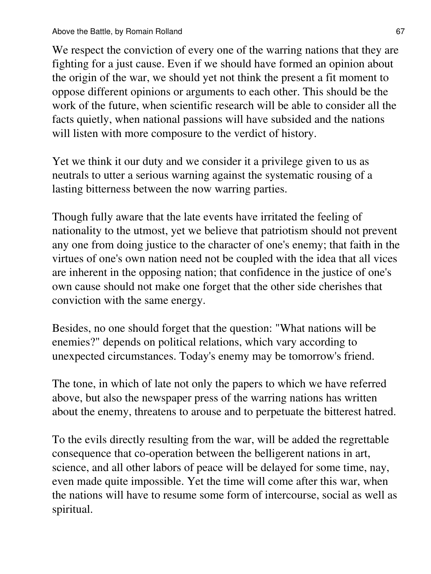We respect the conviction of every one of the warring nations that they are fighting for a just cause. Even if we should have formed an opinion about the origin of the war, we should yet not think the present a fit moment to oppose different opinions or arguments to each other. This should be the work of the future, when scientific research will be able to consider all the facts quietly, when national passions will have subsided and the nations will listen with more composure to the verdict of history.

Yet we think it our duty and we consider it a privilege given to us as neutrals to utter a serious warning against the systematic rousing of a lasting bitterness between the now warring parties.

Though fully aware that the late events have irritated the feeling of nationality to the utmost, yet we believe that patriotism should not prevent any one from doing justice to the character of one's enemy; that faith in the virtues of one's own nation need not be coupled with the idea that all vices are inherent in the opposing nation; that confidence in the justice of one's own cause should not make one forget that the other side cherishes that conviction with the same energy.

Besides, no one should forget that the question: "What nations will be enemies?" depends on political relations, which vary according to unexpected circumstances. Today's enemy may be tomorrow's friend.

The tone, in which of late not only the papers to which we have referred above, but also the newspaper press of the warring nations has written about the enemy, threatens to arouse and to perpetuate the bitterest hatred.

To the evils directly resulting from the war, will be added the regrettable consequence that co-operation between the belligerent nations in art, science, and all other labors of peace will be delayed for some time, nay, even made quite impossible. Yet the time will come after this war, when the nations will have to resume some form of intercourse, social as well as spiritual.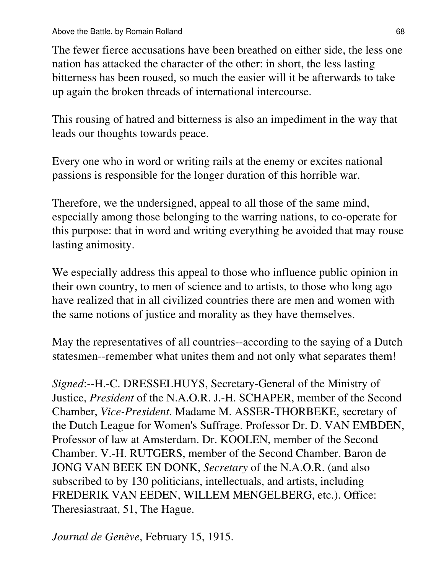The fewer fierce accusations have been breathed on either side, the less one nation has attacked the character of the other: in short, the less lasting bitterness has been roused, so much the easier will it be afterwards to take up again the broken threads of international intercourse.

This rousing of hatred and bitterness is also an impediment in the way that leads our thoughts towards peace.

Every one who in word or writing rails at the enemy or excites national passions is responsible for the longer duration of this horrible war.

Therefore, we the undersigned, appeal to all those of the same mind, especially among those belonging to the warring nations, to co-operate for this purpose: that in word and writing everything be avoided that may rouse lasting animosity.

We especially address this appeal to those who influence public opinion in their own country, to men of science and to artists, to those who long ago have realized that in all civilized countries there are men and women with the same notions of justice and morality as they have themselves.

May the representatives of all countries--according to the saying of a Dutch statesmen--remember what unites them and not only what separates them!

*Signed*:--H.-C. DRESSELHUYS, Secretary-General of the Ministry of Justice, *President* of the N.A.O.R. J.-H. SCHAPER, member of the Second Chamber, *Vice-President*. Madame M. ASSER-THORBEKE, secretary of the Dutch League for Women's Suffrage. Professor Dr. D. VAN EMBDEN, Professor of law at Amsterdam. Dr. KOOLEN, member of the Second Chamber. V.-H. RUTGERS, member of the Second Chamber. Baron de JONG VAN BEEK EN DONK, *Secretary* of the N.A.O.R. (and also subscribed to by 130 politicians, intellectuals, and artists, including FREDERIK VAN EEDEN, WILLEM MENGELBERG, etc.). Office: Theresiastraat, 51, The Hague.

*Journal de Genève*, February 15, 1915.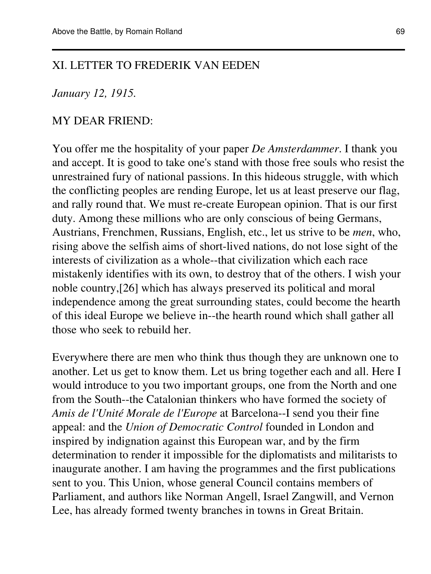#### XI. LETTER TO FREDERIK VAN EEDEN

#### *January 12, 1915.*

#### MY DEAR FRIEND:

You offer me the hospitality of your paper *De Amsterdammer*. I thank you and accept. It is good to take one's stand with those free souls who resist the unrestrained fury of national passions. In this hideous struggle, with which the conflicting peoples are rending Europe, let us at least preserve our flag, and rally round that. We must re-create European opinion. That is our first duty. Among these millions who are only conscious of being Germans, Austrians, Frenchmen, Russians, English, etc., let us strive to be *men*, who, rising above the selfish aims of short-lived nations, do not lose sight of the interests of civilization as a whole--that civilization which each race mistakenly identifies with its own, to destroy that of the others. I wish your noble country,[26] which has always preserved its political and moral independence among the great surrounding states, could become the hearth of this ideal Europe we believe in--the hearth round which shall gather all those who seek to rebuild her.

Everywhere there are men who think thus though they are unknown one to another. Let us get to know them. Let us bring together each and all. Here I would introduce to you two important groups, one from the North and one from the South--the Catalonian thinkers who have formed the society of *Amis de l'Unité Morale de l'Europe* at Barcelona--I send you their fine appeal: and the *Union of Democratic Control* founded in London and inspired by indignation against this European war, and by the firm determination to render it impossible for the diplomatists and militarists to inaugurate another. I am having the programmes and the first publications sent to you. This Union, whose general Council contains members of Parliament, and authors like Norman Angell, Israel Zangwill, and Vernon Lee, has already formed twenty branches in towns in Great Britain.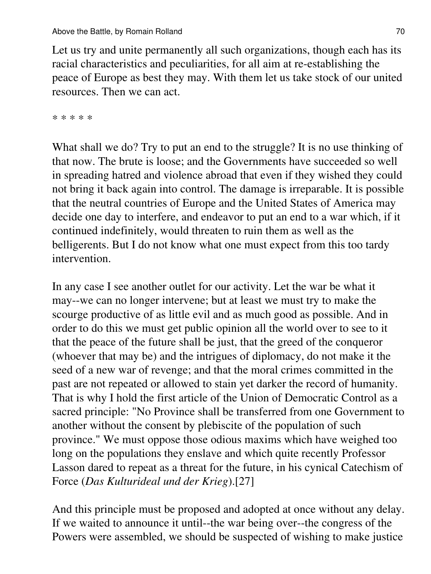Let us try and unite permanently all such organizations, though each has its racial characteristics and peculiarities, for all aim at re-establishing the peace of Europe as best they may. With them let us take stock of our united resources. Then we can act.

\* \* \* \* \*

What shall we do? Try to put an end to the struggle? It is no use thinking of that now. The brute is loose; and the Governments have succeeded so well in spreading hatred and violence abroad that even if they wished they could not bring it back again into control. The damage is irreparable. It is possible that the neutral countries of Europe and the United States of America may decide one day to interfere, and endeavor to put an end to a war which, if it continued indefinitely, would threaten to ruin them as well as the belligerents. But I do not know what one must expect from this too tardy intervention.

In any case I see another outlet for our activity. Let the war be what it may--we can no longer intervene; but at least we must try to make the scourge productive of as little evil and as much good as possible. And in order to do this we must get public opinion all the world over to see to it that the peace of the future shall be just, that the greed of the conqueror (whoever that may be) and the intrigues of diplomacy, do not make it the seed of a new war of revenge; and that the moral crimes committed in the past are not repeated or allowed to stain yet darker the record of humanity. That is why I hold the first article of the Union of Democratic Control as a sacred principle: "No Province shall be transferred from one Government to another without the consent by plebiscite of the population of such province." We must oppose those odious maxims which have weighed too long on the populations they enslave and which quite recently Professor Lasson dared to repeat as a threat for the future, in his cynical Catechism of Force (*Das Kulturideal und der Krieg*).[27]

And this principle must be proposed and adopted at once without any delay. If we waited to announce it until--the war being over--the congress of the Powers were assembled, we should be suspected of wishing to make justice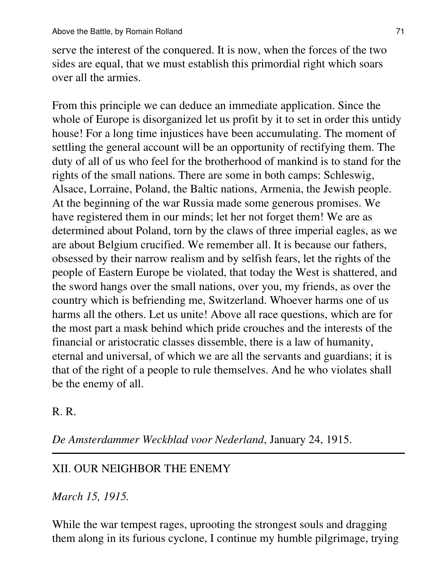serve the interest of the conquered. It is now, when the forces of the two sides are equal, that we must establish this primordial right which soars over all the armies.

From this principle we can deduce an immediate application. Since the whole of Europe is disorganized let us profit by it to set in order this untidy house! For a long time injustices have been accumulating. The moment of settling the general account will be an opportunity of rectifying them. The duty of all of us who feel for the brotherhood of mankind is to stand for the rights of the small nations. There are some in both camps: Schleswig, Alsace, Lorraine, Poland, the Baltic nations, Armenia, the Jewish people. At the beginning of the war Russia made some generous promises. We have registered them in our minds; let her not forget them! We are as determined about Poland, torn by the claws of three imperial eagles, as we are about Belgium crucified. We remember all. It is because our fathers, obsessed by their narrow realism and by selfish fears, let the rights of the people of Eastern Europe be violated, that today the West is shattered, and the sword hangs over the small nations, over you, my friends, as over the country which is befriending me, Switzerland. Whoever harms one of us harms all the others. Let us unite! Above all race questions, which are for the most part a mask behind which pride crouches and the interests of the financial or aristocratic classes dissemble, there is a law of humanity, eternal and universal, of which we are all the servants and guardians; it is that of the right of a people to rule themselves. And he who violates shall be the enemy of all.

R. R.

*De Amsterdammer Weckblad voor Nederland*, January 24, 1915.

### XII. OUR NEIGHBOR THE ENEMY

*March 15, 1915.*

While the war tempest rages, uprooting the strongest souls and dragging them along in its furious cyclone, I continue my humble pilgrimage, trying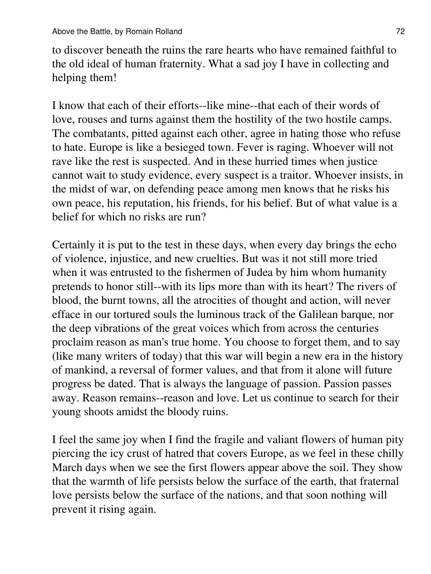to discover beneath the ruins the rare hearts who have remained faithful to the old ideal of human fraternity. What a sad joy I have in collecting and helping them!

I know that each of their efforts--like mine--that each of their words of love, rouses and turns against them the hostility of the two hostile camps. The combatants, pitted against each other, agree in hating those who refuse to hate. Europe is like a besieged town. Fever is raging. Whoever will not rave like the rest is suspected. And in these hurried times when justice cannot wait to study evidence, every suspect is a traitor. Whoever insists, in the midst of war, on defending peace among men knows that he risks his own peace, his reputation, his friends, for his belief. But of what value is a belief for which no risks are run?

Certainly it is put to the test in these days, when every day brings the echo of violence, injustice, and new cruelties. But was it not still more tried when it was entrusted to the fishermen of Judea by him whom humanity pretends to honor still--with its lips more than with its heart? The rivers of blood, the burnt towns, all the atrocities of thought and action, will never efface in our tortured souls the luminous track of the Galilean barque, nor the deep vibrations of the great voices which from across the centuries proclaim reason as man's true home. You choose to forget them, and to say (like many writers of today) that this war will begin a new era in the history of mankind, a reversal of former values, and that from it alone will future progress be dated. That is always the language of passion. Passion passes away. Reason remains--reason and love. Let us continue to search for their young shoots amidst the bloody ruins.

I feel the same joy when I find the fragile and valiant flowers of human pity piercing the icy crust of hatred that covers Europe, as we feel in these chilly March days when we see the first flowers appear above the soil. They show that the warmth of life persists below the surface of the earth, that fraternal love persists below the surface of the nations, and that soon nothing will prevent it rising again.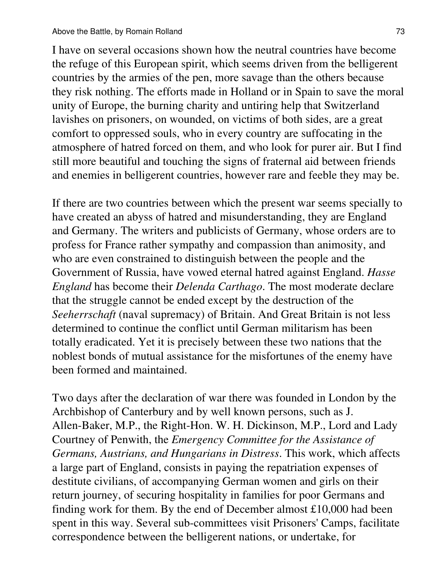I have on several occasions shown how the neutral countries have become the refuge of this European spirit, which seems driven from the belligerent countries by the armies of the pen, more savage than the others because they risk nothing. The efforts made in Holland or in Spain to save the moral unity of Europe, the burning charity and untiring help that Switzerland lavishes on prisoners, on wounded, on victims of both sides, are a great comfort to oppressed souls, who in every country are suffocating in the atmosphere of hatred forced on them, and who look for purer air. But I find still more beautiful and touching the signs of fraternal aid between friends and enemies in belligerent countries, however rare and feeble they may be.

If there are two countries between which the present war seems specially to have created an abyss of hatred and misunderstanding, they are England and Germany. The writers and publicists of Germany, whose orders are to profess for France rather sympathy and compassion than animosity, and who are even constrained to distinguish between the people and the Government of Russia, have vowed eternal hatred against England. *Hasse England* has become their *Delenda Carthago*. The most moderate declare that the struggle cannot be ended except by the destruction of the *Seeherrschaft* (naval supremacy) of Britain. And Great Britain is not less determined to continue the conflict until German militarism has been totally eradicated. Yet it is precisely between these two nations that the noblest bonds of mutual assistance for the misfortunes of the enemy have been formed and maintained.

Two days after the declaration of war there was founded in London by the Archbishop of Canterbury and by well known persons, such as J. Allen-Baker, M.P., the Right-Hon. W. H. Dickinson, M.P., Lord and Lady Courtney of Penwith, the *Emergency Committee for the Assistance of Germans, Austrians, and Hungarians in Distress*. This work, which affects a large part of England, consists in paying the repatriation expenses of destitute civilians, of accompanying German women and girls on their return journey, of securing hospitality in families for poor Germans and finding work for them. By the end of December almost £10,000 had been spent in this way. Several sub-committees visit Prisoners' Camps, facilitate correspondence between the belligerent nations, or undertake, for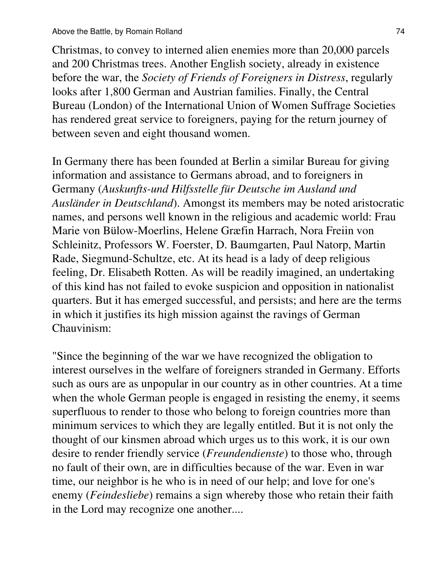Christmas, to convey to interned alien enemies more than 20,000 parcels and 200 Christmas trees. Another English society, already in existence before the war, the *Society of Friends of Foreigners in Distress*, regularly looks after 1,800 German and Austrian families. Finally, the Central Bureau (London) of the International Union of Women Suffrage Societies has rendered great service to foreigners, paying for the return journey of between seven and eight thousand women.

In Germany there has been founded at Berlin a similar Bureau for giving information and assistance to Germans abroad, and to foreigners in Germany (*Auskunfts-und Hilfsstelle für Deutsche im Ausland und Ausländer in Deutschland*). Amongst its members may be noted aristocratic names, and persons well known in the religious and academic world: Frau Marie von Bülow-Moerlins, Helene Græfin Harrach, Nora Freiin von Schleinitz, Professors W. Foerster, D. Baumgarten, Paul Natorp, Martin Rade, Siegmund-Schultze, etc. At its head is a lady of deep religious feeling, Dr. Elisabeth Rotten. As will be readily imagined, an undertaking of this kind has not failed to evoke suspicion and opposition in nationalist quarters. But it has emerged successful, and persists; and here are the terms in which it justifies its high mission against the ravings of German Chauvinism:

"Since the beginning of the war we have recognized the obligation to interest ourselves in the welfare of foreigners stranded in Germany. Efforts such as ours are as unpopular in our country as in other countries. At a time when the whole German people is engaged in resisting the enemy, it seems superfluous to render to those who belong to foreign countries more than minimum services to which they are legally entitled. But it is not only the thought of our kinsmen abroad which urges us to this work, it is our own desire to render friendly service (*Freundendienste*) to those who, through no fault of their own, are in difficulties because of the war. Even in war time, our neighbor is he who is in need of our help; and love for one's enemy (*Feindesliebe*) remains a sign whereby those who retain their faith in the Lord may recognize one another....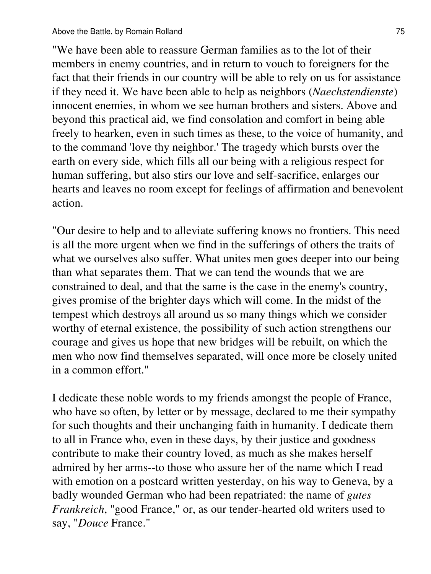"We have been able to reassure German families as to the lot of their members in enemy countries, and in return to vouch to foreigners for the fact that their friends in our country will be able to rely on us for assistance if they need it. We have been able to help as neighbors (*Naechstendienste*) innocent enemies, in whom we see human brothers and sisters. Above and beyond this practical aid, we find consolation and comfort in being able freely to hearken, even in such times as these, to the voice of humanity, and to the command 'love thy neighbor.' The tragedy which bursts over the earth on every side, which fills all our being with a religious respect for human suffering, but also stirs our love and self-sacrifice, enlarges our hearts and leaves no room except for feelings of affirmation and benevolent action.

"Our desire to help and to alleviate suffering knows no frontiers. This need is all the more urgent when we find in the sufferings of others the traits of what we ourselves also suffer. What unites men goes deeper into our being than what separates them. That we can tend the wounds that we are constrained to deal, and that the same is the case in the enemy's country, gives promise of the brighter days which will come. In the midst of the tempest which destroys all around us so many things which we consider worthy of eternal existence, the possibility of such action strengthens our courage and gives us hope that new bridges will be rebuilt, on which the men who now find themselves separated, will once more be closely united in a common effort."

I dedicate these noble words to my friends amongst the people of France, who have so often, by letter or by message, declared to me their sympathy for such thoughts and their unchanging faith in humanity. I dedicate them to all in France who, even in these days, by their justice and goodness contribute to make their country loved, as much as she makes herself admired by her arms--to those who assure her of the name which I read with emotion on a postcard written yesterday, on his way to Geneva, by a badly wounded German who had been repatriated: the name of *gutes Frankreich*, "good France," or, as our tender-hearted old writers used to say, "*Douce* France."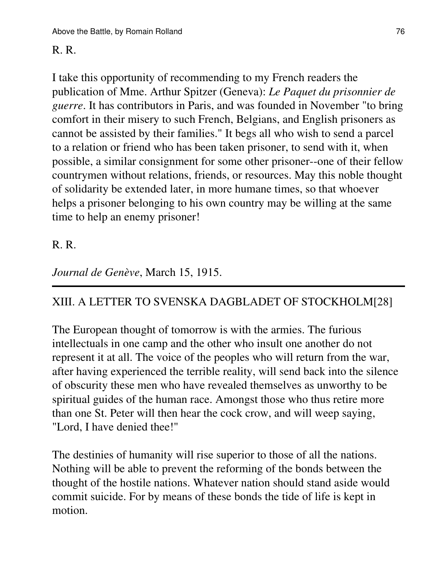### R. R.

I take this opportunity of recommending to my French readers the publication of Mme. Arthur Spitzer (Geneva): *Le Paquet du prisonnier de guerre*. It has contributors in Paris, and was founded in November "to bring comfort in their misery to such French, Belgians, and English prisoners as cannot be assisted by their families." It begs all who wish to send a parcel to a relation or friend who has been taken prisoner, to send with it, when possible, a similar consignment for some other prisoner--one of their fellow countrymen without relations, friends, or resources. May this noble thought of solidarity be extended later, in more humane times, so that whoever helps a prisoner belonging to his own country may be willing at the same time to help an enemy prisoner!

### R. R.

### *Journal de Genève*, March 15, 1915.

## XIII. A LETTER TO SVENSKA DAGBLADET OF STOCKHOLM[28]

The European thought of tomorrow is with the armies. The furious intellectuals in one camp and the other who insult one another do not represent it at all. The voice of the peoples who will return from the war, after having experienced the terrible reality, will send back into the silence of obscurity these men who have revealed themselves as unworthy to be spiritual guides of the human race. Amongst those who thus retire more than one St. Peter will then hear the cock crow, and will weep saying, "Lord, I have denied thee!"

The destinies of humanity will rise superior to those of all the nations. Nothing will be able to prevent the reforming of the bonds between the thought of the hostile nations. Whatever nation should stand aside would commit suicide. For by means of these bonds the tide of life is kept in motion.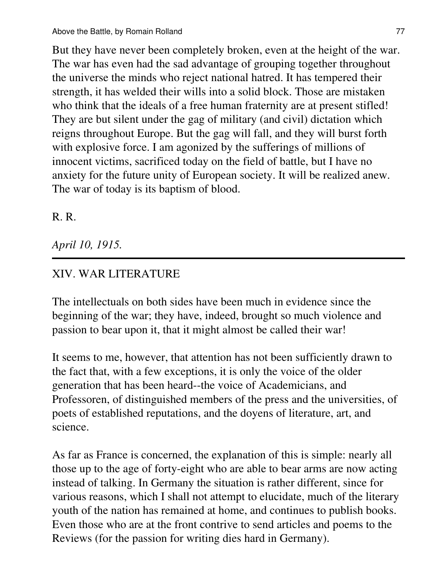But they have never been completely broken, even at the height of the war. The war has even had the sad advantage of grouping together throughout the universe the minds who reject national hatred. It has tempered their strength, it has welded their wills into a solid block. Those are mistaken who think that the ideals of a free human fraternity are at present stifled! They are but silent under the gag of military (and civil) dictation which reigns throughout Europe. But the gag will fall, and they will burst forth with explosive force. I am agonized by the sufferings of millions of innocent victims, sacrificed today on the field of battle, but I have no anxiety for the future unity of European society. It will be realized anew. The war of today is its baptism of blood.

### R. R.

### *April 10, 1915.*

### XIV. WAR LITERATURE

The intellectuals on both sides have been much in evidence since the beginning of the war; they have, indeed, brought so much violence and passion to bear upon it, that it might almost be called their war!

It seems to me, however, that attention has not been sufficiently drawn to the fact that, with a few exceptions, it is only the voice of the older generation that has been heard--the voice of Academicians, and Professoren, of distinguished members of the press and the universities, of poets of established reputations, and the doyens of literature, art, and science.

As far as France is concerned, the explanation of this is simple: nearly all those up to the age of forty-eight who are able to bear arms are now acting instead of talking. In Germany the situation is rather different, since for various reasons, which I shall not attempt to elucidate, much of the literary youth of the nation has remained at home, and continues to publish books. Even those who are at the front contrive to send articles and poems to the Reviews (for the passion for writing dies hard in Germany).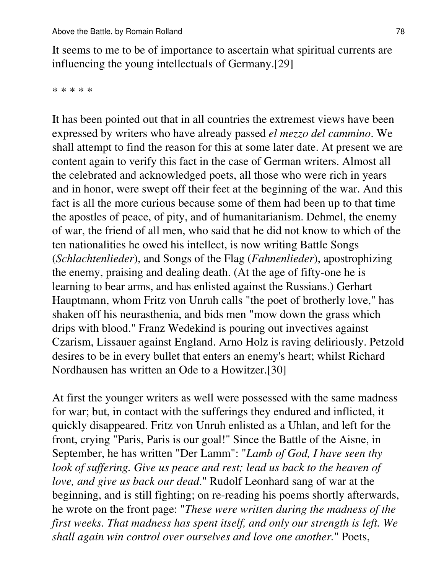It seems to me to be of importance to ascertain what spiritual currents are influencing the young intellectuals of Germany.[29]

\* \* \* \* \*

It has been pointed out that in all countries the extremest views have been expressed by writers who have already passed *el mezzo del cammino*. We shall attempt to find the reason for this at some later date. At present we are content again to verify this fact in the case of German writers. Almost all the celebrated and acknowledged poets, all those who were rich in years and in honor, were swept off their feet at the beginning of the war. And this fact is all the more curious because some of them had been up to that time the apostles of peace, of pity, and of humanitarianism. Dehmel, the enemy of war, the friend of all men, who said that he did not know to which of the ten nationalities he owed his intellect, is now writing Battle Songs (*Schlachtenlieder*), and Songs of the Flag (*Fahnenlieder*), apostrophizing the enemy, praising and dealing death. (At the age of fifty-one he is learning to bear arms, and has enlisted against the Russians.) Gerhart Hauptmann, whom Fritz von Unruh calls "the poet of brotherly love," has shaken off his neurasthenia, and bids men "mow down the grass which drips with blood." Franz Wedekind is pouring out invectives against Czarism, Lissauer against England. Arno Holz is raving deliriously. Petzold desires to be in every bullet that enters an enemy's heart; whilst Richard Nordhausen has written an Ode to a Howitzer.[30]

At first the younger writers as well were possessed with the same madness for war; but, in contact with the sufferings they endured and inflicted, it quickly disappeared. Fritz von Unruh enlisted as a Uhlan, and left for the front, crying "Paris, Paris is our goal!" Since the Battle of the Aisne, in September, he has written "Der Lamm": "*Lamb of God, I have seen thy look of suffering. Give us peace and rest; lead us back to the heaven of love, and give us back our dead*." Rudolf Leonhard sang of war at the beginning, and is still fighting; on re-reading his poems shortly afterwards, he wrote on the front page: "*These were written during the madness of the first weeks. That madness has spent itself, and only our strength is left. We shall again win control over ourselves and love one another.*" Poets,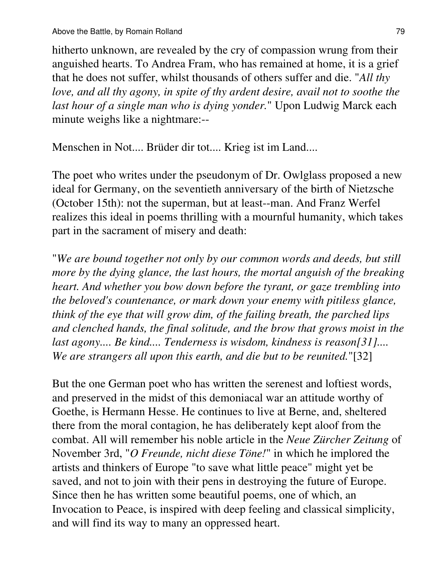hitherto unknown, are revealed by the cry of compassion wrung from their anguished hearts. To Andrea Fram, who has remained at home, it is a grief that he does not suffer, whilst thousands of others suffer and die. "*All thy love, and all thy agony, in spite of thy ardent desire, avail not to soothe the last hour of a single man who is dying yonder.*" Upon Ludwig Marck each minute weighs like a nightmare:--

Menschen in Not.... Brüder dir tot.... Krieg ist im Land....

The poet who writes under the pseudonym of Dr. Owlglass proposed a new ideal for Germany, on the seventieth anniversary of the birth of Nietzsche (October 15th): not the superman, but at least--man. And Franz Werfel realizes this ideal in poems thrilling with a mournful humanity, which takes part in the sacrament of misery and death:

"*We are bound together not only by our common words and deeds, but still more by the dying glance, the last hours, the mortal anguish of the breaking heart. And whether you bow down before the tyrant, or gaze trembling into the beloved's countenance, or mark down your enemy with pitiless glance, think of the eye that will grow dim, of the failing breath, the parched lips and clenched hands, the final solitude, and the brow that grows moist in the last agony.... Be kind.... Tenderness is wisdom, kindness is reason[31].... We are strangers all upon this earth, and die but to be reunited.*"[32]

But the one German poet who has written the serenest and loftiest words, and preserved in the midst of this demoniacal war an attitude worthy of Goethe, is Hermann Hesse. He continues to live at Berne, and, sheltered there from the moral contagion, he has deliberately kept aloof from the combat. All will remember his noble article in the *Neue Zürcher Zeitung* of November 3rd, "*O Freunde, nicht diese Töne!*" in which he implored the artists and thinkers of Europe "to save what little peace" might yet be saved, and not to join with their pens in destroying the future of Europe. Since then he has written some beautiful poems, one of which, an Invocation to Peace, is inspired with deep feeling and classical simplicity, and will find its way to many an oppressed heart.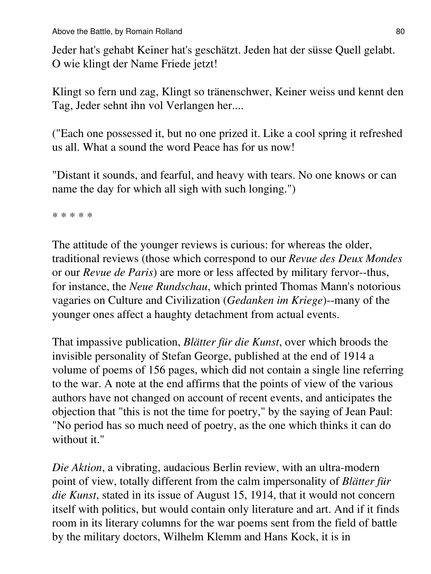Jeder hat's gehabt Keiner hat's geschätzt. Jeden hat der süsse Quell gelabt. O wie klingt der Name Friede jetzt!

Klingt so fern und zag, Klingt so tränenschwer, Keiner weiss und kennt den Tag, Jeder sehnt ihn vol Verlangen her....

("Each one possessed it, but no one prized it. Like a cool spring it refreshed us all. What a sound the word Peace has for us now!

"Distant it sounds, and fearful, and heavy with tears. No one knows or can name the day for which all sigh with such longing.")

\* \* \* \* \*

The attitude of the younger reviews is curious: for whereas the older, traditional reviews (those which correspond to our *Revue des Deux Mondes* or our *Revue de Paris*) are more or less affected by military fervor--thus, for instance, the *Neue Rundschau*, which printed Thomas Mann's notorious vagaries on Culture and Civilization (*Gedanken im Kriege*)--many of the younger ones affect a haughty detachment from actual events.

That impassive publication, *Blätter für die Kunst*, over which broods the invisible personality of Stefan George, published at the end of 1914 a volume of poems of 156 pages, which did not contain a single line referring to the war. A note at the end affirms that the points of view of the various authors have not changed on account of recent events, and anticipates the objection that "this is not the time for poetry," by the saying of Jean Paul: "No period has so much need of poetry, as the one which thinks it can do without it."

*Die Aktion*, a vibrating, audacious Berlin review, with an ultra-modern point of view, totally different from the calm impersonality of *Blätter für die Kunst*, stated in its issue of August 15, 1914, that it would not concern itself with politics, but would contain only literature and art. And if it finds room in its literary columns for the war poems sent from the field of battle by the military doctors, Wilhelm Klemm and Hans Kock, it is in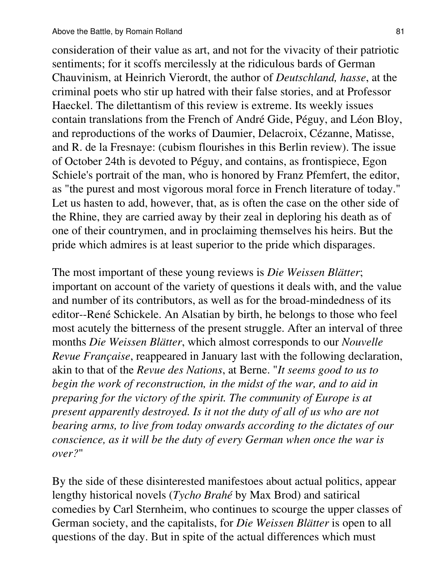consideration of their value as art, and not for the vivacity of their patriotic sentiments; for it scoffs mercilessly at the ridiculous bards of German Chauvinism, at Heinrich Vierordt, the author of *Deutschland, hasse*, at the criminal poets who stir up hatred with their false stories, and at Professor Haeckel. The dilettantism of this review is extreme. Its weekly issues contain translations from the French of André Gide, Péguy, and Léon Bloy, and reproductions of the works of Daumier, Delacroix, Cézanne, Matisse, and R. de la Fresnaye: (cubism flourishes in this Berlin review). The issue of October 24th is devoted to Péguy, and contains, as frontispiece, Egon Schiele's portrait of the man, who is honored by Franz Pfemfert, the editor, as "the purest and most vigorous moral force in French literature of today." Let us hasten to add, however, that, as is often the case on the other side of the Rhine, they are carried away by their zeal in deploring his death as of one of their countrymen, and in proclaiming themselves his heirs. But the pride which admires is at least superior to the pride which disparages.

The most important of these young reviews is *Die Weissen Blätter*; important on account of the variety of questions it deals with, and the value and number of its contributors, as well as for the broad-mindedness of its editor--René Schickele. An Alsatian by birth, he belongs to those who feel most acutely the bitterness of the present struggle. After an interval of three months *Die Weissen Blätter*, which almost corresponds to our *Nouvelle Revue Française*, reappeared in January last with the following declaration, akin to that of the *Revue des Nations*, at Berne. "*It seems good to us to begin the work of reconstruction, in the midst of the war, and to aid in preparing for the victory of the spirit. The community of Europe is at present apparently destroyed. Is it not the duty of all of us who are not bearing arms, to live from today onwards according to the dictates of our conscience, as it will be the duty of every German when once the war is over?*"

By the side of these disinterested manifestoes about actual politics, appear lengthy historical novels (*Tycho Brahé* by Max Brod) and satirical comedies by Carl Sternheim, who continues to scourge the upper classes of German society, and the capitalists, for *Die Weissen Blätter* is open to all questions of the day. But in spite of the actual differences which must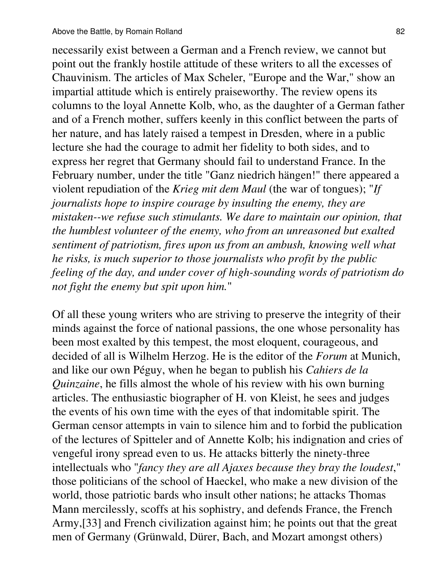necessarily exist between a German and a French review, we cannot but point out the frankly hostile attitude of these writers to all the excesses of Chauvinism. The articles of Max Scheler, "Europe and the War," show an impartial attitude which is entirely praiseworthy. The review opens its columns to the loyal Annette Kolb, who, as the daughter of a German father and of a French mother, suffers keenly in this conflict between the parts of her nature, and has lately raised a tempest in Dresden, where in a public lecture she had the courage to admit her fidelity to both sides, and to express her regret that Germany should fail to understand France. In the February number, under the title "Ganz niedrich hängen!" there appeared a violent repudiation of the *Krieg mit dem Maul* (the war of tongues); "*If journalists hope to inspire courage by insulting the enemy, they are mistaken--we refuse such stimulants. We dare to maintain our opinion, that the humblest volunteer of the enemy, who from an unreasoned but exalted sentiment of patriotism, fires upon us from an ambush, knowing well what he risks, is much superior to those journalists who profit by the public feeling of the day, and under cover of high-sounding words of patriotism do not fight the enemy but spit upon him.*"

Of all these young writers who are striving to preserve the integrity of their minds against the force of national passions, the one whose personality has been most exalted by this tempest, the most eloquent, courageous, and decided of all is Wilhelm Herzog. He is the editor of the *Forum* at Munich, and like our own Péguy, when he began to publish his *Cahiers de la Quinzaine*, he fills almost the whole of his review with his own burning articles. The enthusiastic biographer of H. von Kleist, he sees and judges the events of his own time with the eyes of that indomitable spirit. The German censor attempts in vain to silence him and to forbid the publication of the lectures of Spitteler and of Annette Kolb; his indignation and cries of vengeful irony spread even to us. He attacks bitterly the ninety-three intellectuals who "*fancy they are all Ajaxes because they bray the loudest*," those politicians of the school of Haeckel, who make a new division of the world, those patriotic bards who insult other nations; he attacks Thomas Mann mercilessly, scoffs at his sophistry, and defends France, the French Army,[33] and French civilization against him; he points out that the great men of Germany (Grünwald, Dürer, Bach, and Mozart amongst others)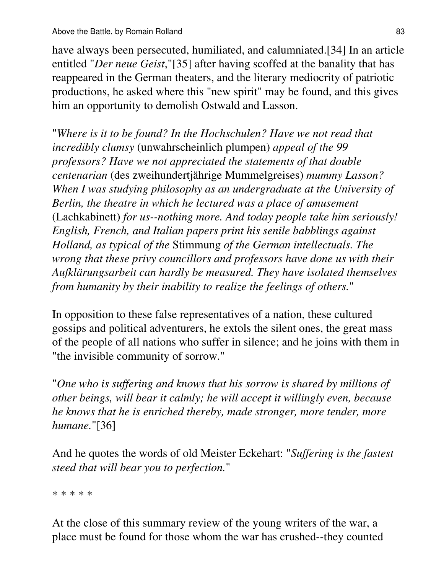have always been persecuted, humiliated, and calumniated.[34] In an article entitled "*Der neue Geist*,"[35] after having scoffed at the banality that has reappeared in the German theaters, and the literary mediocrity of patriotic productions, he asked where this "new spirit" may be found, and this gives him an opportunity to demolish Ostwald and Lasson.

"*Where is it to be found? In the Hochschulen? Have we not read that incredibly clumsy* (unwahrscheinlich plumpen) *appeal of the 99 professors? Have we not appreciated the statements of that double centenarian* (des zweihundertjährige Mummelgreises) *mummy Lasson? When I was studying philosophy as an undergraduate at the University of Berlin, the theatre in which he lectured was a place of amusement* (Lachkabinett) *for us--nothing more. And today people take him seriously! English, French, and Italian papers print his senile babblings against Holland, as typical of the* Stimmung *of the German intellectuals. The wrong that these privy councillors and professors have done us with their Aufklärungsarbeit can hardly be measured. They have isolated themselves from humanity by their inability to realize the feelings of others.*"

In opposition to these false representatives of a nation, these cultured gossips and political adventurers, he extols the silent ones, the great mass of the people of all nations who suffer in silence; and he joins with them in "the invisible community of sorrow."

"*One who is suffering and knows that his sorrow is shared by millions of other beings, will bear it calmly; he will accept it willingly even, because he knows that he is enriched thereby, made stronger, more tender, more humane.*"[36]

And he quotes the words of old Meister Eckehart: "*Suffering is the fastest steed that will bear you to perfection.*"

\* \* \* \* \*

At the close of this summary review of the young writers of the war, a place must be found for those whom the war has crushed--they counted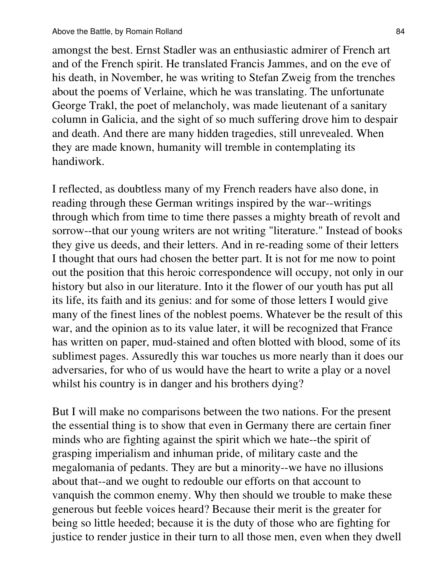amongst the best. Ernst Stadler was an enthusiastic admirer of French art and of the French spirit. He translated Francis Jammes, and on the eve of his death, in November, he was writing to Stefan Zweig from the trenches about the poems of Verlaine, which he was translating. The unfortunate George Trakl, the poet of melancholy, was made lieutenant of a sanitary column in Galicia, and the sight of so much suffering drove him to despair and death. And there are many hidden tragedies, still unrevealed. When they are made known, humanity will tremble in contemplating its handiwork.

I reflected, as doubtless many of my French readers have also done, in reading through these German writings inspired by the war--writings through which from time to time there passes a mighty breath of revolt and sorrow--that our young writers are not writing "literature." Instead of books they give us deeds, and their letters. And in re-reading some of their letters I thought that ours had chosen the better part. It is not for me now to point out the position that this heroic correspondence will occupy, not only in our history but also in our literature. Into it the flower of our youth has put all its life, its faith and its genius: and for some of those letters I would give many of the finest lines of the noblest poems. Whatever be the result of this war, and the opinion as to its value later, it will be recognized that France has written on paper, mud-stained and often blotted with blood, some of its sublimest pages. Assuredly this war touches us more nearly than it does our adversaries, for who of us would have the heart to write a play or a novel whilst his country is in danger and his brothers dying?

But I will make no comparisons between the two nations. For the present the essential thing is to show that even in Germany there are certain finer minds who are fighting against the spirit which we hate--the spirit of grasping imperialism and inhuman pride, of military caste and the megalomania of pedants. They are but a minority--we have no illusions about that--and we ought to redouble our efforts on that account to vanquish the common enemy. Why then should we trouble to make these generous but feeble voices heard? Because their merit is the greater for being so little heeded; because it is the duty of those who are fighting for justice to render justice in their turn to all those men, even when they dwell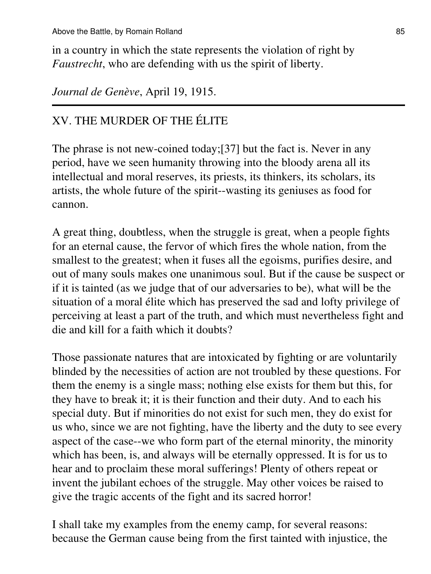in a country in which the state represents the violation of right by *Faustrecht*, who are defending with us the spirit of liberty.

*Journal de Genève*, April 19, 1915.

## XV. THE MURDER OF THE ÉLITE

The phrase is not new-coined today;[37] but the fact is. Never in any period, have we seen humanity throwing into the bloody arena all its intellectual and moral reserves, its priests, its thinkers, its scholars, its artists, the whole future of the spirit--wasting its geniuses as food for cannon.

A great thing, doubtless, when the struggle is great, when a people fights for an eternal cause, the fervor of which fires the whole nation, from the smallest to the greatest; when it fuses all the egoisms, purifies desire, and out of many souls makes one unanimous soul. But if the cause be suspect or if it is tainted (as we judge that of our adversaries to be), what will be the situation of a moral élite which has preserved the sad and lofty privilege of perceiving at least a part of the truth, and which must nevertheless fight and die and kill for a faith which it doubts?

Those passionate natures that are intoxicated by fighting or are voluntarily blinded by the necessities of action are not troubled by these questions. For them the enemy is a single mass; nothing else exists for them but this, for they have to break it; it is their function and their duty. And to each his special duty. But if minorities do not exist for such men, they do exist for us who, since we are not fighting, have the liberty and the duty to see every aspect of the case--we who form part of the eternal minority, the minority which has been, is, and always will be eternally oppressed. It is for us to hear and to proclaim these moral sufferings! Plenty of others repeat or invent the jubilant echoes of the struggle. May other voices be raised to give the tragic accents of the fight and its sacred horror!

I shall take my examples from the enemy camp, for several reasons: because the German cause being from the first tainted with injustice, the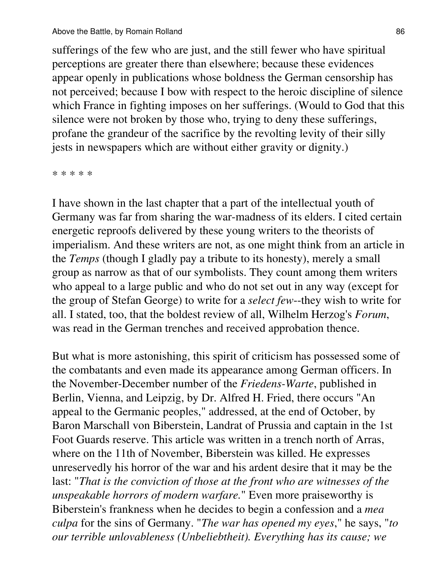sufferings of the few who are just, and the still fewer who have spiritual perceptions are greater there than elsewhere; because these evidences appear openly in publications whose boldness the German censorship has not perceived; because I bow with respect to the heroic discipline of silence which France in fighting imposes on her sufferings. (Would to God that this silence were not broken by those who, trying to deny these sufferings, profane the grandeur of the sacrifice by the revolting levity of their silly jests in newspapers which are without either gravity or dignity.)

\* \* \* \* \*

I have shown in the last chapter that a part of the intellectual youth of Germany was far from sharing the war-madness of its elders. I cited certain energetic reproofs delivered by these young writers to the theorists of imperialism. And these writers are not, as one might think from an article in the *Temps* (though I gladly pay a tribute to its honesty), merely a small group as narrow as that of our symbolists. They count among them writers who appeal to a large public and who do not set out in any way (except for the group of Stefan George) to write for a *select few*--they wish to write for all. I stated, too, that the boldest review of all, Wilhelm Herzog's *Forum*, was read in the German trenches and received approbation thence.

But what is more astonishing, this spirit of criticism has possessed some of the combatants and even made its appearance among German officers. In the November-December number of the *Friedens-Warte*, published in Berlin, Vienna, and Leipzig, by Dr. Alfred H. Fried, there occurs "An appeal to the Germanic peoples," addressed, at the end of October, by Baron Marschall von Biberstein, Landrat of Prussia and captain in the 1st Foot Guards reserve. This article was written in a trench north of Arras, where on the 11th of November, Biberstein was killed. He expresses unreservedly his horror of the war and his ardent desire that it may be the last: "*That is the conviction of those at the front who are witnesses of the unspeakable horrors of modern warfare.*" Even more praiseworthy is Biberstein's frankness when he decides to begin a confession and a *mea culpa* for the sins of Germany. "*The war has opened my eyes*," he says, "*to our terrible unlovableness (Unbeliebtheit). Everything has its cause; we*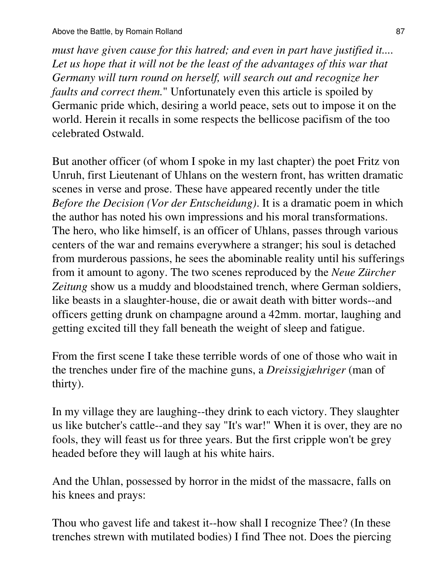*must have given cause for this hatred; and even in part have justified it.... Let us hope that it will not be the least of the advantages of this war that Germany will turn round on herself, will search out and recognize her faults and correct them.*" Unfortunately even this article is spoiled by Germanic pride which, desiring a world peace, sets out to impose it on the world. Herein it recalls in some respects the bellicose pacifism of the too celebrated Ostwald.

But another officer (of whom I spoke in my last chapter) the poet Fritz von Unruh, first Lieutenant of Uhlans on the western front, has written dramatic scenes in verse and prose. These have appeared recently under the title *Before the Decision (Vor der Entscheidung)*. It is a dramatic poem in which the author has noted his own impressions and his moral transformations. The hero, who like himself, is an officer of Uhlans, passes through various centers of the war and remains everywhere a stranger; his soul is detached from murderous passions, he sees the abominable reality until his sufferings from it amount to agony. The two scenes reproduced by the *Neue Zürcher Zeitung* show us a muddy and bloodstained trench, where German soldiers, like beasts in a slaughter-house, die or await death with bitter words--and officers getting drunk on champagne around a 42mm. mortar, laughing and getting excited till they fall beneath the weight of sleep and fatigue.

From the first scene I take these terrible words of one of those who wait in the trenches under fire of the machine guns, a *Dreissigjæhriger* (man of thirty).

In my village they are laughing--they drink to each victory. They slaughter us like butcher's cattle--and they say "It's war!" When it is over, they are no fools, they will feast us for three years. But the first cripple won't be grey headed before they will laugh at his white hairs.

And the Uhlan, possessed by horror in the midst of the massacre, falls on his knees and prays:

Thou who gavest life and takest it--how shall I recognize Thee? (In these trenches strewn with mutilated bodies) I find Thee not. Does the piercing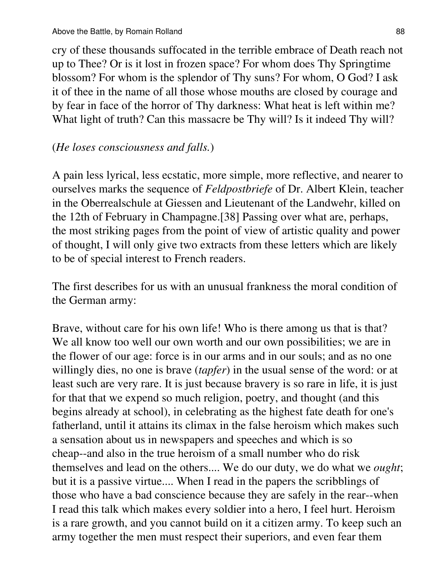cry of these thousands suffocated in the terrible embrace of Death reach not up to Thee? Or is it lost in frozen space? For whom does Thy Springtime blossom? For whom is the splendor of Thy suns? For whom, O God? I ask it of thee in the name of all those whose mouths are closed by courage and by fear in face of the horror of Thy darkness: What heat is left within me? What light of truth? Can this massacre be Thy will? Is it indeed Thy will?

#### (*He loses consciousness and falls.*)

A pain less lyrical, less ecstatic, more simple, more reflective, and nearer to ourselves marks the sequence of *Feldpostbriefe* of Dr. Albert Klein, teacher in the Oberrealschule at Giessen and Lieutenant of the Landwehr, killed on the 12th of February in Champagne.[38] Passing over what are, perhaps, the most striking pages from the point of view of artistic quality and power of thought, I will only give two extracts from these letters which are likely to be of special interest to French readers.

The first describes for us with an unusual frankness the moral condition of the German army:

Brave, without care for his own life! Who is there among us that is that? We all know too well our own worth and our own possibilities; we are in the flower of our age: force is in our arms and in our souls; and as no one willingly dies, no one is brave (*tapfer*) in the usual sense of the word: or at least such are very rare. It is just because bravery is so rare in life, it is just for that that we expend so much religion, poetry, and thought (and this begins already at school), in celebrating as the highest fate death for one's fatherland, until it attains its climax in the false heroism which makes such a sensation about us in newspapers and speeches and which is so cheap--and also in the true heroism of a small number who do risk themselves and lead on the others.... We do our duty, we do what we *ought*; but it is a passive virtue.... When I read in the papers the scribblings of those who have a bad conscience because they are safely in the rear--when I read this talk which makes every soldier into a hero, I feel hurt. Heroism is a rare growth, and you cannot build on it a citizen army. To keep such an army together the men must respect their superiors, and even fear them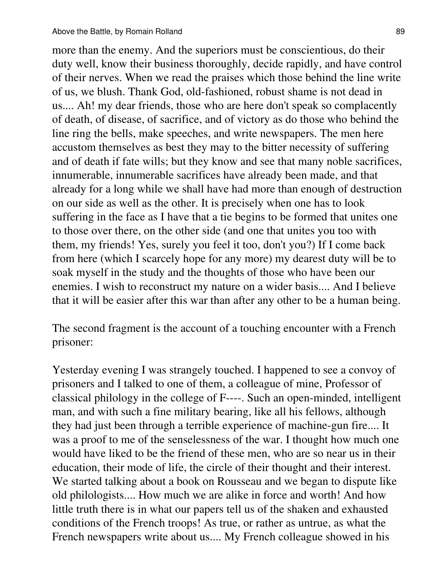more than the enemy. And the superiors must be conscientious, do their duty well, know their business thoroughly, decide rapidly, and have control of their nerves. When we read the praises which those behind the line write of us, we blush. Thank God, old-fashioned, robust shame is not dead in us.... Ah! my dear friends, those who are here don't speak so complacently of death, of disease, of sacrifice, and of victory as do those who behind the line ring the bells, make speeches, and write newspapers. The men here accustom themselves as best they may to the bitter necessity of suffering and of death if fate wills; but they know and see that many noble sacrifices, innumerable, innumerable sacrifices have already been made, and that already for a long while we shall have had more than enough of destruction on our side as well as the other. It is precisely when one has to look suffering in the face as I have that a tie begins to be formed that unites one to those over there, on the other side (and one that unites you too with them, my friends! Yes, surely you feel it too, don't you?) If I come back from here (which I scarcely hope for any more) my dearest duty will be to soak myself in the study and the thoughts of those who have been our enemies. I wish to reconstruct my nature on a wider basis.... And I believe that it will be easier after this war than after any other to be a human being.

The second fragment is the account of a touching encounter with a French prisoner:

Yesterday evening I was strangely touched. I happened to see a convoy of prisoners and I talked to one of them, a colleague of mine, Professor of classical philology in the college of F----. Such an open-minded, intelligent man, and with such a fine military bearing, like all his fellows, although they had just been through a terrible experience of machine-gun fire.... It was a proof to me of the senselessness of the war. I thought how much one would have liked to be the friend of these men, who are so near us in their education, their mode of life, the circle of their thought and their interest. We started talking about a book on Rousseau and we began to dispute like old philologists.... How much we are alike in force and worth! And how little truth there is in what our papers tell us of the shaken and exhausted conditions of the French troops! As true, or rather as untrue, as what the French newspapers write about us.... My French colleague showed in his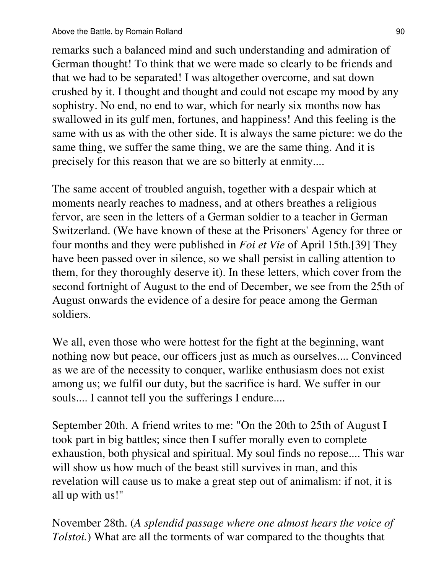remarks such a balanced mind and such understanding and admiration of German thought! To think that we were made so clearly to be friends and that we had to be separated! I was altogether overcome, and sat down crushed by it. I thought and thought and could not escape my mood by any sophistry. No end, no end to war, which for nearly six months now has swallowed in its gulf men, fortunes, and happiness! And this feeling is the same with us as with the other side. It is always the same picture: we do the same thing, we suffer the same thing, we are the same thing. And it is precisely for this reason that we are so bitterly at enmity....

The same accent of troubled anguish, together with a despair which at moments nearly reaches to madness, and at others breathes a religious fervor, are seen in the letters of a German soldier to a teacher in German Switzerland. (We have known of these at the Prisoners' Agency for three or four months and they were published in *Foi et Vie* of April 15th.[39] They have been passed over in silence, so we shall persist in calling attention to them, for they thoroughly deserve it). In these letters, which cover from the second fortnight of August to the end of December, we see from the 25th of August onwards the evidence of a desire for peace among the German soldiers.

We all, even those who were hottest for the fight at the beginning, want nothing now but peace, our officers just as much as ourselves.... Convinced as we are of the necessity to conquer, warlike enthusiasm does not exist among us; we fulfil our duty, but the sacrifice is hard. We suffer in our souls.... I cannot tell you the sufferings I endure....

September 20th. A friend writes to me: "On the 20th to 25th of August I took part in big battles; since then I suffer morally even to complete exhaustion, both physical and spiritual. My soul finds no repose.... This war will show us how much of the beast still survives in man, and this revelation will cause us to make a great step out of animalism: if not, it is all up with us!"

November 28th. (*A splendid passage where one almost hears the voice of Tolstoi.*) What are all the torments of war compared to the thoughts that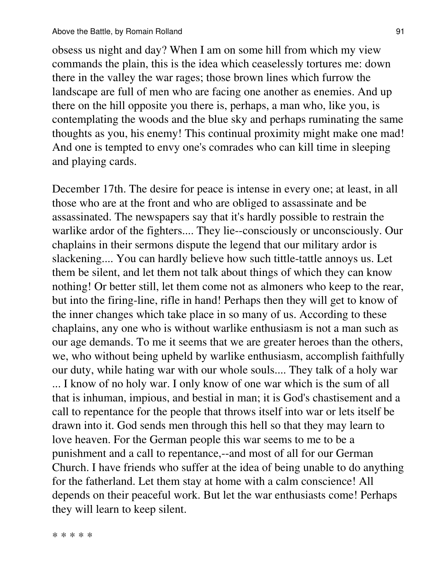obsess us night and day? When I am on some hill from which my view commands the plain, this is the idea which ceaselessly tortures me: down there in the valley the war rages; those brown lines which furrow the landscape are full of men who are facing one another as enemies. And up there on the hill opposite you there is, perhaps, a man who, like you, is contemplating the woods and the blue sky and perhaps ruminating the same thoughts as you, his enemy! This continual proximity might make one mad! And one is tempted to envy one's comrades who can kill time in sleeping and playing cards.

December 17th. The desire for peace is intense in every one; at least, in all those who are at the front and who are obliged to assassinate and be assassinated. The newspapers say that it's hardly possible to restrain the warlike ardor of the fighters.... They lie--consciously or unconsciously. Our chaplains in their sermons dispute the legend that our military ardor is slackening.... You can hardly believe how such tittle-tattle annoys us. Let them be silent, and let them not talk about things of which they can know nothing! Or better still, let them come not as almoners who keep to the rear, but into the firing-line, rifle in hand! Perhaps then they will get to know of the inner changes which take place in so many of us. According to these chaplains, any one who is without warlike enthusiasm is not a man such as our age demands. To me it seems that we are greater heroes than the others, we, who without being upheld by warlike enthusiasm, accomplish faithfully our duty, while hating war with our whole souls.... They talk of a holy war ... I know of no holy war. I only know of one war which is the sum of all that is inhuman, impious, and bestial in man; it is God's chastisement and a call to repentance for the people that throws itself into war or lets itself be drawn into it. God sends men through this hell so that they may learn to love heaven. For the German people this war seems to me to be a punishment and a call to repentance,--and most of all for our German Church. I have friends who suffer at the idea of being unable to do anything for the fatherland. Let them stay at home with a calm conscience! All depends on their peaceful work. But let the war enthusiasts come! Perhaps they will learn to keep silent.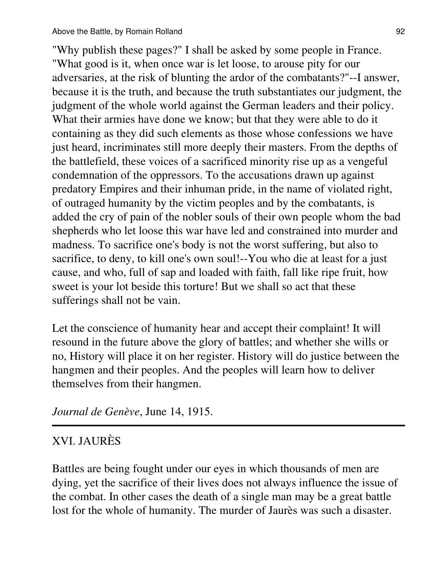"Why publish these pages?" I shall be asked by some people in France. "What good is it, when once war is let loose, to arouse pity for our adversaries, at the risk of blunting the ardor of the combatants?"--I answer, because it is the truth, and because the truth substantiates our judgment, the judgment of the whole world against the German leaders and their policy. What their armies have done we know; but that they were able to do it containing as they did such elements as those whose confessions we have just heard, incriminates still more deeply their masters. From the depths of the battlefield, these voices of a sacrificed minority rise up as a vengeful condemnation of the oppressors. To the accusations drawn up against predatory Empires and their inhuman pride, in the name of violated right, of outraged humanity by the victim peoples and by the combatants, is added the cry of pain of the nobler souls of their own people whom the bad shepherds who let loose this war have led and constrained into murder and madness. To sacrifice one's body is not the worst suffering, but also to sacrifice, to deny, to kill one's own soul!--You who die at least for a just cause, and who, full of sap and loaded with faith, fall like ripe fruit, how sweet is your lot beside this torture! But we shall so act that these sufferings shall not be vain.

Let the conscience of humanity hear and accept their complaint! It will resound in the future above the glory of battles; and whether she wills or no, History will place it on her register. History will do justice between the hangmen and their peoples. And the peoples will learn how to deliver themselves from their hangmen.

*Journal de Genève*, June 14, 1915.

### XVI. JAURÈS

Battles are being fought under our eyes in which thousands of men are dying, yet the sacrifice of their lives does not always influence the issue of the combat. In other cases the death of a single man may be a great battle lost for the whole of humanity. The murder of Jaurès was such a disaster.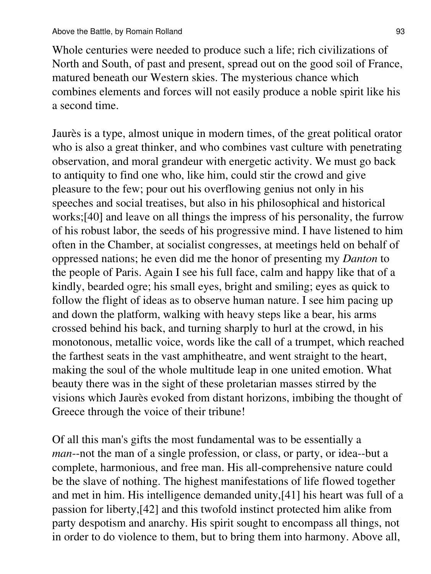Whole centuries were needed to produce such a life; rich civilizations of North and South, of past and present, spread out on the good soil of France, matured beneath our Western skies. The mysterious chance which combines elements and forces will not easily produce a noble spirit like his a second time.

Jaurès is a type, almost unique in modern times, of the great political orator who is also a great thinker, and who combines vast culture with penetrating observation, and moral grandeur with energetic activity. We must go back to antiquity to find one who, like him, could stir the crowd and give pleasure to the few; pour out his overflowing genius not only in his speeches and social treatises, but also in his philosophical and historical works;[40] and leave on all things the impress of his personality, the furrow of his robust labor, the seeds of his progressive mind. I have listened to him often in the Chamber, at socialist congresses, at meetings held on behalf of oppressed nations; he even did me the honor of presenting my *Danton* to the people of Paris. Again I see his full face, calm and happy like that of a kindly, bearded ogre; his small eyes, bright and smiling; eyes as quick to follow the flight of ideas as to observe human nature. I see him pacing up and down the platform, walking with heavy steps like a bear, his arms crossed behind his back, and turning sharply to hurl at the crowd, in his monotonous, metallic voice, words like the call of a trumpet, which reached the farthest seats in the vast amphitheatre, and went straight to the heart, making the soul of the whole multitude leap in one united emotion. What beauty there was in the sight of these proletarian masses stirred by the visions which Jaurès evoked from distant horizons, imbibing the thought of Greece through the voice of their tribune!

Of all this man's gifts the most fundamental was to be essentially a *man*--not the man of a single profession, or class, or party, or idea--but a complete, harmonious, and free man. His all-comprehensive nature could be the slave of nothing. The highest manifestations of life flowed together and met in him. His intelligence demanded unity,[41] his heart was full of a passion for liberty,[42] and this twofold instinct protected him alike from party despotism and anarchy. His spirit sought to encompass all things, not in order to do violence to them, but to bring them into harmony. Above all,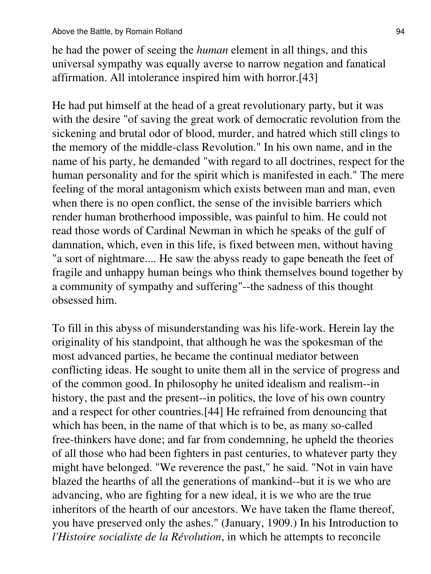he had the power of seeing the *human* element in all things, and this universal sympathy was equally averse to narrow negation and fanatical affirmation. All intolerance inspired him with horror.[43]

He had put himself at the head of a great revolutionary party, but it was with the desire "of saving the great work of democratic revolution from the sickening and brutal odor of blood, murder, and hatred which still clings to the memory of the middle-class Revolution." In his own name, and in the name of his party, he demanded "with regard to all doctrines, respect for the human personality and for the spirit which is manifested in each." The mere feeling of the moral antagonism which exists between man and man, even when there is no open conflict, the sense of the invisible barriers which render human brotherhood impossible, was painful to him. He could not read those words of Cardinal Newman in which he speaks of the gulf of damnation, which, even in this life, is fixed between men, without having "a sort of nightmare.... He saw the abyss ready to gape beneath the feet of fragile and unhappy human beings who think themselves bound together by a community of sympathy and suffering"--the sadness of this thought obsessed him.

To fill in this abyss of misunderstanding was his life-work. Herein lay the originality of his standpoint, that although he was the spokesman of the most advanced parties, he became the continual mediator between conflicting ideas. He sought to unite them all in the service of progress and of the common good. In philosophy he united idealism and realism--in history, the past and the present--in politics, the love of his own country and a respect for other countries.[44] He refrained from denouncing that which has been, in the name of that which is to be, as many so-called free-thinkers have done; and far from condemning, he upheld the theories of all those who had been fighters in past centuries, to whatever party they might have belonged. "We reverence the past," he said. "Not in vain have blazed the hearths of all the generations of mankind--but it is we who are advancing, who are fighting for a new ideal, it is we who are the true inheritors of the hearth of our ancestors. We have taken the flame thereof, you have preserved only the ashes." (January, 1909.) In his Introduction to *l'Histoire socialiste de la Révolution*, in which he attempts to reconcile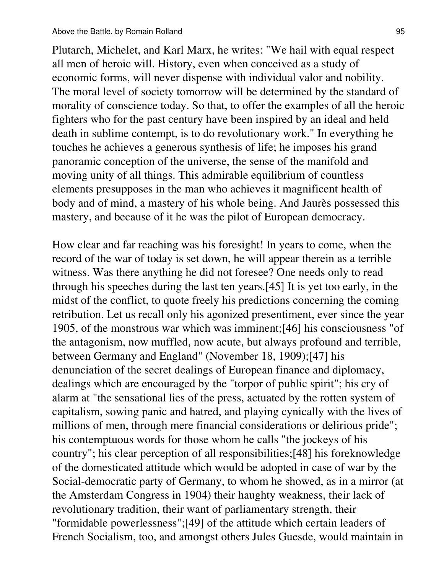Plutarch, Michelet, and Karl Marx, he writes: "We hail with equal respect all men of heroic will. History, even when conceived as a study of economic forms, will never dispense with individual valor and nobility. The moral level of society tomorrow will be determined by the standard of morality of conscience today. So that, to offer the examples of all the heroic fighters who for the past century have been inspired by an ideal and held death in sublime contempt, is to do revolutionary work." In everything he touches he achieves a generous synthesis of life; he imposes his grand panoramic conception of the universe, the sense of the manifold and moving unity of all things. This admirable equilibrium of countless elements presupposes in the man who achieves it magnificent health of body and of mind, a mastery of his whole being. And Jaurès possessed this mastery, and because of it he was the pilot of European democracy.

How clear and far reaching was his foresight! In years to come, when the record of the war of today is set down, he will appear therein as a terrible witness. Was there anything he did not foresee? One needs only to read through his speeches during the last ten years.[45] It is yet too early, in the midst of the conflict, to quote freely his predictions concerning the coming retribution. Let us recall only his agonized presentiment, ever since the year 1905, of the monstrous war which was imminent;[46] his consciousness "of the antagonism, now muffled, now acute, but always profound and terrible, between Germany and England" (November 18, 1909);[47] his denunciation of the secret dealings of European finance and diplomacy, dealings which are encouraged by the "torpor of public spirit"; his cry of alarm at "the sensational lies of the press, actuated by the rotten system of capitalism, sowing panic and hatred, and playing cynically with the lives of millions of men, through mere financial considerations or delirious pride"; his contemptuous words for those whom he calls "the jockeys of his country"; his clear perception of all responsibilities;[48] his foreknowledge of the domesticated attitude which would be adopted in case of war by the Social-democratic party of Germany, to whom he showed, as in a mirror (at the Amsterdam Congress in 1904) their haughty weakness, their lack of revolutionary tradition, their want of parliamentary strength, their "formidable powerlessness";[49] of the attitude which certain leaders of French Socialism, too, and amongst others Jules Guesde, would maintain in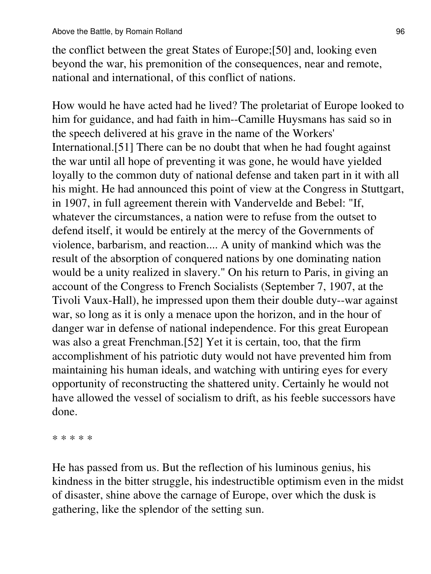the conflict between the great States of Europe;[50] and, looking even beyond the war, his premonition of the consequences, near and remote, national and international, of this conflict of nations.

How would he have acted had he lived? The proletariat of Europe looked to him for guidance, and had faith in him--Camille Huysmans has said so in the speech delivered at his grave in the name of the Workers' International.[51] There can be no doubt that when he had fought against the war until all hope of preventing it was gone, he would have yielded loyally to the common duty of national defense and taken part in it with all his might. He had announced this point of view at the Congress in Stuttgart, in 1907, in full agreement therein with Vandervelde and Bebel: "If, whatever the circumstances, a nation were to refuse from the outset to defend itself, it would be entirely at the mercy of the Governments of violence, barbarism, and reaction.... A unity of mankind which was the result of the absorption of conquered nations by one dominating nation would be a unity realized in slavery." On his return to Paris, in giving an account of the Congress to French Socialists (September 7, 1907, at the Tivoli Vaux-Hall), he impressed upon them their double duty--war against war, so long as it is only a menace upon the horizon, and in the hour of danger war in defense of national independence. For this great European was also a great Frenchman.[52] Yet it is certain, too, that the firm accomplishment of his patriotic duty would not have prevented him from maintaining his human ideals, and watching with untiring eyes for every opportunity of reconstructing the shattered unity. Certainly he would not have allowed the vessel of socialism to drift, as his feeble successors have done.

\* \* \* \* \*

He has passed from us. But the reflection of his luminous genius, his kindness in the bitter struggle, his indestructible optimism even in the midst of disaster, shine above the carnage of Europe, over which the dusk is gathering, like the splendor of the setting sun.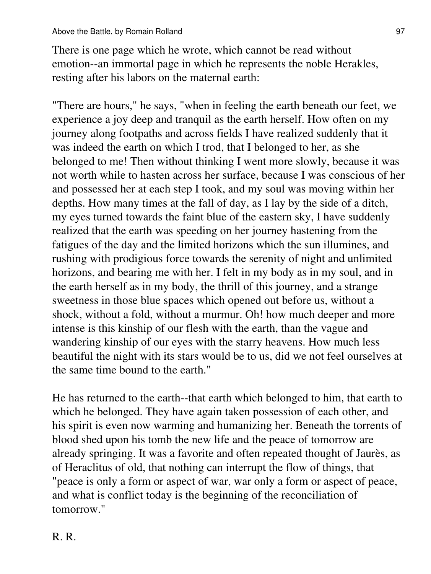There is one page which he wrote, which cannot be read without emotion--an immortal page in which he represents the noble Herakles, resting after his labors on the maternal earth:

"There are hours," he says, "when in feeling the earth beneath our feet, we experience a joy deep and tranquil as the earth herself. How often on my journey along footpaths and across fields I have realized suddenly that it was indeed the earth on which I trod, that I belonged to her, as she belonged to me! Then without thinking I went more slowly, because it was not worth while to hasten across her surface, because I was conscious of her and possessed her at each step I took, and my soul was moving within her depths. How many times at the fall of day, as I lay by the side of a ditch, my eyes turned towards the faint blue of the eastern sky, I have suddenly realized that the earth was speeding on her journey hastening from the fatigues of the day and the limited horizons which the sun illumines, and rushing with prodigious force towards the serenity of night and unlimited horizons, and bearing me with her. I felt in my body as in my soul, and in the earth herself as in my body, the thrill of this journey, and a strange sweetness in those blue spaces which opened out before us, without a shock, without a fold, without a murmur. Oh! how much deeper and more intense is this kinship of our flesh with the earth, than the vague and wandering kinship of our eyes with the starry heavens. How much less beautiful the night with its stars would be to us, did we not feel ourselves at the same time bound to the earth."

He has returned to the earth--that earth which belonged to him, that earth to which he belonged. They have again taken possession of each other, and his spirit is even now warming and humanizing her. Beneath the torrents of blood shed upon his tomb the new life and the peace of tomorrow are already springing. It was a favorite and often repeated thought of Jaurès, as of Heraclitus of old, that nothing can interrupt the flow of things, that "peace is only a form or aspect of war, war only a form or aspect of peace, and what is conflict today is the beginning of the reconciliation of tomorrow."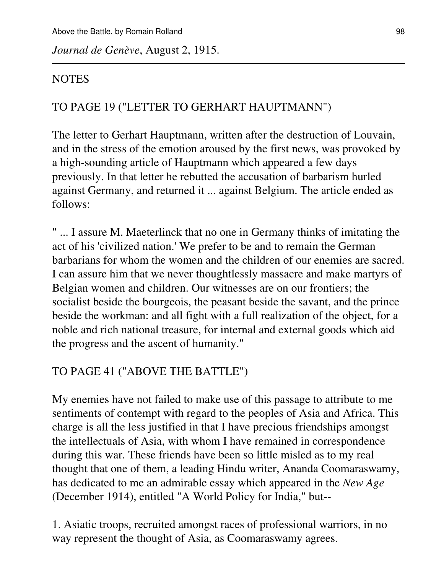*Journal de Genève*, August 2, 1915.

#### NOTES

#### TO PAGE 19 ("LETTER TO GERHART HAUPTMANN")

The letter to Gerhart Hauptmann, written after the destruction of Louvain, and in the stress of the emotion aroused by the first news, was provoked by a high-sounding article of Hauptmann which appeared a few days previously. In that letter he rebutted the accusation of barbarism hurled against Germany, and returned it ... against Belgium. The article ended as follows:

" ... I assure M. Maeterlinck that no one in Germany thinks of imitating the act of his 'civilized nation.' We prefer to be and to remain the German barbarians for whom the women and the children of our enemies are sacred. I can assure him that we never thoughtlessly massacre and make martyrs of Belgian women and children. Our witnesses are on our frontiers; the socialist beside the bourgeois, the peasant beside the savant, and the prince beside the workman: and all fight with a full realization of the object, for a noble and rich national treasure, for internal and external goods which aid the progress and the ascent of humanity."

### TO PAGE 41 ("ABOVE THE BATTLE")

My enemies have not failed to make use of this passage to attribute to me sentiments of contempt with regard to the peoples of Asia and Africa. This charge is all the less justified in that I have precious friendships amongst the intellectuals of Asia, with whom I have remained in correspondence during this war. These friends have been so little misled as to my real thought that one of them, a leading Hindu writer, Ananda Coomaraswamy, has dedicated to me an admirable essay which appeared in the *New Age* (December 1914), entitled "A World Policy for India," but--

1. Asiatic troops, recruited amongst races of professional warriors, in no way represent the thought of Asia, as Coomaraswamy agrees.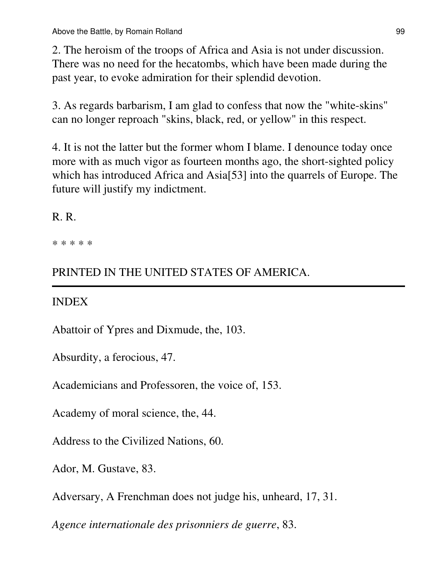2. The heroism of the troops of Africa and Asia is not under discussion. There was no need for the hecatombs, which have been made during the past year, to evoke admiration for their splendid devotion.

3. As regards barbarism, I am glad to confess that now the "white-skins" can no longer reproach "skins, black, red, or yellow" in this respect.

4. It is not the latter but the former whom I blame. I denounce today once more with as much vigor as fourteen months ago, the short-sighted policy which has introduced Africa and Asia[53] into the quarrels of Europe. The future will justify my indictment.

### R. R.

\* \* \* \* \*

# PRINTED IN THE UNITED STATES OF AMERICA.

## INDEX

Abattoir of Ypres and Dixmude, the, 103.

Absurdity, a ferocious, 47.

Academicians and Professoren, the voice of, 153.

Academy of moral science, the, 44.

Address to the Civilized Nations, 60.

Ador, M. Gustave, 83.

Adversary, A Frenchman does not judge his, unheard, 17, 31.

*Agence internationale des prisonniers de guerre*, 83.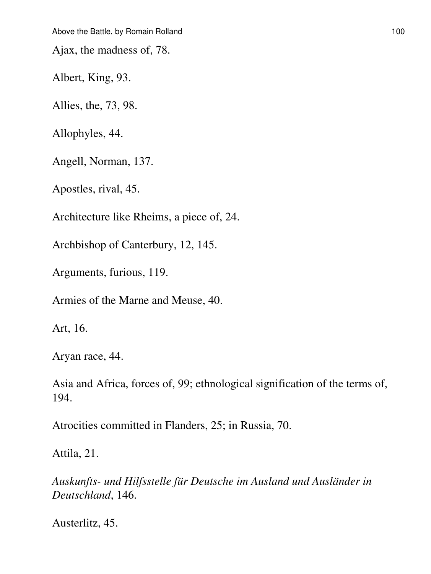Ajax, the madness of, 78.

Albert, King, 93.

Allies, the, 73, 98.

Allophyles, 44.

Angell, Norman, 137.

Apostles, rival, 45.

Architecture like Rheims, a piece of, 24.

Archbishop of Canterbury, 12, 145.

Arguments, furious, 119.

Armies of the Marne and Meuse, 40.

Art, 16.

Aryan race, 44.

Asia and Africa, forces of, 99; ethnological signification of the terms of, 194.

Atrocities committed in Flanders, 25; in Russia, 70.

Attila, 21.

*Auskunfts- und Hilfsstelle für Deutsche im Ausland und Ausländer in Deutschland*, 146.

Austerlitz, 45.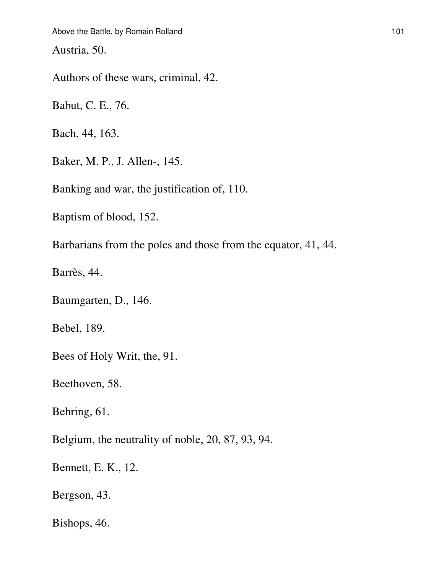Austria, 50.

Authors of these wars, criminal, 42.

Babut, C. E., 76.

Bach, 44, 163.

Baker, M. P., J. Allen-, 145.

Banking and war, the justification of, 110.

Baptism of blood, 152.

Barbarians from the poles and those from the equator, 41, 44.

Barrès, 44.

Baumgarten, D., 146.

Bebel, 189.

Bees of Holy Writ, the, 91.

Beethoven, 58.

Behring, 61.

Belgium, the neutrality of noble, 20, 87, 93, 94.

Bennett, E. K., 12.

Bergson, 43.

Bishops, 46.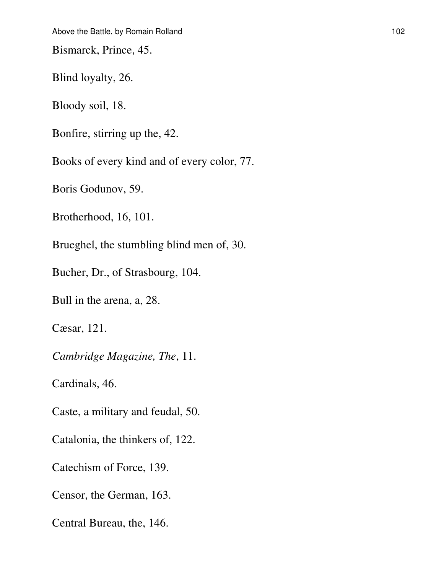Bismarck, Prince, 45.

Blind loyalty, 26.

Bloody soil, 18.

Bonfire, stirring up the, 42.

Books of every kind and of every color, 77.

Boris Godunov, 59.

Brotherhood, 16, 101.

Brueghel, the stumbling blind men of, 30.

Bucher, Dr., of Strasbourg, 104.

Bull in the arena, a, 28.

Cæsar, 121.

*Cambridge Magazine, The*, 11.

Cardinals, 46.

Caste, a military and feudal, 50.

Catalonia, the thinkers of, 122.

Catechism of Force, 139.

Censor, the German, 163.

Central Bureau, the, 146.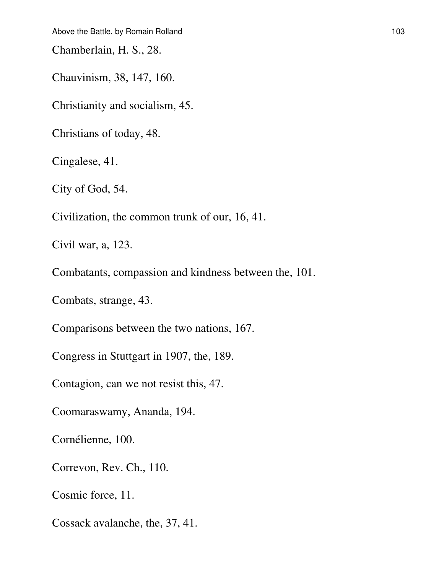Chamberlain, H. S., 28.

Chauvinism, 38, 147, 160.

Christianity and socialism, 45.

Christians of today, 48.

Cingalese, 41.

City of God, 54.

Civilization, the common trunk of our, 16, 41.

Civil war, a, 123.

Combatants, compassion and kindness between the, 101.

Combats, strange, 43.

Comparisons between the two nations, 167.

Congress in Stuttgart in 1907, the, 189.

Contagion, can we not resist this, 47.

Coomaraswamy, Ananda, 194.

Cornélienne, 100.

Correvon, Rev. Ch., 110.

Cosmic force, 11.

Cossack avalanche, the, 37, 41.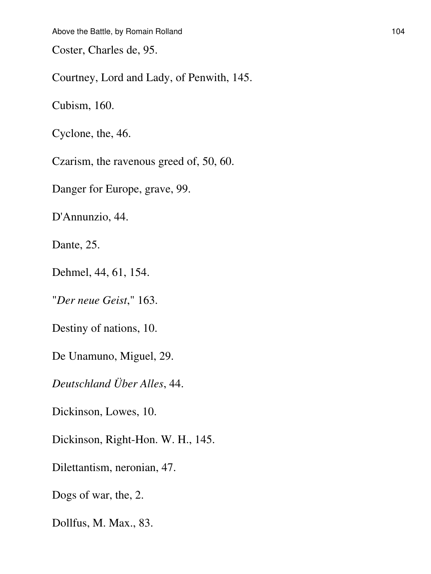Coster, Charles de, 95.

Courtney, Lord and Lady, of Penwith, 145.

Cubism, 160.

Cyclone, the, 46.

Czarism, the ravenous greed of, 50, 60.

Danger for Europe, grave, 99.

D'Annunzio, 44.

Dante, 25.

Dehmel, 44, 61, 154.

"*Der neue Geist*," 163.

Destiny of nations, 10.

De Unamuno, Miguel, 29.

*Deutschland Über Alles*, 44.

Dickinson, Lowes, 10.

Dickinson, Right-Hon. W. H., 145.

Dilettantism, neronian, 47.

Dogs of war, the, 2.

Dollfus, M. Max., 83.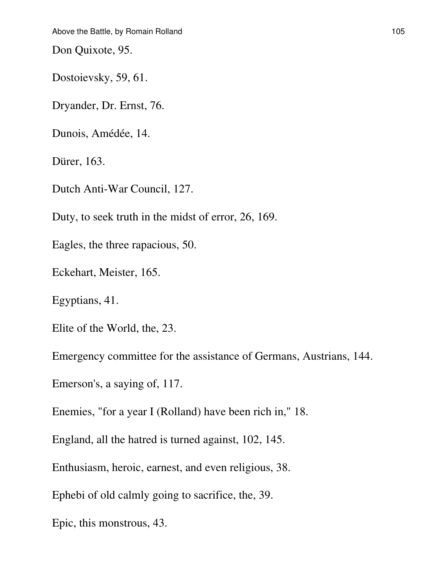Don Quixote, 95.

Dostoievsky, 59, 61.

Dryander, Dr. Ernst, 76.

Dunois, Amédée, 14.

Dürer, 163.

Dutch Anti-War Council, 127.

Duty, to seek truth in the midst of error, 26, 169.

Eagles, the three rapacious, 50.

Eckehart, Meister, 165.

Egyptians, 41.

Elite of the World, the, 23.

Emergency committee for the assistance of Germans, Austrians, 144.

Emerson's, a saying of, 117.

Enemies, "for a year I (Rolland) have been rich in," 18.

England, all the hatred is turned against, 102, 145.

Enthusiasm, heroic, earnest, and even religious, 38.

Ephebi of old calmly going to sacrifice, the, 39.

Epic, this monstrous, 43.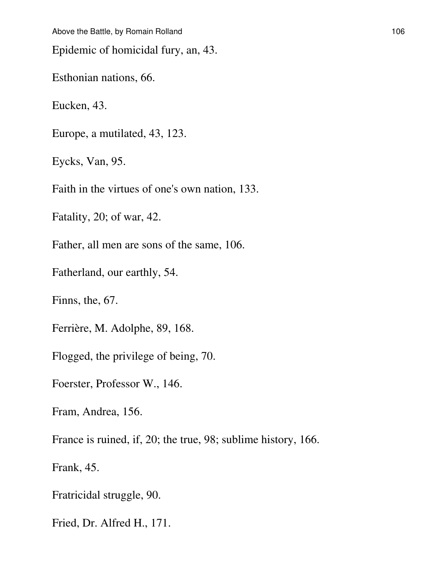Epidemic of homicidal fury, an, 43.

Esthonian nations, 66.

Eucken, 43.

Europe, a mutilated, 43, 123.

Eycks, Van, 95.

Faith in the virtues of one's own nation, 133.

Fatality, 20; of war, 42.

Father, all men are sons of the same, 106.

Fatherland, our earthly, 54.

Finns, the, 67.

Ferrière, M. Adolphe, 89, 168.

Flogged, the privilege of being, 70.

Foerster, Professor W., 146.

Fram, Andrea, 156.

France is ruined, if, 20; the true, 98; sublime history, 166.

Frank, 45.

Fratricidal struggle, 90.

Fried, Dr. Alfred H., 171.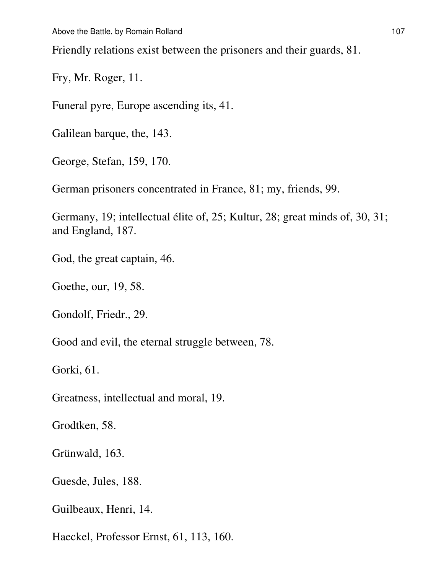Friendly relations exist between the prisoners and their guards, 81.

Fry, Mr. Roger, 11.

Funeral pyre, Europe ascending its, 41.

Galilean barque, the, 143.

George, Stefan, 159, 170.

German prisoners concentrated in France, 81; my, friends, 99.

Germany, 19; intellectual élite of, 25; Kultur, 28; great minds of, 30, 31; and England, 187.

God, the great captain, 46.

Goethe, our, 19, 58.

Gondolf, Friedr., 29.

Good and evil, the eternal struggle between, 78.

Gorki, 61.

Greatness, intellectual and moral, 19.

Grodtken, 58.

Grünwald, 163.

Guesde, Jules, 188.

Guilbeaux, Henri, 14.

Haeckel, Professor Ernst, 61, 113, 160.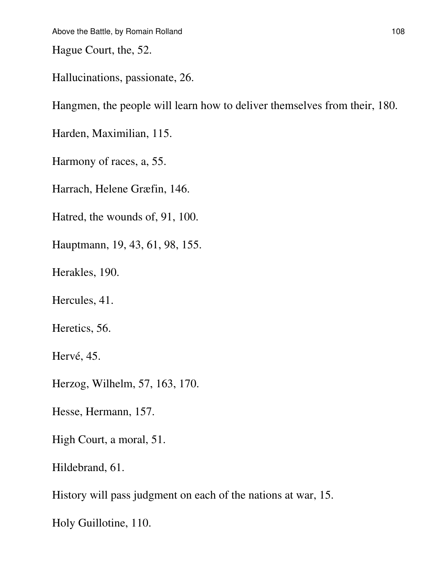Hague Court, the, 52.

Hallucinations, passionate, 26.

Hangmen, the people will learn how to deliver themselves from their, 180.

Harden, Maximilian, 115.

Harmony of races, a, 55.

Harrach, Helene Græfin, 146.

Hatred, the wounds of, 91, 100.

Hauptmann, 19, 43, 61, 98, 155.

Herakles, 190.

Hercules, 41.

Heretics, 56.

Hervé, 45.

Herzog, Wilhelm, 57, 163, 170.

Hesse, Hermann, 157.

High Court, a moral, 51.

Hildebrand, 61.

History will pass judgment on each of the nations at war, 15.

Holy Guillotine, 110.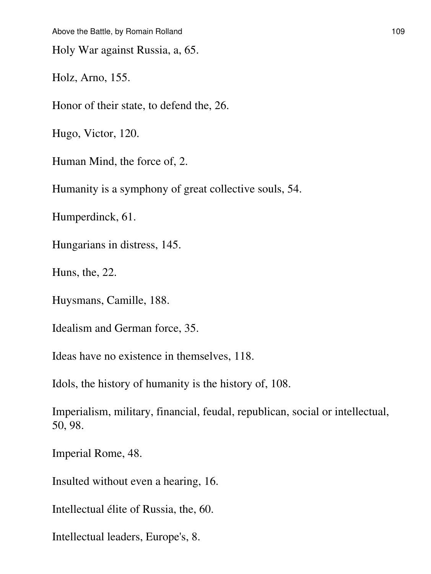Holy War against Russia, a, 65.

Holz, Arno, 155.

Honor of their state, to defend the, 26.

Hugo, Victor, 120.

Human Mind, the force of, 2.

Humanity is a symphony of great collective souls, 54.

Humperdinck, 61.

Hungarians in distress, 145.

Huns, the, 22.

Huysmans, Camille, 188.

Idealism and German force, 35.

Ideas have no existence in themselves, 118.

Idols, the history of humanity is the history of, 108.

Imperialism, military, financial, feudal, republican, social or intellectual, 50, 98.

Imperial Rome, 48.

Insulted without even a hearing, 16.

Intellectual élite of Russia, the, 60.

Intellectual leaders, Europe's, 8.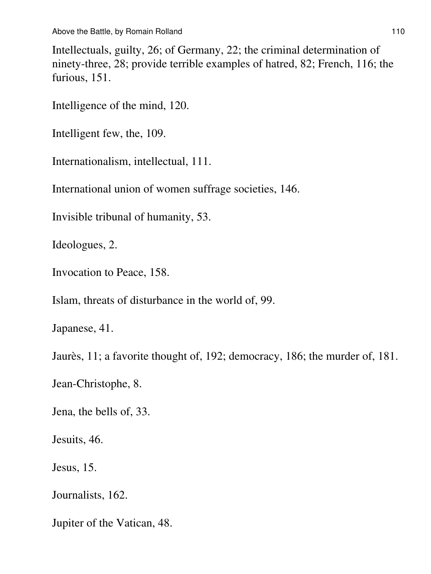Intellectuals, guilty, 26; of Germany, 22; the criminal determination of ninety-three, 28; provide terrible examples of hatred, 82; French, 116; the furious, 151.

Intelligence of the mind, 120.

Intelligent few, the, 109.

Internationalism, intellectual, 111.

International union of women suffrage societies, 146.

Invisible tribunal of humanity, 53.

Ideologues, 2.

Invocation to Peace, 158.

Islam, threats of disturbance in the world of, 99.

Japanese, 41.

Jaurès, 11; a favorite thought of, 192; democracy, 186; the murder of, 181.

Jean-Christophe, 8.

Jena, the bells of, 33.

Jesuits, 46.

Jesus, 15.

Journalists, 162.

Jupiter of the Vatican, 48.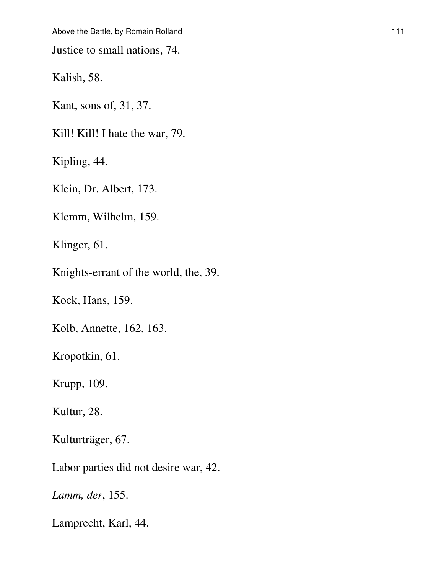Above the Battle, by Romain Rolland 111 and 112 and 111

Justice to small nations, 74.

Kalish, 58.

Kant, sons of, 31, 37.

Kill! Kill! I hate the war, 79.

Kipling, 44.

Klein, Dr. Albert, 173.

Klemm, Wilhelm, 159.

Klinger, 61.

Knights-errant of the world, the, 39.

Kock, Hans, 159.

Kolb, Annette, 162, 163.

Kropotkin, 61.

Krupp, 109.

Kultur, 28.

Kulturträger, 67.

Labor parties did not desire war, 42.

*Lamm, der*, 155.

Lamprecht, Karl, 44.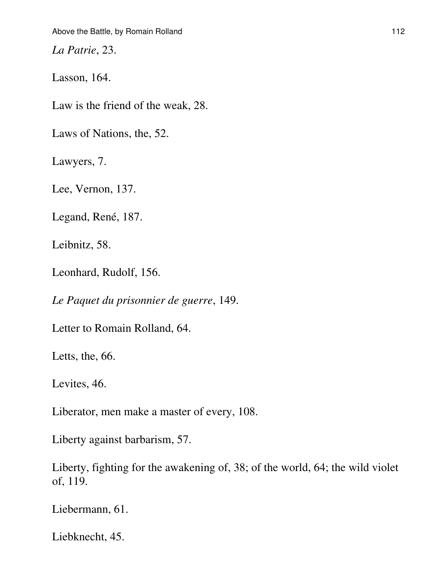*La Patrie*, 23.

Lasson, 164.

Law is the friend of the weak, 28.

Laws of Nations, the, 52.

Lawyers, 7.

Lee, Vernon, 137.

Legand, René, 187.

Leibnitz, 58.

Leonhard, Rudolf, 156.

*Le Paquet du prisonnier de guerre*, 149.

Letter to Romain Rolland, 64.

Letts, the, 66.

Levites, 46.

Liberator, men make a master of every, 108.

Liberty against barbarism, 57.

Liberty, fighting for the awakening of, 38; of the world, 64; the wild violet of, 119.

Liebermann, 61.

Liebknecht, 45.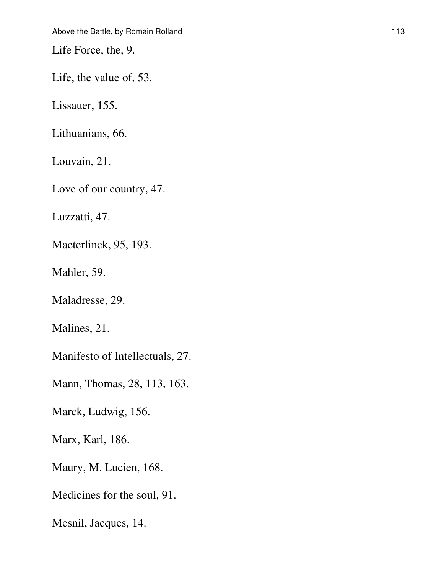Life Force, the, 9.

Life, the value of, 53.

Lissauer, 155.

Lithuanians, 66.

Louvain, 21.

Love of our country, 47.

Luzzatti, 47.

Maeterlinck, 95, 193.

Mahler, 59.

Maladresse, 29.

Malines, 21.

Manifesto of Intellectuals, 27.

Mann, Thomas, 28, 113, 163.

Marck, Ludwig, 156.

Marx, Karl, 186.

Maury, M. Lucien, 168.

Medicines for the soul, 91.

Mesnil, Jacques, 14.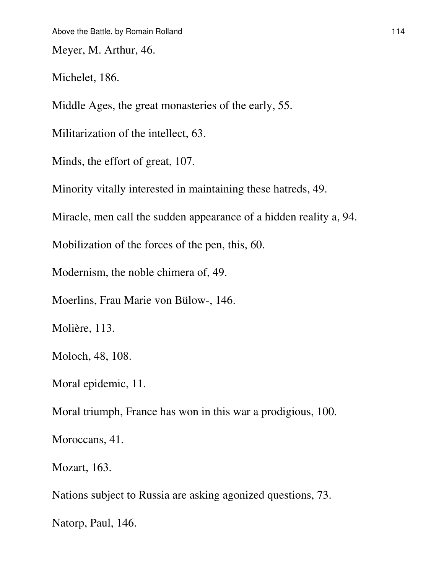Meyer, M. Arthur, 46.

Michelet, 186.

Middle Ages, the great monasteries of the early, 55.

Militarization of the intellect, 63.

Minds, the effort of great, 107.

Minority vitally interested in maintaining these hatreds, 49.

Miracle, men call the sudden appearance of a hidden reality a, 94.

Mobilization of the forces of the pen, this, 60.

Modernism, the noble chimera of, 49.

Moerlins, Frau Marie von Bülow-, 146.

Molière, 113.

Moloch, 48, 108.

Moral epidemic, 11.

Moral triumph, France has won in this war a prodigious, 100.

Moroccans, 41.

Mozart, 163.

Nations subject to Russia are asking agonized questions, 73.

Natorp, Paul, 146.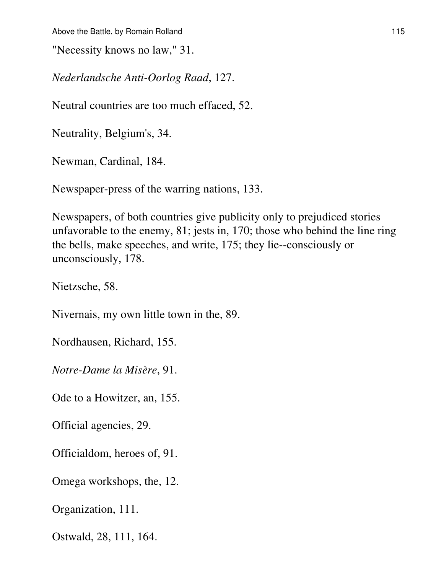"Necessity knows no law," 31.

*Nederlandsche Anti-Oorlog Raad*, 127.

Neutral countries are too much effaced, 52.

Neutrality, Belgium's, 34.

Newman, Cardinal, 184.

Newspaper-press of the warring nations, 133.

Newspapers, of both countries give publicity only to prejudiced stories unfavorable to the enemy, 81; jests in, 170; those who behind the line ring the bells, make speeches, and write, 175; they lie--consciously or unconsciously, 178.

Nietzsche, 58.

Nivernais, my own little town in the, 89.

Nordhausen, Richard, 155.

*Notre-Dame la Misère*, 91.

Ode to a Howitzer, an, 155.

Official agencies, 29.

Officialdom, heroes of, 91.

Omega workshops, the, 12.

Organization, 111.

Ostwald, 28, 111, 164.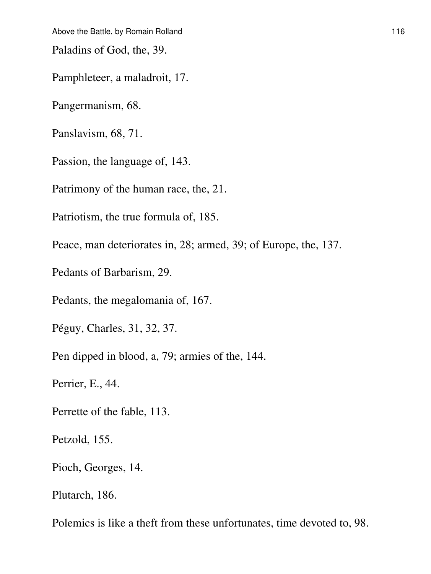Paladins of God, the, 39.

Pamphleteer, a maladroit, 17.

Pangermanism, 68.

Panslavism, 68, 71.

Passion, the language of, 143.

Patrimony of the human race, the, 21.

Patriotism, the true formula of, 185.

Peace, man deteriorates in, 28; armed, 39; of Europe, the, 137.

Pedants of Barbarism, 29.

Pedants, the megalomania of, 167.

Péguy, Charles, 31, 32, 37.

Pen dipped in blood, a, 79; armies of the, 144.

Perrier, E., 44.

Perrette of the fable, 113.

Petzold, 155.

Pioch, Georges, 14.

Plutarch, 186.

Polemics is like a theft from these unfortunates, time devoted to, 98.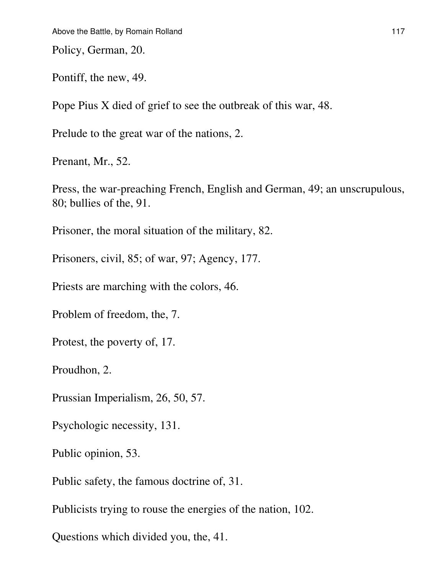Policy, German, 20.

Pontiff, the new, 49.

Pope Pius X died of grief to see the outbreak of this war, 48.

Prelude to the great war of the nations, 2.

Prenant, Mr., 52.

Press, the war-preaching French, English and German, 49; an unscrupulous, 80; bullies of the, 91.

Prisoner, the moral situation of the military, 82.

Prisoners, civil, 85; of war, 97; Agency, 177.

Priests are marching with the colors, 46.

Problem of freedom, the, 7.

Protest, the poverty of, 17.

Proudhon, 2.

Prussian Imperialism, 26, 50, 57.

Psychologic necessity, 131.

Public opinion, 53.

Public safety, the famous doctrine of, 31.

Publicists trying to rouse the energies of the nation, 102.

Questions which divided you, the, 41.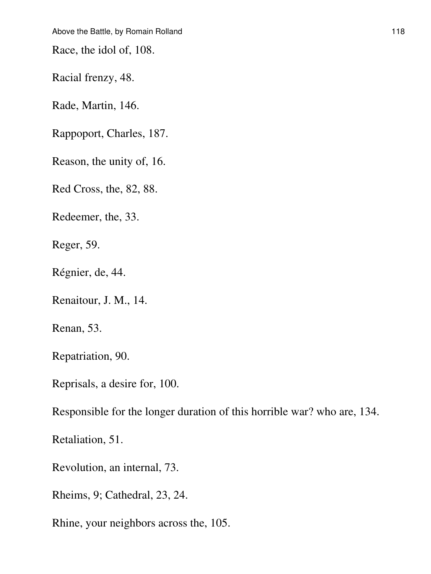Race, the idol of, 108.

Racial frenzy, 48.

Rade, Martin, 146.

Rappoport, Charles, 187.

Reason, the unity of, 16.

Red Cross, the, 82, 88.

Redeemer, the, 33.

Reger, 59.

Régnier, de, 44.

Renaitour, J. M., 14.

Renan, 53.

Repatriation, 90.

Reprisals, a desire for, 100.

Responsible for the longer duration of this horrible war? who are, 134.

Retaliation, 51.

Revolution, an internal, 73.

Rheims, 9; Cathedral, 23, 24.

Rhine, your neighbors across the, 105.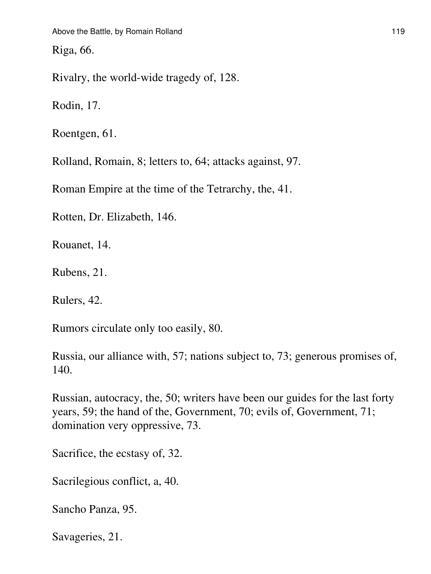Riga, 66.

Rivalry, the world-wide tragedy of, 128.

Rodin, 17.

Roentgen, 61.

Rolland, Romain, 8; letters to, 64; attacks against, 97.

Roman Empire at the time of the Tetrarchy, the, 41.

Rotten, Dr. Elizabeth, 146.

Rouanet, 14.

Rubens, 21.

Rulers, 42.

Rumors circulate only too easily, 80.

Russia, our alliance with, 57; nations subject to, 73; generous promises of, 140.

Russian, autocracy, the, 50; writers have been our guides for the last forty years, 59; the hand of the, Government, 70; evils of, Government, 71; domination very oppressive, 73.

Sacrifice, the ecstasy of, 32.

Sacrilegious conflict, a, 40.

Sancho Panza, 95.

Savageries, 21.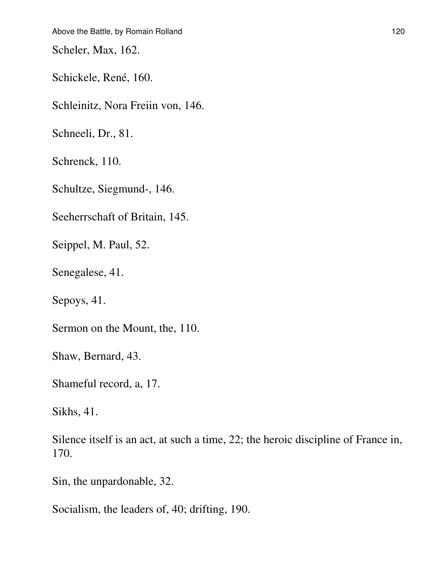Scheler, Max, 162.

Schickele, René, 160.

Schleinitz, Nora Freiin von, 146.

Schneeli, Dr., 81.

Schrenck, 110.

Schultze, Siegmund-, 146.

Seeherrschaft of Britain, 145.

Seippel, M. Paul, 52.

Senegalese, 41.

Sepoys, 41.

Sermon on the Mount, the, 110.

Shaw, Bernard, 43.

Shameful record, a, 17.

Sikhs, 41.

Silence itself is an act, at such a time, 22; the heroic discipline of France in, 170.

Sin, the unpardonable, 32.

Socialism, the leaders of, 40; drifting, 190.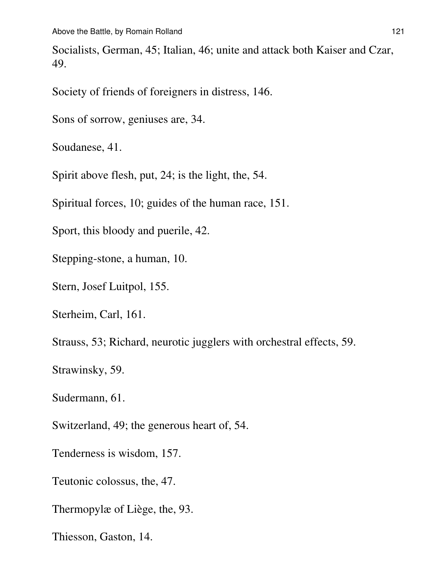Socialists, German, 45; Italian, 46; unite and attack both Kaiser and Czar, 49.

Society of friends of foreigners in distress, 146.

Sons of sorrow, geniuses are, 34.

Soudanese, 41.

Spirit above flesh, put, 24; is the light, the, 54.

Spiritual forces, 10; guides of the human race, 151.

Sport, this bloody and puerile, 42.

Stepping-stone, a human, 10.

Stern, Josef Luitpol, 155.

Sterheim, Carl, 161.

Strauss, 53; Richard, neurotic jugglers with orchestral effects, 59.

Strawinsky, 59.

Sudermann, 61.

Switzerland, 49; the generous heart of, 54.

Tenderness is wisdom, 157.

Teutonic colossus, the, 47.

Thermopylæ of Liège, the, 93.

Thiesson, Gaston, 14.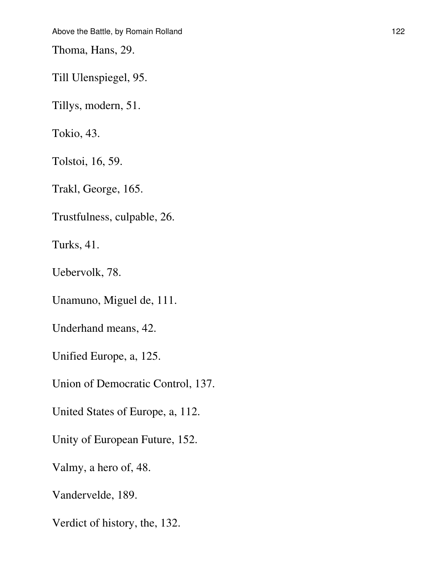Thoma, Hans, 29.

Till Ulenspiegel, 95.

Tillys, modern, 51.

Tokio, 43.

Tolstoi, 16, 59.

Trakl, George, 165.

Trustfulness, culpable, 26.

Turks, 41.

Uebervolk, 78.

Unamuno, Miguel de, 111.

Underhand means, 42.

Unified Europe, a, 125.

Union of Democratic Control, 137.

United States of Europe, a, 112.

Unity of European Future, 152.

Valmy, a hero of, 48.

Vandervelde, 189.

Verdict of history, the, 132.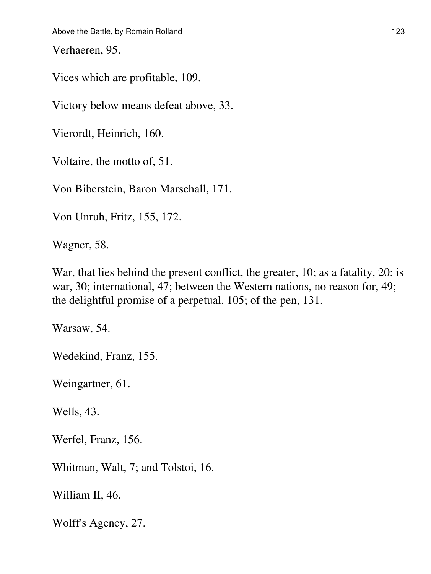Verhaeren, 95.

Vices which are profitable, 109.

Victory below means defeat above, 33.

Vierordt, Heinrich, 160.

Voltaire, the motto of, 51.

Von Biberstein, Baron Marschall, 171.

Von Unruh, Fritz, 155, 172.

Wagner, 58.

War, that lies behind the present conflict, the greater, 10; as a fatality, 20; is war, 30; international, 47; between the Western nations, no reason for, 49; the delightful promise of a perpetual, 105; of the pen, 131.

Warsaw, 54.

Wedekind, Franz, 155.

Weingartner, 61.

Wells, 43.

Werfel, Franz, 156.

Whitman, Walt, 7; and Tolstoi, 16.

William II, 46.

Wolff's Agency, 27.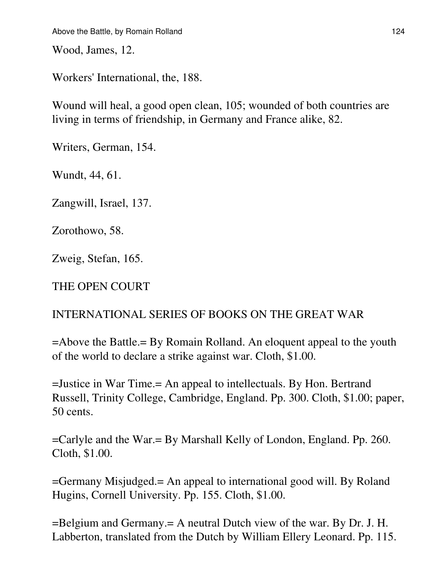Wood, James, 12.

Workers' International, the, 188.

Wound will heal, a good open clean, 105; wounded of both countries are living in terms of friendship, in Germany and France alike, 82.

Writers, German, 154.

Wundt, 44, 61.

Zangwill, Israel, 137.

Zorothowo, 58.

Zweig, Stefan, 165.

THE OPEN COURT

### INTERNATIONAL SERIES OF BOOKS ON THE GREAT WAR

=Above the Battle.= By Romain Rolland. An eloquent appeal to the youth of the world to declare a strike against war. Cloth, \$1.00.

=Justice in War Time.= An appeal to intellectuals. By Hon. Bertrand Russell, Trinity College, Cambridge, England. Pp. 300. Cloth, \$1.00; paper, 50 cents.

=Carlyle and the War.= By Marshall Kelly of London, England. Pp. 260. Cloth, \$1.00.

=Germany Misjudged.= An appeal to international good will. By Roland Hugins, Cornell University. Pp. 155. Cloth, \$1.00.

=Belgium and Germany.= A neutral Dutch view of the war. By Dr. J. H. Labberton, translated from the Dutch by William Ellery Leonard. Pp. 115.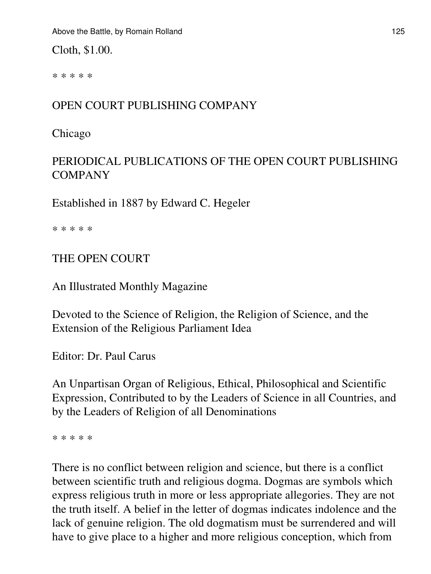Cloth, \$1.00.

\* \* \* \* \*

## OPEN COURT PUBLISHING COMPANY

Chicago

## PERIODICAL PUBLICATIONS OF THE OPEN COURT PUBLISHING COMPANY

Established in 1887 by Edward C. Hegeler

\* \* \* \* \*

THE OPEN COURT

An Illustrated Monthly Magazine

Devoted to the Science of Religion, the Religion of Science, and the Extension of the Religious Parliament Idea

Editor: Dr. Paul Carus

An Unpartisan Organ of Religious, Ethical, Philosophical and Scientific Expression, Contributed to by the Leaders of Science in all Countries, and by the Leaders of Religion of all Denominations

\* \* \* \* \*

There is no conflict between religion and science, but there is a conflict between scientific truth and religious dogma. Dogmas are symbols which express religious truth in more or less appropriate allegories. They are not the truth itself. A belief in the letter of dogmas indicates indolence and the lack of genuine religion. The old dogmatism must be surrendered and will have to give place to a higher and more religious conception, which from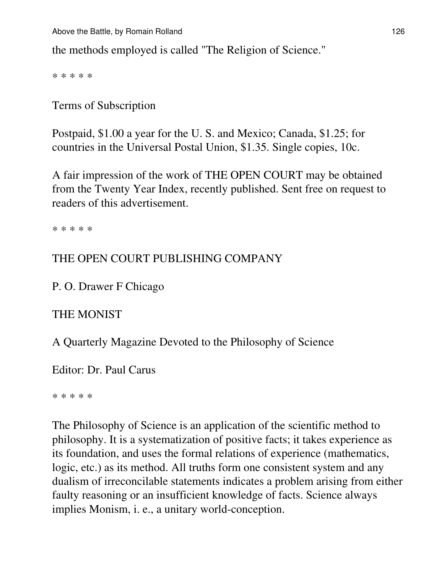the methods employed is called "The Religion of Science."

\* \* \* \* \*

Terms of Subscription

Postpaid, \$1.00 a year for the U. S. and Mexico; Canada, \$1.25; for countries in the Universal Postal Union, \$1.35. Single copies, 10c.

A fair impression of the work of THE OPEN COURT may be obtained from the Twenty Year Index, recently published. Sent free on request to readers of this advertisement.

\* \* \* \* \*

### THE OPEN COURT PUBLISHING COMPANY

P. O. Drawer F Chicago

#### THE MONIST

A Quarterly Magazine Devoted to the Philosophy of Science

Editor: Dr. Paul Carus

\* \* \* \* \*

The Philosophy of Science is an application of the scientific method to philosophy. It is a systematization of positive facts; it takes experience as its foundation, and uses the formal relations of experience (mathematics, logic, etc.) as its method. All truths form one consistent system and any dualism of irreconcilable statements indicates a problem arising from either faulty reasoning or an insufficient knowledge of facts. Science always implies Monism, i. e., a unitary world-conception.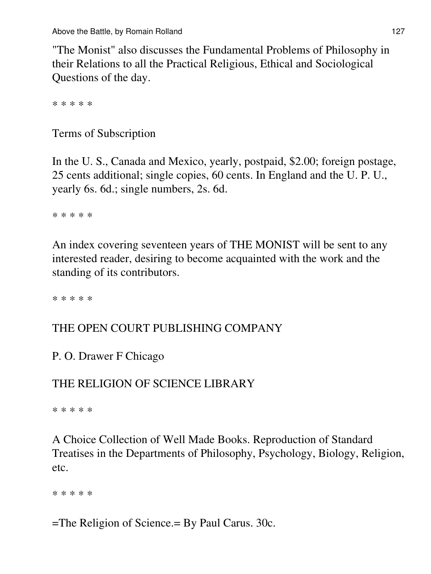"The Monist" also discusses the Fundamental Problems of Philosophy in their Relations to all the Practical Religious, Ethical and Sociological Questions of the day.

\* \* \* \* \*

Terms of Subscription

In the U. S., Canada and Mexico, yearly, postpaid, \$2.00; foreign postage, 25 cents additional; single copies, 60 cents. In England and the U. P. U., yearly 6s. 6d.; single numbers, 2s. 6d.

\* \* \* \* \*

An index covering seventeen years of THE MONIST will be sent to any interested reader, desiring to become acquainted with the work and the standing of its contributors.

\* \* \* \* \*

### THE OPEN COURT PUBLISHING COMPANY

P. O. Drawer F Chicago

### THE RELIGION OF SCIENCE LIBRARY

\* \* \* \* \*

A Choice Collection of Well Made Books. Reproduction of Standard Treatises in the Departments of Philosophy, Psychology, Biology, Religion, etc.

\* \* \* \* \*

=The Religion of Science.= By Paul Carus. 30c.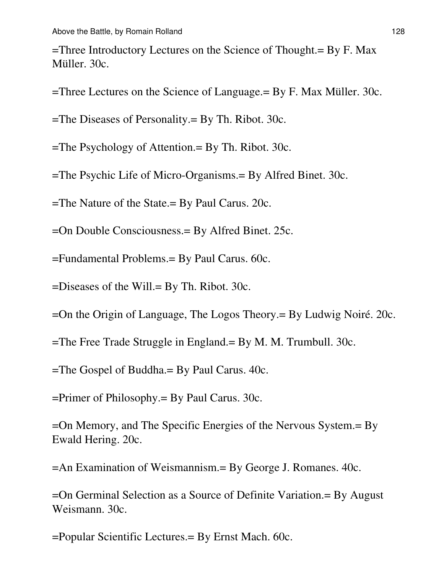=Three Introductory Lectures on the Science of Thought.= By F. Max Müller. 30c.

=Three Lectures on the Science of Language.= By F. Max Müller. 30c.

=The Diseases of Personality.= By Th. Ribot. 30c.

=The Psychology of Attention.= By Th. Ribot. 30c.

=The Psychic Life of Micro-Organisms.= By Alfred Binet. 30c.

=The Nature of the State.= By Paul Carus. 20c.

=On Double Consciousness.= By Alfred Binet. 25c.

=Fundamental Problems.= By Paul Carus. 60c.

=Diseases of the Will.= By Th. Ribot. 30c.

=On the Origin of Language, The Logos Theory.= By Ludwig Noiré. 20c.

=The Free Trade Struggle in England.= By M. M. Trumbull. 30c.

=The Gospel of Buddha.= By Paul Carus. 40c.

=Primer of Philosophy.= By Paul Carus. 30c.

=On Memory, and The Specific Energies of the Nervous System.= By Ewald Hering. 20c.

=An Examination of Weismannism.= By George J. Romanes. 40c.

=On Germinal Selection as a Source of Definite Variation.= By August Weismann. 30c.

=Popular Scientific Lectures.= By Ernst Mach. 60c.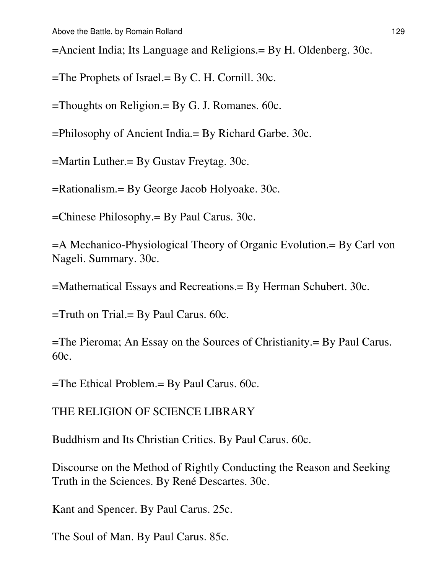=Ancient India; Its Language and Religions.= By H. Oldenberg. 30c.

=The Prophets of Israel.= By C. H. Cornill. 30c.

=Thoughts on Religion.= By G. J. Romanes. 60c.

=Philosophy of Ancient India.= By Richard Garbe. 30c.

=Martin Luther.= By Gustav Freytag. 30c.

=Rationalism.= By George Jacob Holyoake. 30c.

=Chinese Philosophy.= By Paul Carus. 30c.

=A Mechanico-Physiological Theory of Organic Evolution.= By Carl von Nageli. Summary. 30c.

=Mathematical Essays and Recreations.= By Herman Schubert. 30c.

 $=$ Truth on Trial. $=$  By Paul Carus. 60c.

=The Pieroma; An Essay on the Sources of Christianity.= By Paul Carus. 60c.

=The Ethical Problem.= By Paul Carus. 60c.

THE RELIGION OF SCIENCE LIBRARY

Buddhism and Its Christian Critics. By Paul Carus. 60c.

Discourse on the Method of Rightly Conducting the Reason and Seeking Truth in the Sciences. By René Descartes. 30c.

Kant and Spencer. By Paul Carus. 25c.

The Soul of Man. By Paul Carus. 85c.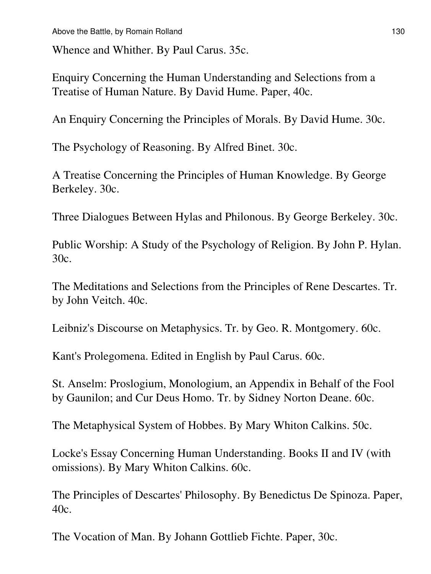Whence and Whither. By Paul Carus. 35c.

Enquiry Concerning the Human Understanding and Selections from a Treatise of Human Nature. By David Hume. Paper, 40c.

An Enquiry Concerning the Principles of Morals. By David Hume. 30c.

The Psychology of Reasoning. By Alfred Binet. 30c.

A Treatise Concerning the Principles of Human Knowledge. By George Berkeley. 30c.

Three Dialogues Between Hylas and Philonous. By George Berkeley. 30c.

Public Worship: A Study of the Psychology of Religion. By John P. Hylan. 30c.

The Meditations and Selections from the Principles of Rene Descartes. Tr. by John Veitch. 40c.

Leibniz's Discourse on Metaphysics. Tr. by Geo. R. Montgomery. 60c.

Kant's Prolegomena. Edited in English by Paul Carus. 60c.

St. Anselm: Proslogium, Monologium, an Appendix in Behalf of the Fool by Gaunilon; and Cur Deus Homo. Tr. by Sidney Norton Deane. 60c.

The Metaphysical System of Hobbes. By Mary Whiton Calkins. 50c.

Locke's Essay Concerning Human Understanding. Books II and IV (with omissions). By Mary Whiton Calkins. 60c.

The Principles of Descartes' Philosophy. By Benedictus De Spinoza. Paper, 40c.

The Vocation of Man. By Johann Gottlieb Fichte. Paper, 30c.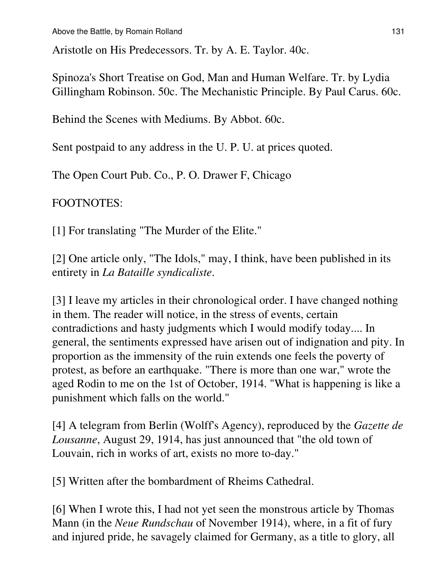Aristotle on His Predecessors. Tr. by A. E. Taylor. 40c.

Spinoza's Short Treatise on God, Man and Human Welfare. Tr. by Lydia Gillingham Robinson. 50c. The Mechanistic Principle. By Paul Carus. 60c.

Behind the Scenes with Mediums. By Abbot. 60c.

Sent postpaid to any address in the U. P. U. at prices quoted.

The Open Court Pub. Co., P. O. Drawer F, Chicago

FOOTNOTES:

[1] For translating "The Murder of the Elite."

[2] One article only, "The Idols," may, I think, have been published in its entirety in *La Bataille syndicaliste*.

[3] I leave my articles in their chronological order. I have changed nothing in them. The reader will notice, in the stress of events, certain contradictions and hasty judgments which I would modify today.... In general, the sentiments expressed have arisen out of indignation and pity. In proportion as the immensity of the ruin extends one feels the poverty of protest, as before an earthquake. "There is more than one war," wrote the aged Rodin to me on the 1st of October, 1914. "What is happening is like a punishment which falls on the world."

[4] A telegram from Berlin (Wolff's Agency), reproduced by the *Gazette de Lousanne*, August 29, 1914, has just announced that "the old town of Louvain, rich in works of art, exists no more to-day."

[5] Written after the bombardment of Rheims Cathedral.

[6] When I wrote this, I had not yet seen the monstrous article by Thomas Mann (in the *Neue Rundschau* of November 1914), where, in a fit of fury and injured pride, he savagely claimed for Germany, as a title to glory, all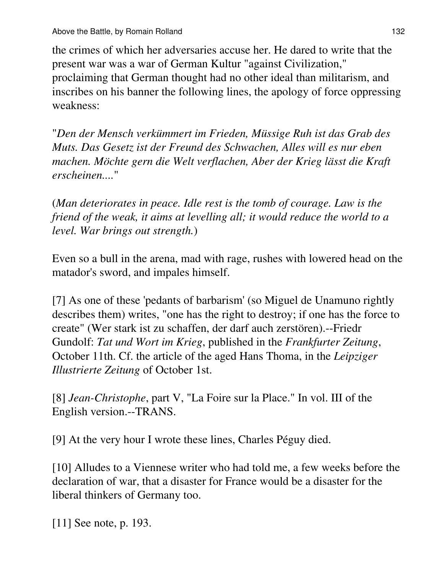the crimes of which her adversaries accuse her. He dared to write that the present war was a war of German Kultur "against Civilization," proclaiming that German thought had no other ideal than militarism, and inscribes on his banner the following lines, the apology of force oppressing weakness:

"*Den der Mensch verkümmert im Frieden, Müssige Ruh ist das Grab des Muts. Das Gesetz ist der Freund des Schwachen, Alles will es nur eben machen. Möchte gern die Welt verflachen, Aber der Krieg lässt die Kraft erscheinen....*"

(*Man deteriorates in peace. Idle rest is the tomb of courage. Law is the friend of the weak, it aims at levelling all; it would reduce the world to a level. War brings out strength.*)

Even so a bull in the arena, mad with rage, rushes with lowered head on the matador's sword, and impales himself.

[7] As one of these 'pedants of barbarism' (so Miguel de Unamuno rightly describes them) writes, "one has the right to destroy; if one has the force to create" (Wer stark ist zu schaffen, der darf auch zerstören).--Friedr Gundolf: *Tat und Wort im Krieg*, published in the *Frankfurter Zeitung*, October 11th. Cf. the article of the aged Hans Thoma, in the *Leipziger Illustrierte Zeitung* of October 1st.

[8] *Jean-Christophe*, part V, "La Foire sur la Place." In vol. III of the English version.--TRANS.

[9] At the very hour I wrote these lines, Charles Péguy died.

[10] Alludes to a Viennese writer who had told me, a few weeks before the declaration of war, that a disaster for France would be a disaster for the liberal thinkers of Germany too.

[11] See note, p. 193.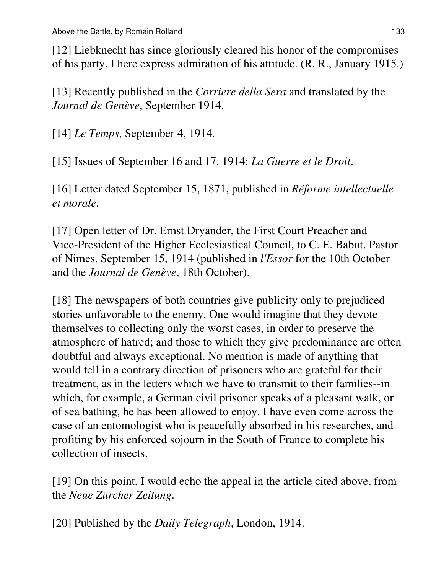[12] Liebknecht has since gloriously cleared his honor of the compromises of his party. I here express admiration of his attitude. (R. R., January 1915.)

[13] Recently published in the *Corriere della Sera* and translated by the *Journal de Genève*, September 1914.

[14] *Le Temps*, September 4, 1914.

[15] Issues of September 16 and 17, 1914: *La Guerre et le Droit*.

[16] Letter dated September 15, 1871, published in *Réforme intellectuelle et morale*.

[17] Open letter of Dr. Ernst Dryander, the First Court Preacher and Vice-President of the Higher Ecclesiastical Council, to C. E. Babut, Pastor of Nimes, September 15, 1914 (published in *l'Essor* for the 10th October and the *Journal de Genève*, 18th October).

[18] The newspapers of both countries give publicity only to prejudiced stories unfavorable to the enemy. One would imagine that they devote themselves to collecting only the worst cases, in order to preserve the atmosphere of hatred; and those to which they give predominance are often doubtful and always exceptional. No mention is made of anything that would tell in a contrary direction of prisoners who are grateful for their treatment, as in the letters which we have to transmit to their families--in which, for example, a German civil prisoner speaks of a pleasant walk, or of sea bathing, he has been allowed to enjoy. I have even come across the case of an entomologist who is peacefully absorbed in his researches, and profiting by his enforced sojourn in the South of France to complete his collection of insects.

[19] On this point, I would echo the appeal in the article cited above, from the *Neue Zürcher Zeitung*.

[20] Published by the *Daily Telegraph*, London, 1914.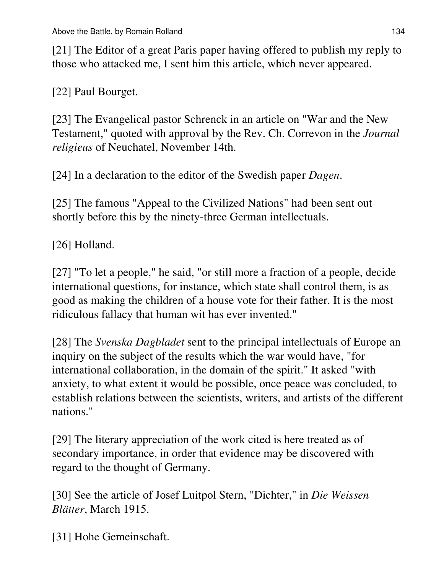[21] The Editor of a great Paris paper having offered to publish my reply to those who attacked me, I sent him this article, which never appeared.

[22] Paul Bourget.

[23] The Evangelical pastor Schrenck in an article on "War and the New Testament," quoted with approval by the Rev. Ch. Correvon in the *Journal religieus* of Neuchatel, November 14th.

[24] In a declaration to the editor of the Swedish paper *Dagen*.

[25] The famous "Appeal to the Civilized Nations" had been sent out shortly before this by the ninety-three German intellectuals.

[26] Holland.

[27] "To let a people," he said, "or still more a fraction of a people, decide international questions, for instance, which state shall control them, is as good as making the children of a house vote for their father. It is the most ridiculous fallacy that human wit has ever invented."

[28] The *Svenska Dagbladet* sent to the principal intellectuals of Europe an inquiry on the subject of the results which the war would have, "for international collaboration, in the domain of the spirit." It asked "with anxiety, to what extent it would be possible, once peace was concluded, to establish relations between the scientists, writers, and artists of the different nations."

[29] The literary appreciation of the work cited is here treated as of secondary importance, in order that evidence may be discovered with regard to the thought of Germany.

[30] See the article of Josef Luitpol Stern, "Dichter," in *Die Weissen Blätter*, March 1915.

[31] Hohe Gemeinschaft.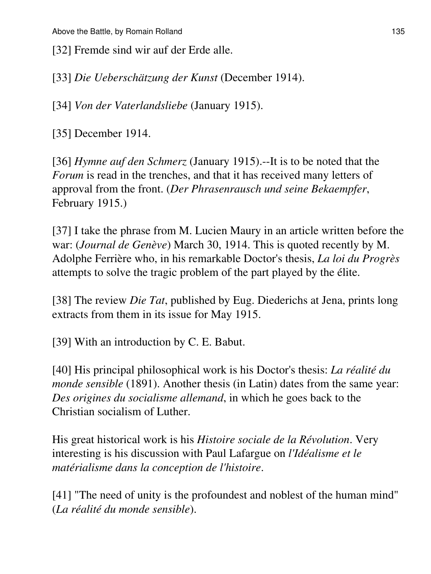[32] Fremde sind wir auf der Erde alle.

[33] *Die Ueberschätzung der Kunst* (December 1914).

[34] *Von der Vaterlandsliebe* (January 1915).

[35] December 1914.

[36] *Hymne auf den Schmerz* (January 1915).--It is to be noted that the *Forum* is read in the trenches, and that it has received many letters of approval from the front. (*Der Phrasenrausch und seine Bekaempfer*, February 1915.)

[37] I take the phrase from M. Lucien Maury in an article written before the war: (*Journal de Genève*) March 30, 1914. This is quoted recently by M. Adolphe Ferrière who, in his remarkable Doctor's thesis, *La loi du Progrès* attempts to solve the tragic problem of the part played by the élite.

[38] The review *Die Tat*, published by Eug. Diederichs at Jena, prints long extracts from them in its issue for May 1915.

[39] With an introduction by C. E. Babut.

[40] His principal philosophical work is his Doctor's thesis: *La réalité du monde sensible* (1891). Another thesis (in Latin) dates from the same year: *Des origines du socialisme allemand*, in which he goes back to the Christian socialism of Luther.

His great historical work is his *Histoire sociale de la Révolution*. Very interesting is his discussion with Paul Lafargue on *l'Idéalisme et le matérialisme dans la conception de l'histoire*.

[41] "The need of unity is the profoundest and noblest of the human mind" (*La réalité du monde sensible*).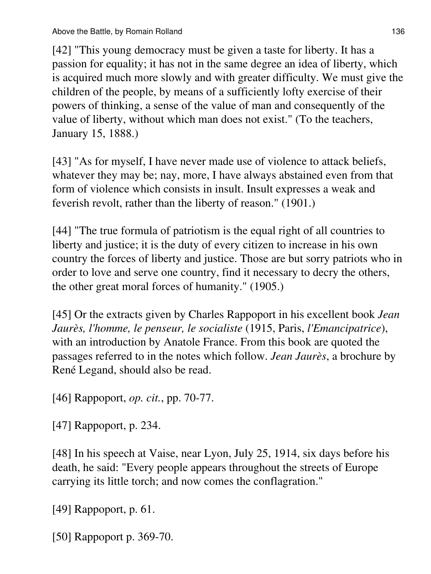[42] "This young democracy must be given a taste for liberty. It has a passion for equality; it has not in the same degree an idea of liberty, which is acquired much more slowly and with greater difficulty. We must give the children of the people, by means of a sufficiently lofty exercise of their powers of thinking, a sense of the value of man and consequently of the value of liberty, without which man does not exist." (To the teachers, January 15, 1888.)

[43] "As for myself, I have never made use of violence to attack beliefs, whatever they may be; nay, more, I have always abstained even from that form of violence which consists in insult. Insult expresses a weak and feverish revolt, rather than the liberty of reason." (1901.)

[44] "The true formula of patriotism is the equal right of all countries to liberty and justice; it is the duty of every citizen to increase in his own country the forces of liberty and justice. Those are but sorry patriots who in order to love and serve one country, find it necessary to decry the others, the other great moral forces of humanity." (1905.)

[45] Or the extracts given by Charles Rappoport in his excellent book *Jean Jaurès, l'homme, le penseur, le socialiste* (1915, Paris, *l'Emancipatrice*), with an introduction by Anatole France. From this book are quoted the passages referred to in the notes which follow. *Jean Jaurès*, a brochure by René Legand, should also be read.

[46] Rappoport, *op. cit.*, pp. 70-77.

[47] Rappoport, p. 234.

[48] In his speech at Vaise, near Lyon, July 25, 1914, six days before his death, he said: "Every people appears throughout the streets of Europe carrying its little torch; and now comes the conflagration."

[49] Rappoport, p. 61.

[50] Rappoport p. 369-70.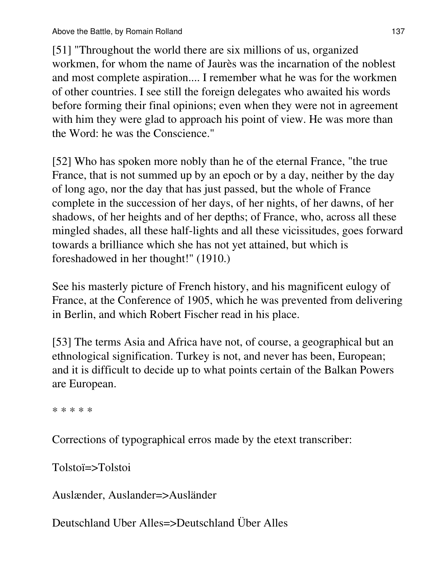[51] "Throughout the world there are six millions of us, organized workmen, for whom the name of Jaurès was the incarnation of the noblest and most complete aspiration.... I remember what he was for the workmen of other countries. I see still the foreign delegates who awaited his words before forming their final opinions; even when they were not in agreement with him they were glad to approach his point of view. He was more than the Word: he was the Conscience."

[52] Who has spoken more nobly than he of the eternal France, "the true France, that is not summed up by an epoch or by a day, neither by the day of long ago, nor the day that has just passed, but the whole of France complete in the succession of her days, of her nights, of her dawns, of her shadows, of her heights and of her depths; of France, who, across all these mingled shades, all these half-lights and all these vicissitudes, goes forward towards a brilliance which she has not yet attained, but which is foreshadowed in her thought!" (1910.)

See his masterly picture of French history, and his magnificent eulogy of France, at the Conference of 1905, which he was prevented from delivering in Berlin, and which Robert Fischer read in his place.

[53] The terms Asia and Africa have not, of course, a geographical but an ethnological signification. Turkey is not, and never has been, European; and it is difficult to decide up to what points certain of the Balkan Powers are European.

\* \* \* \* \*

Corrections of typographical erros made by the etext transcriber:

Tolstoï=>Tolstoi

Auslænder, Auslander=>Ausländer

Deutschland Uber Alles=>Deutschland Über Alles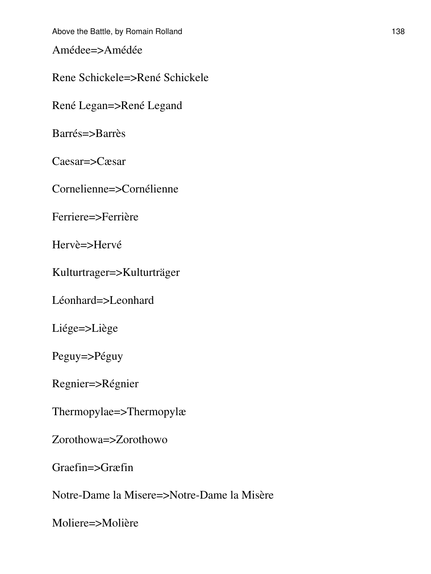Amédee=>Amédée

Rene Schickele=>René Schickele

René Legan=>René Legand

Barrés=>Barrès

Caesar=>Cæsar

Cornelienne=>Cornélienne

Ferriere=>Ferrière

Hervè=>Hervé

Kulturtrager=>Kulturträger

Léonhard=>Leonhard

Liége=>Liège

Peguy=>Péguy

Regnier=>Régnier

Thermopylae=>Thermopylæ

Zorothowa=>Zorothowo

Graefin=>Græfin

Notre-Dame la Misere=>Notre-Dame la Misère

Moliere=>Molière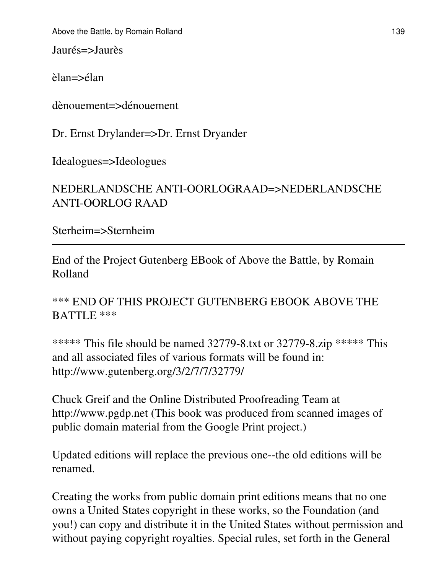Jaurés=>Jaurès

èlan=>élan

dènouement=>dénouement

Dr. Ernst Drylander=>Dr. Ernst Dryander

Idealogues=>Ideologues

## NEDERLANDSCHE ANTI-OORLOGRAAD=>NEDERLANDSCHE ANTI-OORLOG RAAD

Sterheim=>Sternheim

End of the Project Gutenberg EBook of Above the Battle, by Romain Rolland

\*\*\* END OF THIS PROJECT GUTENBERG EBOOK ABOVE THE BATTLE \*\*\*

\*\*\*\*\*\* This file should be named 32779-8.txt or 32779-8.zip \*\*\*\*\* This and all associated files of various formats will be found in: http://www.gutenberg.org/3/2/7/7/32779/

Chuck Greif and the Online Distributed Proofreading Team at http://www.pgdp.net (This book was produced from scanned images of public domain material from the Google Print project.)

Updated editions will replace the previous one--the old editions will be renamed.

Creating the works from public domain print editions means that no one owns a United States copyright in these works, so the Foundation (and you!) can copy and distribute it in the United States without permission and without paying copyright royalties. Special rules, set forth in the General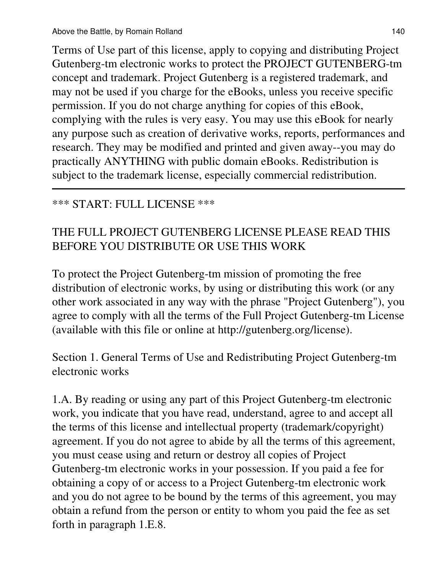Terms of Use part of this license, apply to copying and distributing Project Gutenberg-tm electronic works to protect the PROJECT GUTENBERG-tm concept and trademark. Project Gutenberg is a registered trademark, and may not be used if you charge for the eBooks, unless you receive specific permission. If you do not charge anything for copies of this eBook, complying with the rules is very easy. You may use this eBook for nearly any purpose such as creation of derivative works, reports, performances and research. They may be modified and printed and given away--you may do practically ANYTHING with public domain eBooks. Redistribution is subject to the trademark license, especially commercial redistribution.

### \*\*\* START: FULL LICENSE \*\*\*

## THE FULL PROJECT GUTENBERG LICENSE PLEASE READ THIS BEFORE YOU DISTRIBUTE OR USE THIS WORK

To protect the Project Gutenberg-tm mission of promoting the free distribution of electronic works, by using or distributing this work (or any other work associated in any way with the phrase "Project Gutenberg"), you agree to comply with all the terms of the Full Project Gutenberg-tm License (available with this file or online at http://gutenberg.org/license).

Section 1. General Terms of Use and Redistributing Project Gutenberg-tm electronic works

1.A. By reading or using any part of this Project Gutenberg-tm electronic work, you indicate that you have read, understand, agree to and accept all the terms of this license and intellectual property (trademark/copyright) agreement. If you do not agree to abide by all the terms of this agreement, you must cease using and return or destroy all copies of Project Gutenberg-tm electronic works in your possession. If you paid a fee for obtaining a copy of or access to a Project Gutenberg-tm electronic work and you do not agree to be bound by the terms of this agreement, you may obtain a refund from the person or entity to whom you paid the fee as set forth in paragraph 1.E.8.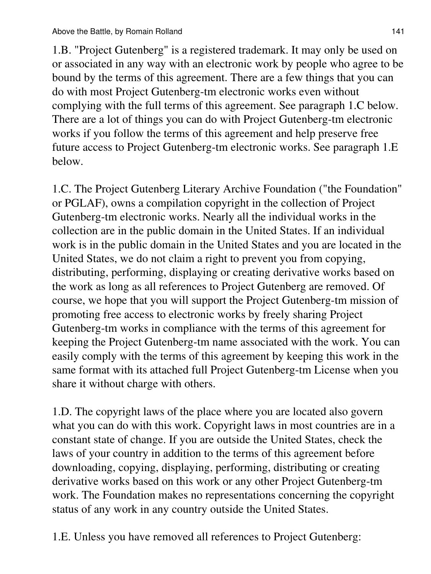1.B. "Project Gutenberg" is a registered trademark. It may only be used on or associated in any way with an electronic work by people who agree to be bound by the terms of this agreement. There are a few things that you can do with most Project Gutenberg-tm electronic works even without complying with the full terms of this agreement. See paragraph 1.C below. There are a lot of things you can do with Project Gutenberg-tm electronic works if you follow the terms of this agreement and help preserve free future access to Project Gutenberg-tm electronic works. See paragraph 1.E below.

1.C. The Project Gutenberg Literary Archive Foundation ("the Foundation" or PGLAF), owns a compilation copyright in the collection of Project Gutenberg-tm electronic works. Nearly all the individual works in the collection are in the public domain in the United States. If an individual work is in the public domain in the United States and you are located in the United States, we do not claim a right to prevent you from copying, distributing, performing, displaying or creating derivative works based on the work as long as all references to Project Gutenberg are removed. Of course, we hope that you will support the Project Gutenberg-tm mission of promoting free access to electronic works by freely sharing Project Gutenberg-tm works in compliance with the terms of this agreement for keeping the Project Gutenberg-tm name associated with the work. You can easily comply with the terms of this agreement by keeping this work in the same format with its attached full Project Gutenberg-tm License when you share it without charge with others.

1.D. The copyright laws of the place where you are located also govern what you can do with this work. Copyright laws in most countries are in a constant state of change. If you are outside the United States, check the laws of your country in addition to the terms of this agreement before downloading, copying, displaying, performing, distributing or creating derivative works based on this work or any other Project Gutenberg-tm work. The Foundation makes no representations concerning the copyright status of any work in any country outside the United States.

1.E. Unless you have removed all references to Project Gutenberg: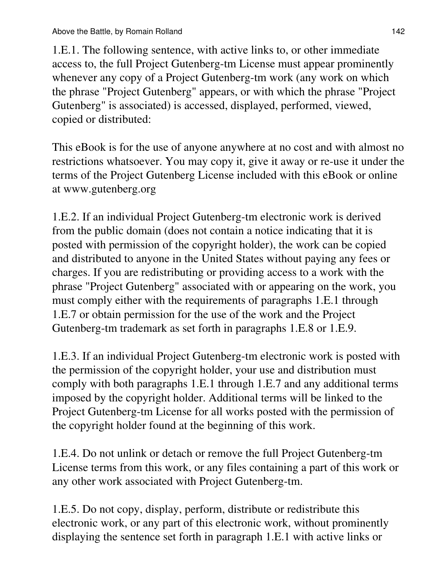1.E.1. The following sentence, with active links to, or other immediate access to, the full Project Gutenberg-tm License must appear prominently whenever any copy of a Project Gutenberg-tm work (any work on which the phrase "Project Gutenberg" appears, or with which the phrase "Project Gutenberg" is associated) is accessed, displayed, performed, viewed, copied or distributed:

This eBook is for the use of anyone anywhere at no cost and with almost no restrictions whatsoever. You may copy it, give it away or re-use it under the terms of the Project Gutenberg License included with this eBook or online at www.gutenberg.org

1.E.2. If an individual Project Gutenberg-tm electronic work is derived from the public domain (does not contain a notice indicating that it is posted with permission of the copyright holder), the work can be copied and distributed to anyone in the United States without paying any fees or charges. If you are redistributing or providing access to a work with the phrase "Project Gutenberg" associated with or appearing on the work, you must comply either with the requirements of paragraphs 1.E.1 through 1.E.7 or obtain permission for the use of the work and the Project Gutenberg-tm trademark as set forth in paragraphs 1.E.8 or 1.E.9.

1.E.3. If an individual Project Gutenberg-tm electronic work is posted with the permission of the copyright holder, your use and distribution must comply with both paragraphs 1.E.1 through 1.E.7 and any additional terms imposed by the copyright holder. Additional terms will be linked to the Project Gutenberg-tm License for all works posted with the permission of the copyright holder found at the beginning of this work.

1.E.4. Do not unlink or detach or remove the full Project Gutenberg-tm License terms from this work, or any files containing a part of this work or any other work associated with Project Gutenberg-tm.

1.E.5. Do not copy, display, perform, distribute or redistribute this electronic work, or any part of this electronic work, without prominently displaying the sentence set forth in paragraph 1.E.1 with active links or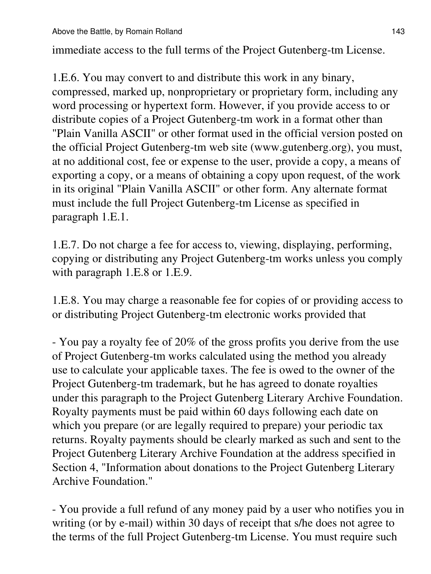immediate access to the full terms of the Project Gutenberg-tm License.

1.E.6. You may convert to and distribute this work in any binary, compressed, marked up, nonproprietary or proprietary form, including any word processing or hypertext form. However, if you provide access to or distribute copies of a Project Gutenberg-tm work in a format other than "Plain Vanilla ASCII" or other format used in the official version posted on the official Project Gutenberg-tm web site (www.gutenberg.org), you must, at no additional cost, fee or expense to the user, provide a copy, a means of exporting a copy, or a means of obtaining a copy upon request, of the work in its original "Plain Vanilla ASCII" or other form. Any alternate format must include the full Project Gutenberg-tm License as specified in paragraph 1.E.1.

1.E.7. Do not charge a fee for access to, viewing, displaying, performing, copying or distributing any Project Gutenberg-tm works unless you comply with paragraph 1.E.8 or 1.E.9.

1.E.8. You may charge a reasonable fee for copies of or providing access to or distributing Project Gutenberg-tm electronic works provided that

- You pay a royalty fee of 20% of the gross profits you derive from the use of Project Gutenberg-tm works calculated using the method you already use to calculate your applicable taxes. The fee is owed to the owner of the Project Gutenberg-tm trademark, but he has agreed to donate royalties under this paragraph to the Project Gutenberg Literary Archive Foundation. Royalty payments must be paid within 60 days following each date on which you prepare (or are legally required to prepare) your periodic tax returns. Royalty payments should be clearly marked as such and sent to the Project Gutenberg Literary Archive Foundation at the address specified in Section 4, "Information about donations to the Project Gutenberg Literary Archive Foundation."

- You provide a full refund of any money paid by a user who notifies you in writing (or by e-mail) within 30 days of receipt that s/he does not agree to the terms of the full Project Gutenberg-tm License. You must require such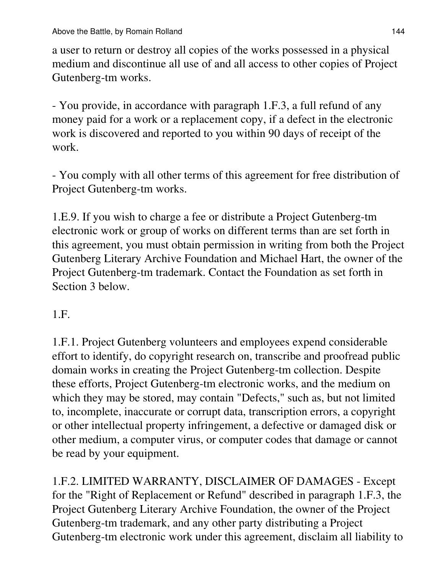a user to return or destroy all copies of the works possessed in a physical medium and discontinue all use of and all access to other copies of Project Gutenberg-tm works.

- You provide, in accordance with paragraph 1.F.3, a full refund of any money paid for a work or a replacement copy, if a defect in the electronic work is discovered and reported to you within 90 days of receipt of the work.

- You comply with all other terms of this agreement for free distribution of Project Gutenberg-tm works.

1.E.9. If you wish to charge a fee or distribute a Project Gutenberg-tm electronic work or group of works on different terms than are set forth in this agreement, you must obtain permission in writing from both the Project Gutenberg Literary Archive Foundation and Michael Hart, the owner of the Project Gutenberg-tm trademark. Contact the Foundation as set forth in Section 3 below.

# 1.F.

1.F.1. Project Gutenberg volunteers and employees expend considerable effort to identify, do copyright research on, transcribe and proofread public domain works in creating the Project Gutenberg-tm collection. Despite these efforts, Project Gutenberg-tm electronic works, and the medium on which they may be stored, may contain "Defects," such as, but not limited to, incomplete, inaccurate or corrupt data, transcription errors, a copyright or other intellectual property infringement, a defective or damaged disk or other medium, a computer virus, or computer codes that damage or cannot be read by your equipment.

1.F.2. LIMITED WARRANTY, DISCLAIMER OF DAMAGES - Except for the "Right of Replacement or Refund" described in paragraph 1.F.3, the Project Gutenberg Literary Archive Foundation, the owner of the Project Gutenberg-tm trademark, and any other party distributing a Project Gutenberg-tm electronic work under this agreement, disclaim all liability to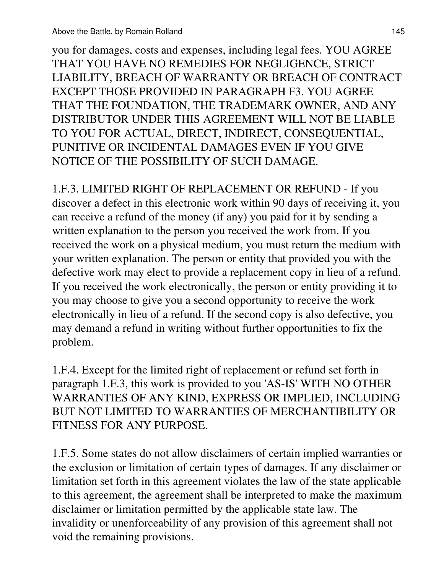you for damages, costs and expenses, including legal fees. YOU AGREE THAT YOU HAVE NO REMEDIES FOR NEGLIGENCE, STRICT LIABILITY, BREACH OF WARRANTY OR BREACH OF CONTRACT EXCEPT THOSE PROVIDED IN PARAGRAPH F3. YOU AGREE THAT THE FOUNDATION, THE TRADEMARK OWNER, AND ANY DISTRIBUTOR UNDER THIS AGREEMENT WILL NOT BE LIABLE TO YOU FOR ACTUAL, DIRECT, INDIRECT, CONSEQUENTIAL, PUNITIVE OR INCIDENTAL DAMAGES EVEN IF YOU GIVE NOTICE OF THE POSSIBILITY OF SUCH DAMAGE.

1.F.3. LIMITED RIGHT OF REPLACEMENT OR REFUND - If you discover a defect in this electronic work within 90 days of receiving it, you can receive a refund of the money (if any) you paid for it by sending a written explanation to the person you received the work from. If you received the work on a physical medium, you must return the medium with your written explanation. The person or entity that provided you with the defective work may elect to provide a replacement copy in lieu of a refund. If you received the work electronically, the person or entity providing it to you may choose to give you a second opportunity to receive the work electronically in lieu of a refund. If the second copy is also defective, you may demand a refund in writing without further opportunities to fix the problem.

1.F.4. Except for the limited right of replacement or refund set forth in paragraph 1.F.3, this work is provided to you 'AS-IS' WITH NO OTHER WARRANTIES OF ANY KIND, EXPRESS OR IMPLIED, INCLUDING BUT NOT LIMITED TO WARRANTIES OF MERCHANTIBILITY OR FITNESS FOR ANY PURPOSE.

1.F.5. Some states do not allow disclaimers of certain implied warranties or the exclusion or limitation of certain types of damages. If any disclaimer or limitation set forth in this agreement violates the law of the state applicable to this agreement, the agreement shall be interpreted to make the maximum disclaimer or limitation permitted by the applicable state law. The invalidity or unenforceability of any provision of this agreement shall not void the remaining provisions.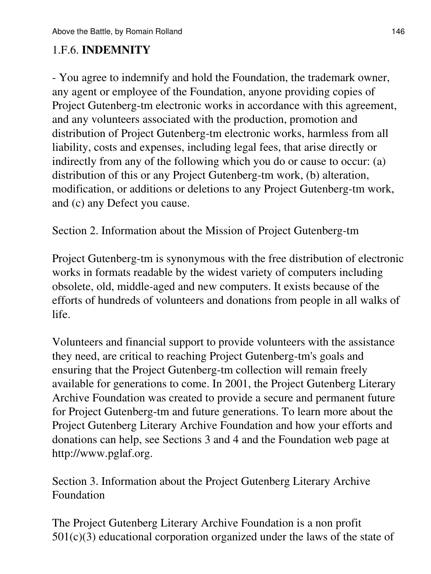## 1.F.6. **INDEMNITY**

- You agree to indemnify and hold the Foundation, the trademark owner, any agent or employee of the Foundation, anyone providing copies of Project Gutenberg-tm electronic works in accordance with this agreement, and any volunteers associated with the production, promotion and distribution of Project Gutenberg-tm electronic works, harmless from all liability, costs and expenses, including legal fees, that arise directly or indirectly from any of the following which you do or cause to occur: (a) distribution of this or any Project Gutenberg-tm work, (b) alteration, modification, or additions or deletions to any Project Gutenberg-tm work, and (c) any Defect you cause.

Section 2. Information about the Mission of Project Gutenberg-tm

Project Gutenberg-tm is synonymous with the free distribution of electronic works in formats readable by the widest variety of computers including obsolete, old, middle-aged and new computers. It exists because of the efforts of hundreds of volunteers and donations from people in all walks of life.

Volunteers and financial support to provide volunteers with the assistance they need, are critical to reaching Project Gutenberg-tm's goals and ensuring that the Project Gutenberg-tm collection will remain freely available for generations to come. In 2001, the Project Gutenberg Literary Archive Foundation was created to provide a secure and permanent future for Project Gutenberg-tm and future generations. To learn more about the Project Gutenberg Literary Archive Foundation and how your efforts and donations can help, see Sections 3 and 4 and the Foundation web page at http://www.pglaf.org.

Section 3. Information about the Project Gutenberg Literary Archive Foundation

The Project Gutenberg Literary Archive Foundation is a non profit  $501(c)(3)$  educational corporation organized under the laws of the state of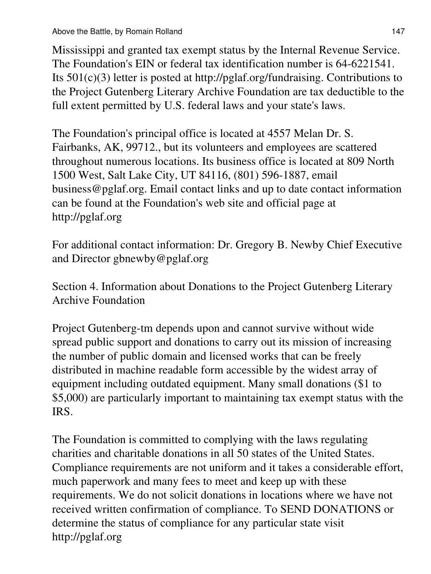Mississippi and granted tax exempt status by the Internal Revenue Service. The Foundation's EIN or federal tax identification number is 64-6221541. Its 501(c)(3) letter is posted at http://pglaf.org/fundraising. Contributions to the Project Gutenberg Literary Archive Foundation are tax deductible to the full extent permitted by U.S. federal laws and your state's laws.

The Foundation's principal office is located at 4557 Melan Dr. S. Fairbanks, AK, 99712., but its volunteers and employees are scattered throughout numerous locations. Its business office is located at 809 North 1500 West, Salt Lake City, UT 84116, (801) 596-1887, email business@pglaf.org. Email contact links and up to date contact information can be found at the Foundation's web site and official page at http://pglaf.org

For additional contact information: Dr. Gregory B. Newby Chief Executive and Director gbnewby@pglaf.org

Section 4. Information about Donations to the Project Gutenberg Literary Archive Foundation

Project Gutenberg-tm depends upon and cannot survive without wide spread public support and donations to carry out its mission of increasing the number of public domain and licensed works that can be freely distributed in machine readable form accessible by the widest array of equipment including outdated equipment. Many small donations (\$1 to \$5,000) are particularly important to maintaining tax exempt status with the IRS.

The Foundation is committed to complying with the laws regulating charities and charitable donations in all 50 states of the United States. Compliance requirements are not uniform and it takes a considerable effort, much paperwork and many fees to meet and keep up with these requirements. We do not solicit donations in locations where we have not received written confirmation of compliance. To SEND DONATIONS or determine the status of compliance for any particular state visit http://pglaf.org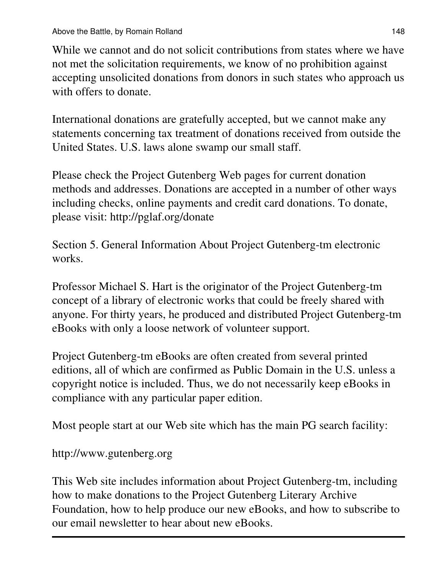While we cannot and do not solicit contributions from states where we have not met the solicitation requirements, we know of no prohibition against accepting unsolicited donations from donors in such states who approach us with offers to donate.

International donations are gratefully accepted, but we cannot make any statements concerning tax treatment of donations received from outside the United States. U.S. laws alone swamp our small staff.

Please check the Project Gutenberg Web pages for current donation methods and addresses. Donations are accepted in a number of other ways including checks, online payments and credit card donations. To donate, please visit: http://pglaf.org/donate

Section 5. General Information About Project Gutenberg-tm electronic works.

Professor Michael S. Hart is the originator of the Project Gutenberg-tm concept of a library of electronic works that could be freely shared with anyone. For thirty years, he produced and distributed Project Gutenberg-tm eBooks with only a loose network of volunteer support.

Project Gutenberg-tm eBooks are often created from several printed editions, all of which are confirmed as Public Domain in the U.S. unless a copyright notice is included. Thus, we do not necessarily keep eBooks in compliance with any particular paper edition.

Most people start at our Web site which has the main PG search facility:

http://www.gutenberg.org

This Web site includes information about Project Gutenberg-tm, including how to make donations to the Project Gutenberg Literary Archive Foundation, how to help produce our new eBooks, and how to subscribe to our email newsletter to hear about new eBooks.